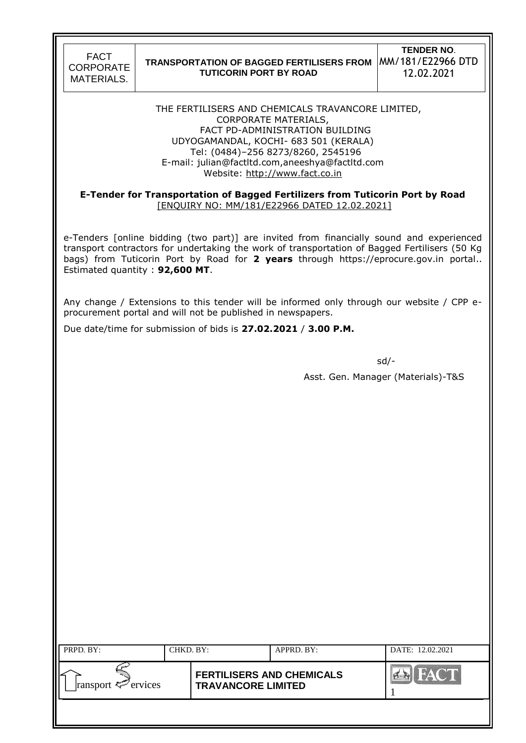### **TRANSPORTATION OF BAGGED FERTILISERS FROM**  MM/181/E22966 DTD **TUTICORIN PORT BY ROAD**

**TENDER NO**. 12.02.2021

THE FERTILISERS AND CHEMICALS TRAVANCORE LIMITED, CORPORATE MATERIALS, FACT PD-ADMINISTRATION BUILDING UDYOGAMANDAL, KOCHI- 683 501 (KERALA) Tel: (0484)–256 8273/8260, 2545196 E-mail: julian@factltd.com,aneeshya@factltd.com Website: [http://www.fact.co.in](http://www.fact.co.in/)

### **E-Tender for Transportation of Bagged Fertilizers from Tuticorin Port by Road** [ENQUIRY NO: MM/181/E22966 DATED 12.02.2021]

e-Tenders [online bidding (two part)] are invited from financially sound and experienced transport contractors for undertaking the work of transportation of Bagged Fertilisers (50 Kg bags) from Tuticorin Port by Road for **2 years** through https://eprocure.gov.in portal.. Estimated quantity : **92,600 MT**.

Any change / Extensions to this tender will be informed only through our website / CPP eprocurement portal and will not be published in newspapers.

Due date/time for submission of bids is **27.02.2021** / **3.00 P.M.**

sd/-

Asst. Gen. Manager (Materials)-T&S

| PRPD. BY:               | CHKD. BY: |                                                               | APPRD. BY: | DATE: 12.02.2021 |
|-------------------------|-----------|---------------------------------------------------------------|------------|------------------|
| ransport $\leq$ ervices |           | <b>FERTILISERS AND CHEMICALS</b><br><b>TRAVANCORE LIMITED</b> |            | <b>DA</b>        |
|                         |           |                                                               |            |                  |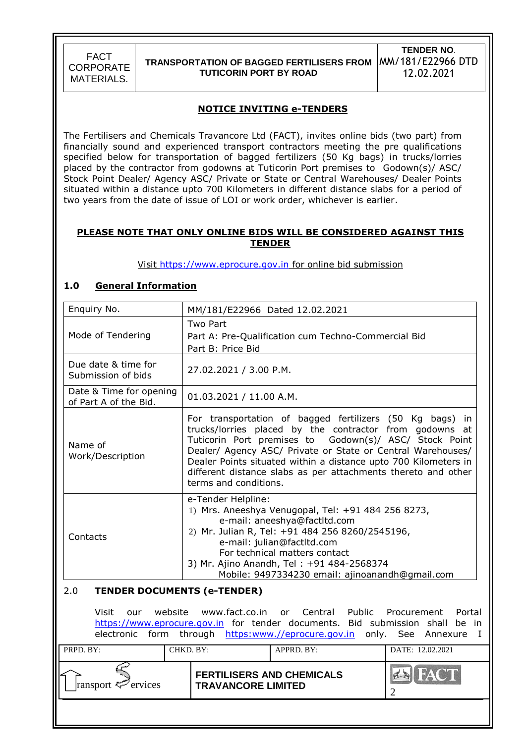

### **TRANSPORTATION OF BAGGED FERTILISERS FROM**  MM/181/E22966 DTD **TUTICORIN PORT BY ROAD**

**TENDER NO**. 12.02.2021

### **NOTICE INVITING e-TENDERS**

The Fertilisers and Chemicals Travancore Ltd (FACT), invites online bids (two part) from financially sound and experienced transport contractors meeting the pre qualifications specified below for transportation of bagged fertilizers (50 Kg bags) in trucks/lorries placed by the contractor from godowns at Tuticorin Port premises to Godown(s)/ ASC/ Stock Point Dealer/ Agency ASC/ Private or State or Central Warehouses/ Dealer Points situated within a distance upto 700 Kilometers in different distance slabs for a period of two years from the date of issue of LOI or work order, whichever is earlier.

### **PLEASE NOTE THAT ONLY ONLINE BIDS WILL BE CONSIDERED AGAINST THIS TENDER**

Visit [https://www.eprocure.gov.in](https://www.eprocure.gov.in/) for online bid submission

### **1.0 General Information**

| Enquiry No.                                                                                                                                                                                                                                          | MM/181/E22966 Dated 12.02.2021                                                                                                                                                                                                                                                                                                                                                                                |  |  |  |  |
|------------------------------------------------------------------------------------------------------------------------------------------------------------------------------------------------------------------------------------------------------|---------------------------------------------------------------------------------------------------------------------------------------------------------------------------------------------------------------------------------------------------------------------------------------------------------------------------------------------------------------------------------------------------------------|--|--|--|--|
| Mode of Tendering                                                                                                                                                                                                                                    | Two Part<br>Part A: Pre-Qualification cum Techno-Commercial Bid<br>Part B: Price Bid                                                                                                                                                                                                                                                                                                                          |  |  |  |  |
| Due date & time for<br>Submission of bids                                                                                                                                                                                                            | 27.02.2021 / 3.00 P.M.                                                                                                                                                                                                                                                                                                                                                                                        |  |  |  |  |
| Date & Time for opening<br>of Part A of the Bid.                                                                                                                                                                                                     | 01.03.2021 / 11.00 A.M.                                                                                                                                                                                                                                                                                                                                                                                       |  |  |  |  |
| Name of<br>Work/Description                                                                                                                                                                                                                          | For transportation of bagged fertilizers (50 Kg bags)<br>in.<br>trucks/lorries placed by the contractor from godowns at<br>Tuticorin Port premises to Godown(s)/ ASC/ Stock Point<br>Dealer/ Agency ASC/ Private or State or Central Warehouses/<br>Dealer Points situated within a distance upto 700 Kilometers in<br>different distance slabs as per attachments thereto and other<br>terms and conditions. |  |  |  |  |
| Contacts                                                                                                                                                                                                                                             | e-Tender Helpline:<br>1) Mrs. Aneeshya Venugopal, Tel: +91 484 256 8273,<br>e-mail: aneeshya@factltd.com<br>2) Mr. Julian R, Tel: +91 484 256 8260/2545196,<br>e-mail: julian@factltd.com<br>For technical matters contact<br>3) Mr. Ajino Anandh, Tel: +91 484-2568374<br>Mobile: 9497334230 email: ajinoanandh@gmail.com                                                                                    |  |  |  |  |
| 2.0                                                                                                                                                                                                                                                  | <b>TENDER DOCUMENTS (e-TENDER)</b>                                                                                                                                                                                                                                                                                                                                                                            |  |  |  |  |
| Visit<br>website www.fact.co.in<br>or Central Public Procurement<br>Portal<br>our<br>https://www.eprocure.gov.in for tender documents. Bid submission shall<br>be in<br>form through https:www.//eprocure.gov.in<br>electronic<br>only. See Annexure |                                                                                                                                                                                                                                                                                                                                                                                                               |  |  |  |  |
| PRPD. BY:                                                                                                                                                                                                                                            | CHKD. BY:<br>APPRD. BY:<br>DATE: 12.02.2021                                                                                                                                                                                                                                                                                                                                                                   |  |  |  |  |
| ransport <sup>2</sup> ervices                                                                                                                                                                                                                        | <b>FERTILISERS AND CHEMICALS</b><br><b>TRAVANCORE LIMITED</b><br>$\mathcal{D}_{\mathcal{L}}$                                                                                                                                                                                                                                                                                                                  |  |  |  |  |
|                                                                                                                                                                                                                                                      |                                                                                                                                                                                                                                                                                                                                                                                                               |  |  |  |  |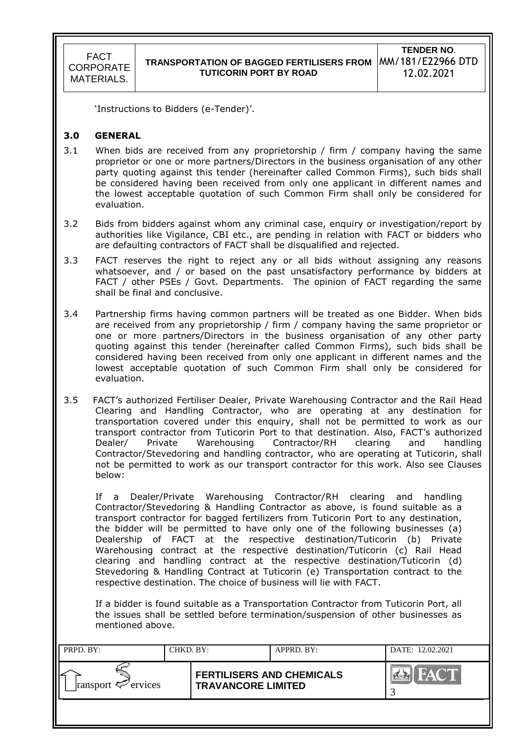'Instructions to Bidders (e-Tender)'.

### **3.0 GENERAL**

- 3.1 When bids are received from any proprietorship / firm / company having the same proprietor or one or more partners/Directors in the business organisation of any other party quoting against this tender (hereinafter called Common Firms), such bids shall be considered having been received from only one applicant in different names and the lowest acceptable quotation of such Common Firm shall only be considered for evaluation.
- 3.2 Bids from bidders against whom any criminal case, enquiry or investigation/report by authorities like Vigilance, CBI etc., are pending in relation with FACT or bidders who are defaulting contractors of FACT shall be disqualified and rejected.
- 3.3 FACT reserves the right to reject any or all bids without assigning any reasons whatsoever, and / or based on the past unsatisfactory performance by bidders at FACT / other PSEs / Govt. Departments. The opinion of FACT regarding the same shall be final and conclusive.
- 3.4 Partnership firms having common partners will be treated as one Bidder. When bids are received from any proprietorship / firm / company having the same proprietor or one or more partners/Directors in the business organisation of any other party quoting against this tender (hereinafter called Common Firms), such bids shall be considered having been received from only one applicant in different names and the lowest acceptable quotation of such Common Firm shall only be considered for evaluation.
- 3.5 FACT"s authorized Fertiliser Dealer, Private Warehousing Contractor and the Rail Head Clearing and Handling Contractor, who are operating at any destination for transportation covered under this enquiry, shall not be permitted to work as our transport contractor from Tuticorin Port to that destination. Also, FACT"s authorized Dealer/ Private Warehousing Contractor/RH clearing and handling Contractor/Stevedoring and handling contractor, who are operating at Tuticorin, shall not be permitted to work as our transport contractor for this work. Also see Clauses below:

If a Dealer/Private Warehousing Contractor/RH clearing and handling Contractor/Stevedoring & Handling Contractor as above, is found suitable as a transport contractor for bagged fertilizers from Tuticorin Port to any destination, the bidder will be permitted to have only one of the following businesses (a) Dealership of FACT at the respective destination/Tuticorin (b) Private Warehousing contract at the respective destination/Tuticorin (c) Rail Head clearing and handling contract at the respective destination/Tuticorin (d) Stevedoring & Handling Contract at Tuticorin (e) Transportation contract to the respective destination. The choice of business will lie with FACT.

If a bidder is found suitable as a Transportation Contractor from Tuticorin Port, all the issues shall be settled before termination/suspension of other businesses as mentioned above.

| PRPD. BY:               | CHKD. BY: |                                                               | APPRD. BY: | DATE: 12.02.2021              |
|-------------------------|-----------|---------------------------------------------------------------|------------|-------------------------------|
| ransport $\leq$ ervices |           | <b>FERTILISERS AND CHEMICALS</b><br><b>TRAVANCORE LIMITED</b> |            | <b>FACT</b><br>$\sum_{i=1}^n$ |
|                         |           |                                                               |            |                               |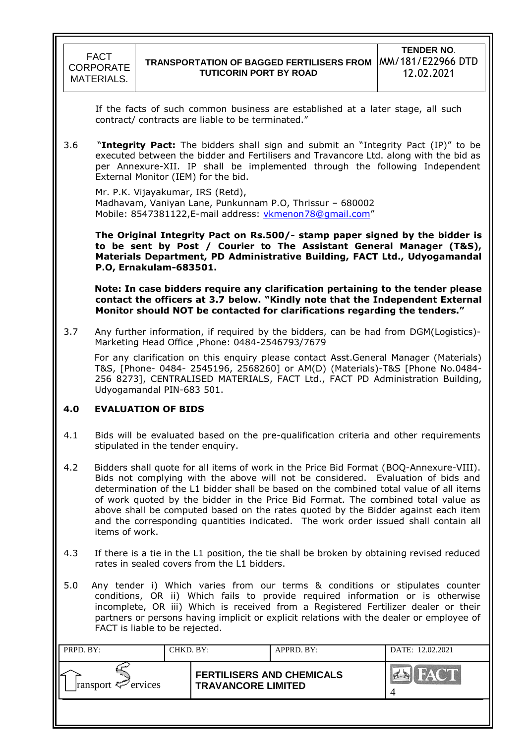If the facts of such common business are established at a later stage, all such contract/ contracts are liable to be terminated."

3.6 "**Integrity Pact:** The bidders shall sign and submit an "Integrity Pact (IP)" to be executed between the bidder and Fertilisers and Travancore Ltd. along with the bid as per Annexure-XII. IP shall be implemented through the following Independent External Monitor (IEM) for the bid.

Mr. P.K. Vijayakumar, IRS (Retd), Madhavam, Vaniyan Lane, Punkunnam P.O, Thrissur – 680002 Mobile: [8547381122,](callto:8547381122) E-mail address: [vkmenon78@gmail.com](mailto:vkmenon78@gmail.com)"

**The Original Integrity Pact on Rs.500/- stamp paper signed by the bidder is to be sent by Post / Courier to The Assistant General Manager (T&S), Materials Department, PD Administrative Building, FACT Ltd., Udyogamandal P.O, Ernakulam-683501.**

 **Note: In case bidders require any clarification pertaining to the tender please contact the officers at 3.7 below. "Kindly note that the Independent External Monitor should NOT be contacted for clarifications regarding the tenders."**

3.7 Any further information, if required by the bidders, can be had from DGM(Logistics)- Marketing Head Office ,Phone: 0484-2546793/7679

 For any clarification on this enquiry please contact Asst.General Manager (Materials) T&S, [Phone- 0484- 2545196, 2568260] or AM(D) (Materials)-T&S [Phone No.0484- 256 8273], CENTRALISED MATERIALS, FACT Ltd., FACT PD Administration Building, Udyogamandal PIN-683 501.

## **4.0 EVALUATION OF BIDS**

- 4.1 Bids will be evaluated based on the pre-qualification criteria and other requirements stipulated in the tender enquiry.
- 4.2 Bidders shall quote for all items of work in the Price Bid Format (BOQ-Annexure-VIII). Bids not complying with the above will not be considered. Evaluation of bids and determination of the L1 bidder shall be based on the combined total value of all items of work quoted by the bidder in the Price Bid Format. The combined total value as above shall be computed based on the rates quoted by the Bidder against each item and the corresponding quantities indicated. The work order issued shall contain all items of work.
- 4.3 If there is a tie in the L1 position, the tie shall be broken by obtaining revised reduced rates in sealed covers from the L1 bidders.
- 5.0 Any tender i) Which varies from our terms & conditions or stipulates counter conditions, OR ii) Which fails to provide required information or is otherwise incomplete, OR iii) Which is received from a Registered Fertilizer dealer or their partners or persons having implicit or explicit relations with the dealer or employee of FACT is liable to be rejected.

| PRPD. BY:               | CHKD. BY: |                                                               | APPRD. BY: | DATE: 12.02.2021            |
|-------------------------|-----------|---------------------------------------------------------------|------------|-----------------------------|
| ransport $\leq$ ervices |           | <b>FERTILISERS AND CHEMICALS</b><br><b>TRAVANCORE LIMITED</b> |            | <b>FACT</b><br>$A^{\kappa}$ |
|                         |           |                                                               |            |                             |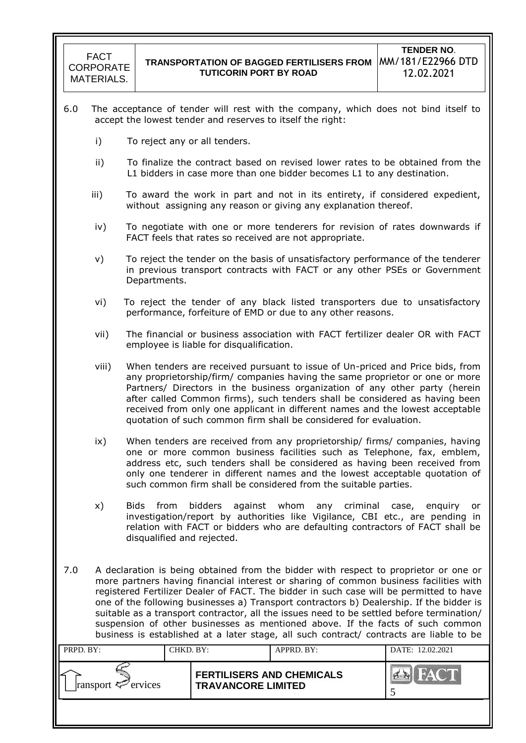- 6.0 The acceptance of tender will rest with the company, which does not bind itself to accept the lowest tender and reserves to itself the right:
	- i) To reject any or all tenders.
	- ii) To finalize the contract based on revised lower rates to be obtained from the L1 bidders in case more than one bidder becomes L1 to any destination.
	- iii) To award the work in part and not in its entirety, if considered expedient, without assigning any reason or giving any explanation thereof.
	- iv) To negotiate with one or more tenderers for revision of rates downwards if FACT feels that rates so received are not appropriate.
	- v) To reject the tender on the basis of unsatisfactory performance of the tenderer in previous transport contracts with FACT or any other PSEs or Government Departments.
	- vi) To reject the tender of any black listed transporters due to unsatisfactory performance, forfeiture of EMD or due to any other reasons.
	- vii) The financial or business association with FACT fertilizer dealer OR with FACT employee is liable for disqualification.
	- viii) When tenders are received pursuant to issue of Un-priced and Price bids, from any proprietorship/firm/ companies having the same proprietor or one or more Partners/ Directors in the business organization of any other party (herein after called Common firms), such tenders shall be considered as having been received from only one applicant in different names and the lowest acceptable quotation of such common firm shall be considered for evaluation.
	- ix) When tenders are received from any proprietorship/ firms/ companies, having one or more common business facilities such as Telephone, fax, emblem, address etc, such tenders shall be considered as having been received from only one tenderer in different names and the lowest acceptable quotation of such common firm shall be considered from the suitable parties.
	- x) Bids from bidders against whom any criminal case, enquiry or investigation/report by authorities like Vigilance, CBI etc., are pending in relation with FACT or bidders who are defaulting contractors of FACT shall be disqualified and rejected.
- 7.0 A declaration is being obtained from the bidder with respect to proprietor or one or more partners having financial interest or sharing of common business facilities with registered Fertilizer Dealer of FACT. The bidder in such case will be permitted to have one of the following businesses a) Transport contractors b) Dealership. If the bidder is suitable as a transport contractor, all the issues need to be settled before termination/ suspension of other businesses as mentioned above. If the facts of such common business is established at a later stage, all such contract/ contracts are liable to be

| PRPD. BY:               | CHKD. BY: |                                                               | APPRD. BY: | DATE: 12.02.2021              |
|-------------------------|-----------|---------------------------------------------------------------|------------|-------------------------------|
| ransport $\leq$ ervices |           | <b>FERTILISERS AND CHEMICALS</b><br><b>TRAVANCORE LIMITED</b> |            | <b>FACT</b><br>$\sum_{i=1}^n$ |
|                         |           |                                                               |            |                               |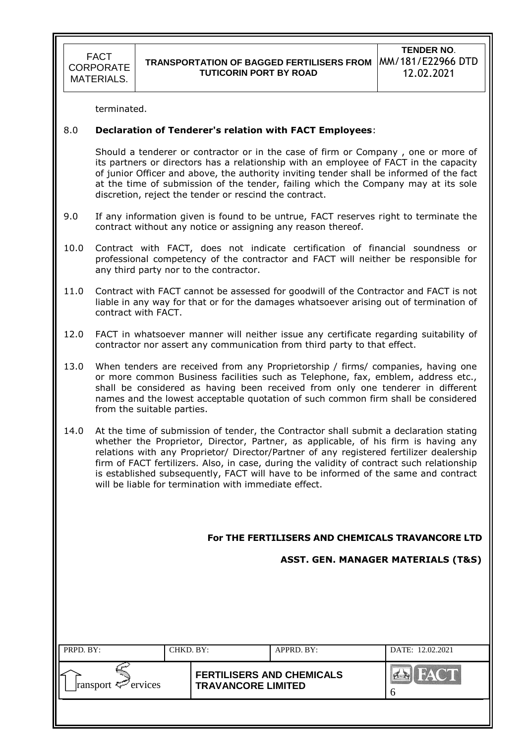terminated.

### 8.0 **Declaration of Tenderer's relation with FACT Employees**:

Should a tenderer or contractor or in the case of firm or Company , one or more of its partners or directors has a relationship with an employee of FACT in the capacity of junior Officer and above, the authority inviting tender shall be informed of the fact at the time of submission of the tender, failing which the Company may at its sole discretion, reject the tender or rescind the contract.

- 9.0 If any information given is found to be untrue, FACT reserves right to terminate the contract without any notice or assigning any reason thereof.
- 10.0 Contract with FACT, does not indicate certification of financial soundness or professional competency of the contractor and FACT will neither be responsible for any third party nor to the contractor.
- 11.0 Contract with FACT cannot be assessed for goodwill of the Contractor and FACT is not liable in any way for that or for the damages whatsoever arising out of termination of contract with FACT.
- 12.0 FACT in whatsoever manner will neither issue any certificate regarding suitability of contractor nor assert any communication from third party to that effect.
- 13.0 When tenders are received from any Proprietorship / firms/ companies, having one or more common Business facilities such as Telephone, fax, emblem, address etc., shall be considered as having been received from only one tenderer in different names and the lowest acceptable quotation of such common firm shall be considered from the suitable parties.
- 14.0 At the time of submission of tender, the Contractor shall submit a declaration stating whether the Proprietor, Director, Partner, as applicable, of his firm is having any relations with any Proprietor/ Director/Partner of any registered fertilizer dealership firm of FACT fertilizers. Also, in case, during the validity of contract such relationship is established subsequently, FACT will have to be informed of the same and contract will be liable for termination with immediate effect.

 **For THE FERTILISERS AND CHEMICALS TRAVANCORE LTD**

 **ASST. GEN. MANAGER MATERIALS (T&S)**

| PRPD. BY:               | CHKD. BY: |                                                               | APPRD. BY: | DATE: 12.02.2021 |
|-------------------------|-----------|---------------------------------------------------------------|------------|------------------|
| ransport $\leq$ ervices |           | <b>FERTILISERS AND CHEMICALS</b><br><b>TRAVANCORE LIMITED</b> |            | <b>FACT</b>      |
|                         |           |                                                               |            |                  |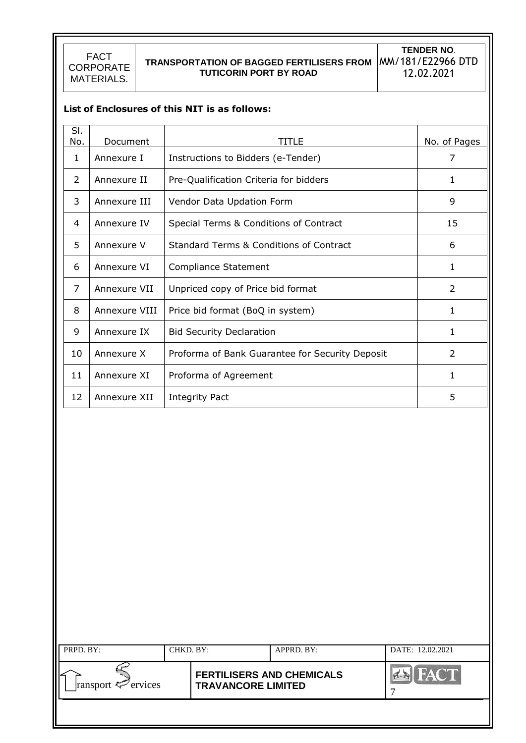# **TRANSPORTATION OF BAGGED FERTILISERS FROM**  MM/181/E22966 DTD **TUTICORIN PORT BY ROAD**

**TENDER NO**. 12.02.2021

|               | List of Enclosures of this NIT is as follows:      |              |
|---------------|----------------------------------------------------|--------------|
|               |                                                    |              |
| Document      | TITLE                                              | No. of Pages |
| Annexure I    | Instructions to Bidders (e-Tender)                 | 7            |
| Annexure II   | Pre-Qualification Criteria for bidders             | 1            |
| Annexure III  | Vendor Data Updation Form                          | 9            |
| Annexure IV   | Special Terms & Conditions of Contract             | 15           |
| Annexure V    | <b>Standard Terms &amp; Conditions of Contract</b> | 6            |
| Annexure VI   | <b>Compliance Statement</b>                        | 1            |
| Annexure VII  | Unpriced copy of Price bid format                  | 2            |
| Annexure VIII | Price bid format (BoQ in system)                   | 1            |
| Annexure IX   | <b>Bid Security Declaration</b>                    | $\mathbf{1}$ |
| Annexure X    | Proforma of Bank Guarantee for Security Deposit    | 2            |
| Annexure XI   | Proforma of Agreement                              | 1            |
| Annexure XII  | <b>Integrity Pact</b>                              | 5            |
|               |                                                    |              |

| PRPD. BY:               | CHKD. BY: |                                                               | $APPRD$ . BY: | DATE: 12.02.2021 |
|-------------------------|-----------|---------------------------------------------------------------|---------------|------------------|
| ransport $\leq$ ervices |           | <b>FERTILISERS AND CHEMICALS</b><br><b>TRAVANCORE LIMITED</b> |               |                  |
|                         |           |                                                               |               |                  |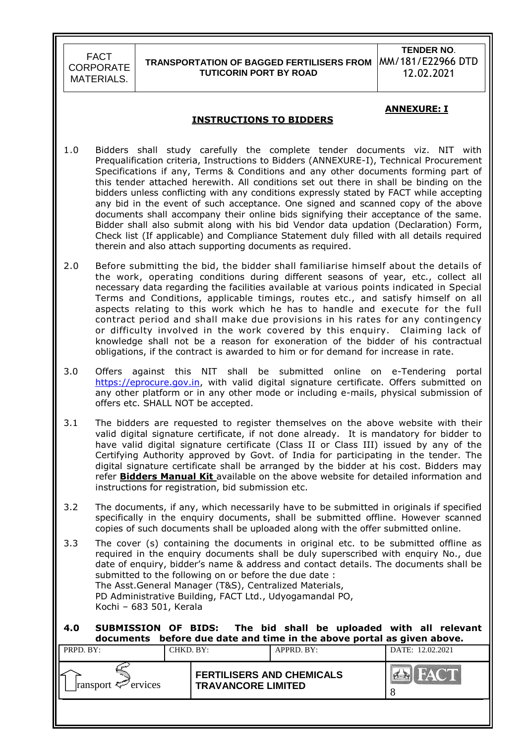### **TRANSPORTATION OF BAGGED FERTILISERS FROM TUTICORIN PORT BY ROAD**

**TENDER NO**. MM/181/E22966 DTD 12.02.2021

#### **ANNEXURE: I**

#### **INSTRUCTIONS TO BIDDERS**

- 1.0 Bidders shall study carefully the complete tender documents viz. NIT with Prequalification criteria, Instructions to Bidders (ANNEXURE-I), Technical Procurement Specifications if any, Terms & Conditions and any other documents forming part of this tender attached herewith. All conditions set out there in shall be binding on the bidders unless conflicting with any conditions expressly stated by FACT while accepting any bid in the event of such acceptance. One signed and scanned copy of the above documents shall accompany their online bids signifying their acceptance of the same. Bidder shall also submit along with his bid Vendor data updation (Declaration) Form, Check list (If applicable) and Compliance Statement duly filled with all details required therein and also attach supporting documents as required.
- 2.0 Before submitting the bid, the bidder shall familiarise himself about the details of the work, operating conditions during different seasons of year, etc., collect all necessary data regarding the facilities available at various points indicated in Special Terms and Conditions, applicable timings, routes etc., and satisfy himself on all aspects relating to this work which he has to handle and execute for the full contract period and shall make due provisions in his rates for any contingency or difficulty involved in the work covered by this enquiry. Claiming lack of knowledge shall not be a reason for exoneration of the bidder of his contractual obligations, if the contract is awarded to him or for demand for increase in rate.
- 3.0 Offers against this NIT shall be submitted online on e-Tendering portal [https://eprocure.gov.in,](https://eprocure.gov.in/) with valid digital signature certificate. Offers submitted on any other platform or in any other mode or including e-mails, physical submission of offers etc. SHALL NOT be accepted.
- 3.1 The bidders are requested to register themselves on the above website with their valid digital signature certificate, if not done already. It is mandatory for bidder to have valid digital signature certificate (Class II or Class III) issued by any of the Certifying Authority approved by Govt. of India for participating in the tender. The digital signature certificate shall be arranged by the bidder at his cost. Bidders may refer **Bidders Manual Kit** available on the above website for detailed information and instructions for registration, bid submission etc.
- 3.2 The documents, if any, which necessarily have to be submitted in originals if specified specifically in the enquiry documents, shall be submitted offline. However scanned copies of such documents shall be uploaded along with the offer submitted online.
- 3.3 The cover (s) containing the documents in original etc. to be submitted offline as required in the enquiry documents shall be duly superscribed with enquiry No., due date of enquiry, bidder"s name & address and contact details. The documents shall be submitted to the following on or before the due date : The Asst.General Manager (T&S), Centralized Materials, PD Administrative Building, FACT Ltd., Udyogamandal PO, Kochi – 683 501, Kerala

#### **4.0 SUBMISSION OF BIDS: The bid shall be uploaded with all relevant documents before due date and time in the above portal as given above.**

| .                       |           |                                                               |            |                  |  |
|-------------------------|-----------|---------------------------------------------------------------|------------|------------------|--|
| PRPD. BY:               | CHKD. BY: |                                                               | APPRD. BY: | DATE: 12.02.2021 |  |
| ransport $\leq$ ervices |           | <b>FERTILISERS AND CHEMICALS</b><br><b>TRAVANCORE LIMITED</b> |            |                  |  |
|                         |           |                                                               |            |                  |  |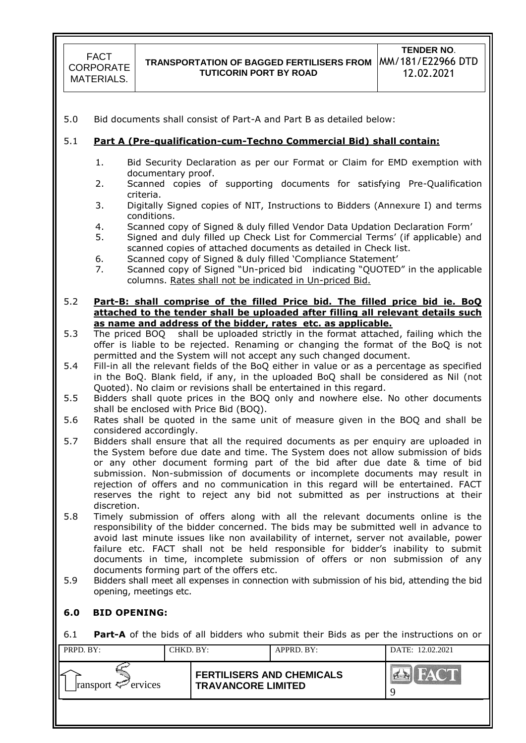5.0 Bid documents shall consist of Part-A and Part B as detailed below:

### 5.1 **Part A (Pre-qualification-cum-Techno Commercial Bid) shall contain:**

- 1. Bid Security Declaration as per our Format or Claim for EMD exemption with documentary proof.
- 2. Scanned copies of supporting documents for satisfying Pre-Qualification criteria.
- 3. Digitally Signed copies of NIT, Instructions to Bidders (Annexure I) and terms conditions.
- 4. Scanned copy of Signed & duly filled Vendor Data Updation Declaration Form"
- 5. Signed and duly filled up Check List for Commercial Terms" (if applicable) and scanned copies of attached documents as detailed in Check list.
- 6. Scanned copy of Signed & duly filled "Compliance Statement"
- 7. Scanned copy of Signed "Un-priced bid indicating "QUOTED" in the applicable columns. Rates shall not be indicated in Un-priced Bid.

#### 5.2 **Part-B: shall comprise of the filled Price bid. The filled price bid ie. BoQ attached to the tender shall be uploaded after filling all relevant details such as name and address of the bidder, rates etc. as applicable.**

- 5.3 The priced BOQ shall be uploaded strictly in the format attached, failing which the offer is liable to be rejected. Renaming or changing the format of the BoQ is not permitted and the System will not accept any such changed document.
- 5.4 Fill-in all the relevant fields of the BoQ either in value or as a percentage as specified in the BoQ. Blank field, if any, in the uploaded BoQ shall be considered as Nil (not Quoted). No claim or revisions shall be entertained in this regard.
- 5.5 Bidders shall quote prices in the BOQ only and nowhere else. No other documents shall be enclosed with Price Bid (BOQ).
- 5.6 Rates shall be quoted in the same unit of measure given in the BOQ and shall be considered accordingly.
- 5.7 Bidders shall ensure that all the required documents as per enquiry are uploaded in the System before due date and time. The System does not allow submission of bids or any other document forming part of the bid after due date & time of bid submission. Non-submission of documents or incomplete documents may result in rejection of offers and no communication in this regard will be entertained. FACT reserves the right to reject any bid not submitted as per instructions at their discretion.
- 5.8 Timely submission of offers along with all the relevant documents online is the responsibility of the bidder concerned. The bids may be submitted well in advance to avoid last minute issues like non availability of internet, server not available, power failure etc. FACT shall not be held responsible for bidder"s inability to submit documents in time, incomplete submission of offers or non submission of any documents forming part of the offers etc.
- 5.9 Bidders shall meet all expenses in connection with submission of his bid, attending the bid opening, meetings etc.

### **6.0 BID OPENING:**

6.1 **Part-A** of the bids of all bidders who submit their Bids as per the instructions on or

| PRPD. BY:               | CHKD. BY: |                                                               | APPRD. BY: | DATE: 12.02.2021        |
|-------------------------|-----------|---------------------------------------------------------------|------------|-------------------------|
| ransport $\leq$ ervices |           | <b>FERTILISERS AND CHEMICALS</b><br><b>TRAVANCORE LIMITED</b> |            | HATCH<br>$\sum_{i=1}^n$ |
|                         |           |                                                               |            |                         |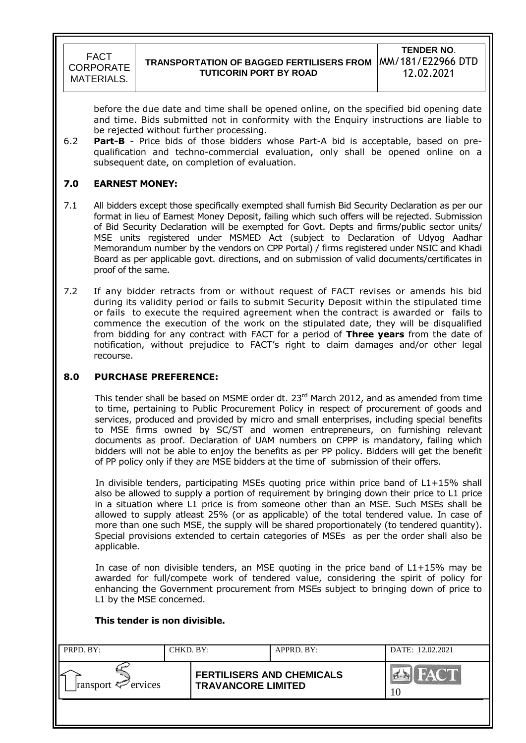before the due date and time shall be opened online, on the specified bid opening date and time. Bids submitted not in conformity with the Enquiry instructions are liable to be rejected without further processing.

6.2 **Part-B** - Price bids of those bidders whose Part-A bid is acceptable, based on prequalification and techno-commercial evaluation, only shall be opened online on a subsequent date, on completion of evaluation.

### **7.0 EARNEST MONEY:**

- 7.1 All bidders except those specifically exempted shall furnish Bid Security Declaration as per our format in lieu of Earnest Money Deposit, failing which such offers will be rejected. Submission of Bid Security Declaration will be exempted for Govt. Depts and firms/public sector units/ MSE units registered under MSMED Act (subject to Declaration of Udyog Aadhar Memorandum number by the vendors on CPP Portal) / firms registered under NSIC and Khadi Board as per applicable govt. directions, and on submission of valid documents/certificates in proof of the same.
- 7.2 If any bidder retracts from or without request of FACT revises or amends his bid during its validity period or fails to submit Security Deposit within the stipulated time or fails to execute the required agreement when the contract is awarded or fails to commence the execution of the work on the stipulated date, they will be disqualified from bidding for any contract with FACT for a period of **Three years** from the date of notification, without prejudice to FACT"s right to claim damages and/or other legal recourse.

### **8.0 PURCHASE PREFERENCE:**

This tender shall be based on MSME order dt. 23<sup>rd</sup> March 2012, and as amended from time to time, pertaining to Public Procurement Policy in respect of procurement of goods and services, produced and provided by micro and small enterprises, including special benefits to MSE firms owned by SC/ST and women entrepreneurs, on furnishing relevant documents as proof. Declaration of UAM numbers on CPPP is mandatory, failing which bidders will not be able to enjoy the benefits as per PP policy. Bidders will get the benefit of PP policy only if they are MSE bidders at the time of submission of their offers.

In divisible tenders, participating MSEs quoting price within price band of L1+15% shall also be allowed to supply a portion of requirement by bringing down their price to L1 price in a situation where L1 price is from someone other than an MSE. Such MSEs shall be allowed to supply atleast 25% (or as applicable) of the total tendered value. In case of more than one such MSE, the supply will be shared proportionately (to tendered quantity). Special provisions extended to certain categories of MSEs as per the order shall also be applicable.

In case of non divisible tenders, an MSE quoting in the price band of L1+15% may be awarded for full/compete work of tendered value, considering the spirit of policy for enhancing the Government procurement from MSEs subject to bringing down of price to L1 by the MSE concerned.

#### **This tender is non divisible.**

| $\parallel$ PRPD. BY:   | CHKD. BY: |                                                               | APPRD. BY: | DATE: 12.02.2021 |
|-------------------------|-----------|---------------------------------------------------------------|------------|------------------|
| ransport $\leq$ ervices |           | <b>FERTILISERS AND CHEMICALS</b><br><b>TRAVANCORE LIMITED</b> |            | 10               |
|                         |           |                                                               |            |                  |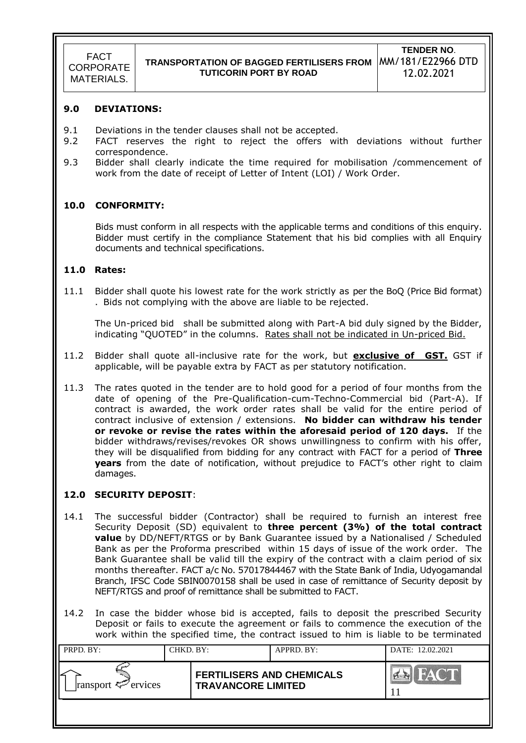#### **9.0 DEVIATIONS:**

- 9.1 Deviations in the tender clauses shall not be accepted.
- 9.2 FACT reserves the right to reject the offers with deviations without further correspondence.
- 9.3 Bidder shall clearly indicate the time required for mobilisation /commencement of work from the date of receipt of Letter of Intent (LOI) / Work Order.

#### **10.0 CONFORMITY:**

Bids must conform in all respects with the applicable terms and conditions of this enquiry. Bidder must certify in the compliance Statement that his bid complies with all Enquiry documents and technical specifications.

#### **11.0 Rates:**

11.1 Bidder shall quote his lowest rate for the work strictly as per the BoQ (Price Bid format) . Bids not complying with the above are liable to be rejected.

The Un-priced bid shall be submitted along with Part-A bid duly signed by the Bidder, indicating "QUOTED" in the columns. Rates shall not be indicated in Un-priced Bid.

- 11.2 Bidder shall quote all-inclusive rate for the work, but **exclusive of GST.** GST if applicable, will be payable extra by FACT as per statutory notification.
- 11.3 The rates quoted in the tender are to hold good for a period of four months from the date of opening of the Pre-Qualification-cum-Techno-Commercial bid (Part-A). If contract is awarded, the work order rates shall be valid for the entire period of contract inclusive of extension / extensions. **No bidder can withdraw his tender or revoke or revise the rates within the aforesaid period of 120 days.** If the bidder withdraws/revises/revokes OR shows unwillingness to confirm with his offer, they will be disqualified from bidding for any contract with FACT for a period of **Three years** from the date of notification, without prejudice to FACT"s other right to claim damages.

#### **12.0 SECURITY DEPOSIT**:

- 14.1 The successful bidder (Contractor) shall be required to furnish an interest free Security Deposit (SD) equivalent to **three percent (3%) of the total contract value** by DD/NEFT/RTGS or by Bank Guarantee issued by a Nationalised / Scheduled Bank as per the Proforma prescribed within 15 days of issue of the work order. The Bank Guarantee shall be valid till the expiry of the contract with a claim period of six months thereafter. FACT a/c No. 57017844467 with the State Bank of India, Udyogamandal Branch, IFSC Code SBIN0070158 shall be used in case of remittance of Security deposit by NEFT/RTGS and proof of remittance shall be submitted to FACT.
- 14.2 In case the bidder whose bid is accepted, fails to deposit the prescribed Security Deposit or fails to execute the agreement or fails to commence the execution of the work within the specified time, the contract issued to him is liable to be terminated

| PRPD. BY:               | CHKD. BY: |                                                               | APPRD. BY: | DATE: 12.02.2021 |
|-------------------------|-----------|---------------------------------------------------------------|------------|------------------|
| ransport $\leq$ ervices |           | <b>FERTILISERS AND CHEMICALS</b><br><b>TRAVANCORE LIMITED</b> |            | FACT             |
|                         |           |                                                               |            |                  |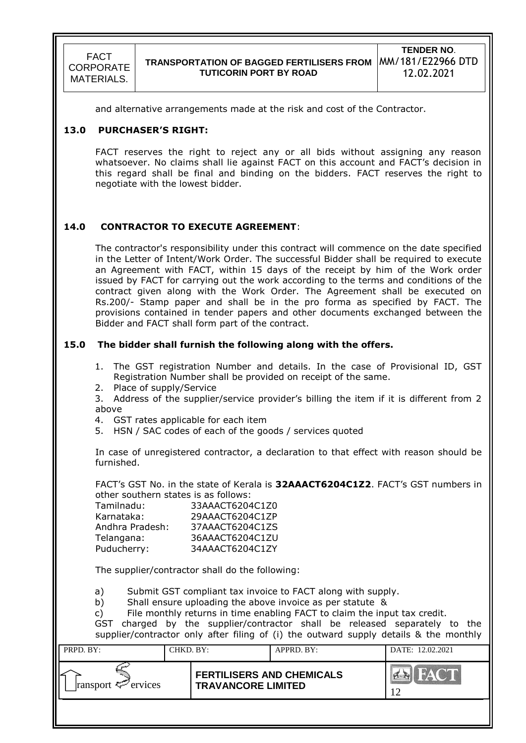and alternative arrangements made at the risk and cost of the Contractor.

#### **13.0 PURCHASER'S RIGHT:**

FACT reserves the right to reject any or all bids without assigning any reason whatsoever. No claims shall lie against FACT on this account and FACT"s decision in this regard shall be final and binding on the bidders. FACT reserves the right to negotiate with the lowest bidder.

### **14.0 CONTRACTOR TO EXECUTE AGREEMENT**:

The contractor's responsibility under this contract will commence on the date specified in the Letter of Intent/Work Order. The successful Bidder shall be required to execute an Agreement with FACT, within 15 days of the receipt by him of the Work order issued by FACT for carrying out the work according to the terms and conditions of the contract given along with the Work Order. The Agreement shall be executed on Rs.200/- Stamp paper and shall be in the pro forma as specified by FACT. The provisions contained in tender papers and other documents exchanged between the Bidder and FACT shall form part of the contract.

#### **15.0 The bidder shall furnish the following along with the offers.**

- 1. The GST registration Number and details. In the case of Provisional ID, GST Registration Number shall be provided on receipt of the same.
- 2. Place of supply/Service
- 3. Address of the supplier/service provider"s billing the item if it is different from 2 above
- 4. GST rates applicable for each item
- 5. HSN / SAC codes of each of the goods / services quoted

In case of unregistered contractor, a declaration to that effect with reason should be furnished.

FACT"s GST No. in the state of Kerala is **32AAACT6204C1Z2**. FACT"s GST numbers in other southern states is as follows:

| Tamilnadu:      | 33AAACT6204C1Z0 |
|-----------------|-----------------|
| Karnataka:      | 29AAACT6204C1ZP |
| Andhra Pradesh: | 37AAACT6204C1ZS |
| Telangana:      | 36AAACT6204C1ZU |
| Puducherry:     | 34AAACT6204C1ZY |

The supplier/contractor shall do the following:

a) Submit GST compliant tax invoice to FACT along with supply.

b) Shall ensure uploading the above invoice as per statute &

c) File monthly returns in time enabling FACT to claim the input tax credit.

GST charged by the supplier/contractor shall be released separately to the supplier/contractor only after filing of (i) the outward supply details & the monthly

| PRPD. BY:                                | CHKD. BY: |                                                               | APPRD. BY: | DATE: 12.02.2021 |
|------------------------------------------|-----------|---------------------------------------------------------------|------------|------------------|
| ransport $\epsilon$ <sup>-</sup> ervices |           | <b>FERTILISERS AND CHEMICALS</b><br><b>TRAVANCORE LIMITED</b> |            | HAC'T            |
|                                          |           |                                                               |            |                  |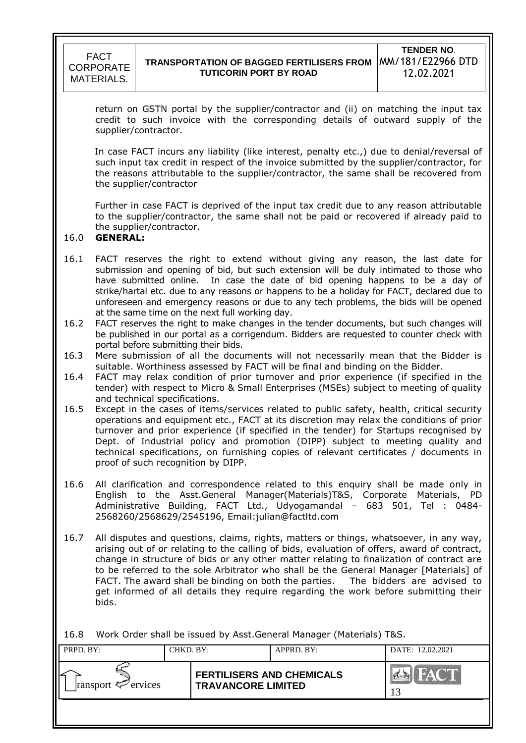

return on GSTN portal by the supplier/contractor and (ii) on matching the input tax credit to such invoice with the corresponding details of outward supply of the supplier/contractor.

In case FACT incurs any liability (like interest, penalty etc.,) due to denial/reversal of such input tax credit in respect of the invoice submitted by the supplier/contractor, for the reasons attributable to the supplier/contractor, the same shall be recovered from the supplier/contractor

Further in case FACT is deprived of the input tax credit due to any reason attributable to the supplier/contractor, the same shall not be paid or recovered if already paid to the supplier/contractor.

#### 16.0 **GENERAL:**

- 16.1 FACT reserves the right to extend without giving any reason, the last date for submission and opening of bid, but such extension will be duly intimated to those who have submitted online. In case the date of bid opening happens to be a day of strike/hartal etc. due to any reasons or happens to be a holiday for FACT, declared due to unforeseen and emergency reasons or due to any tech problems, the bids will be opened at the same time on the next full working day.
- 16.2 FACT reserves the right to make changes in the tender documents, but such changes will be published in our portal as a corrigendum. Bidders are requested to counter check with portal before submitting their bids.
- 16.3 Mere submission of all the documents will not necessarily mean that the Bidder is suitable. Worthiness assessed by FACT will be final and binding on the Bidder.
- 16.4 FACT may relax condition of prior turnover and prior experience (if specified in the tender) with respect to Micro & Small Enterprises (MSEs) subject to meeting of quality and technical specifications.
- 16.5 Except in the cases of items/services related to public safety, health, critical security operations and equipment etc., FACT at its discretion may relax the conditions of prior turnover and prior experience (if specified in the tender) for Startups recognised by Dept. of Industrial policy and promotion (DIPP) subject to meeting quality and technical specifications, on furnishing copies of relevant certificates / documents in proof of such recognition by DIPP.
- 16.6 All clarification and correspondence related to this enquiry shall be made only in English to the Asst.General Manager(Materials)T&S, Corporate Materials, PD Administrative Building, FACT Ltd., Udyogamandal – 683 501, Tel : 0484- 2568260/2568629/2545196, Email:julian@factltd.com
- 16.7 All disputes and questions, claims, rights, matters or things, whatsoever, in any way, arising out of or relating to the calling of bids, evaluation of offers, award of contract, change in structure of bids or any other matter relating to finalization of contract are to be referred to the sole Arbitrator who shall be the General Manager [Materials] of FACT. The award shall be binding on both the parties. The bidders are advised to get informed of all details they require regarding the work before submitting their bids.

16.8 Work Order shall be issued by Asst.General Manager (Materials) T&S.

| PRPD. BY:               | CHKD. BY: |                                                               | $APPRD$ . BY: | DATE: 12.02.2021 |
|-------------------------|-----------|---------------------------------------------------------------|---------------|------------------|
| ransport $\leq$ ervices |           | <b>FERTILISERS AND CHEMICALS</b><br><b>TRAVANCORE LIMITED</b> |               |                  |
|                         |           |                                                               |               |                  |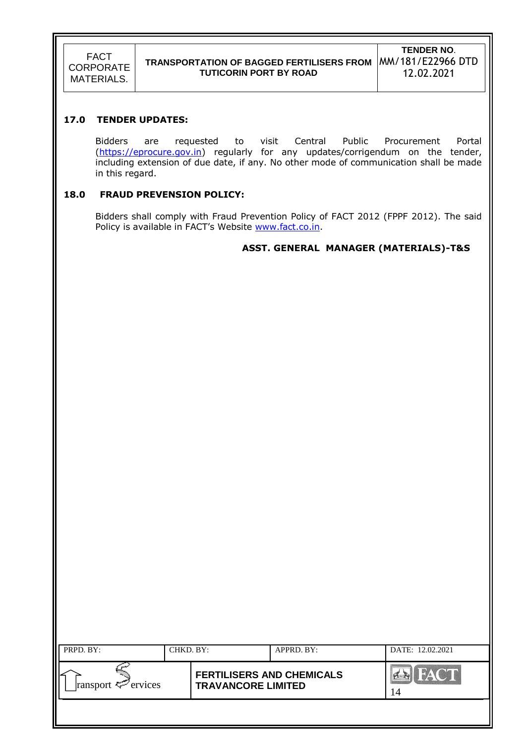### **17.0 TENDER UPDATES:**

Bidders are requested to visit Central Public Procurement Portal [\(https://eprocure.gov.in\)](https://eprocure.gov.in/) regularly for any updates/corrigendum on the tender, including extension of due date, if any. No other mode of communication shall be made in this regard.

### **18.0 FRAUD PREVENSION POLICY:**

Bidders shall comply with Fraud Prevention Policy of FACT 2012 (FPPF 2012). The said Policy is available in FACT's Website [www.fact.co.in.](http://www.fact.co.in/)

### **ASST. GENERAL MANAGER (MATERIALS)-T&S**

| PRPD. BY:               | CHKD. BY: |                                                               | APPRD. BY: | DATE: 12.02.2021  |
|-------------------------|-----------|---------------------------------------------------------------|------------|-------------------|
| ransport $\leq$ ervices |           | <b>FERTILISERS AND CHEMICALS</b><br><b>TRAVANCORE LIMITED</b> |            | <b>FACT</b><br>14 |
|                         |           |                                                               |            |                   |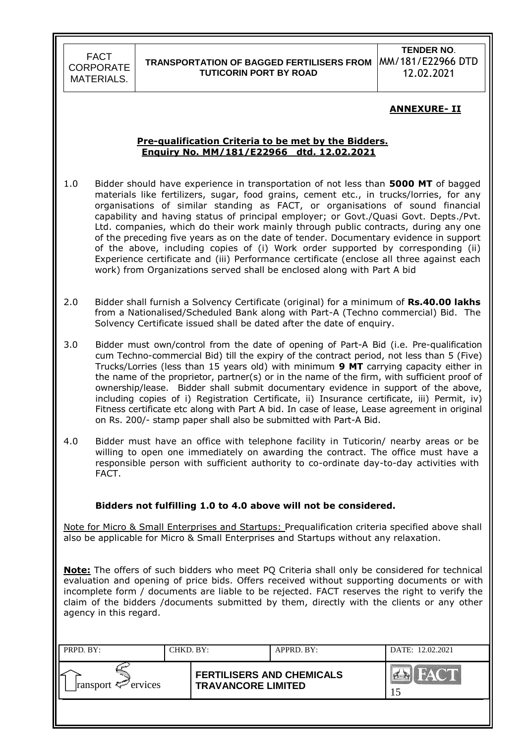### **TRANSPORTATION OF BAGGED FERTILISERS FROM TUTICORIN PORT BY ROAD**

**TENDER NO**. MM/181/E22966 DTD 12.02.2021

### **ANNEXURE- II**

#### **Pre-qualification Criteria to be met by the Bidders. Enquiry No. MM/181/E22966 dtd. 12.02.2021**

- 1.0 Bidder should have experience in transportation of not less than **5000 MT** of bagged materials like fertilizers, sugar, food grains, cement etc., in trucks/lorries, for any organisations of similar standing as FACT, or organisations of sound financial capability and having status of principal employer; or Govt./Quasi Govt. Depts./Pvt. Ltd. companies, which do their work mainly through public contracts, during any one of the preceding five years as on the date of tender. Documentary evidence in support of the above, including copies of (i) Work order supported by corresponding (ii) Experience certificate and (iii) Performance certificate (enclose all three against each work) from Organizations served shall be enclosed along with Part A bid
- 2.0 Bidder shall furnish a Solvency Certificate (original) for a minimum of **Rs.40.00 lakhs** from a Nationalised/Scheduled Bank along with Part-A (Techno commercial) Bid. The Solvency Certificate issued shall be dated after the date of enquiry.
- 3.0 Bidder must own/control from the date of opening of Part-A Bid (i.e. Pre-qualification cum Techno-commercial Bid) till the expiry of the contract period, not less than 5 (Five) Trucks/Lorries (less than 15 years old) with minimum **9 MT** carrying capacity either in the name of the proprietor, partner(s) or in the name of the firm, with sufficient proof of ownership/lease. Bidder shall submit documentary evidence in support of the above, including copies of i) Registration Certificate, ii) Insurance certificate, iii) Permit, iv) Fitness certificate etc along with Part A bid. In case of lease, Lease agreement in original on Rs. 200/- stamp paper shall also be submitted with Part-A Bid.
- 4.0 Bidder must have an office with telephone facility in Tuticorin/ nearby areas or be willing to open one immediately on awarding the contract. The office must have a responsible person with sufficient authority to co-ordinate day-to-day activities with FACT.

### **Bidders not fulfilling 1.0 to 4.0 above will not be considered.**

Note for Micro & Small Enterprises and Startups: Prequalification criteria specified above shall also be applicable for Micro & Small Enterprises and Startups without any relaxation.

**Note:** The offers of such bidders who meet PQ Criteria shall only be considered for technical evaluation and opening of price bids. Offers received without supporting documents or with incomplete form / documents are liable to be rejected. FACT reserves the right to verify the claim of the bidders /documents submitted by them, directly with the clients or any other agency in this regard.

| PRPD. BY:               | CHKD. BY: |                                                               | APPRD. BY: | DATE: 12.02.2021   |
|-------------------------|-----------|---------------------------------------------------------------|------------|--------------------|
| ransport $\leq$ ervices |           | <b>FERTILISERS AND CHEMICALS</b><br><b>TRAVANCORE LIMITED</b> |            | <b>FACT</b><br>כ ו |
|                         |           |                                                               |            |                    |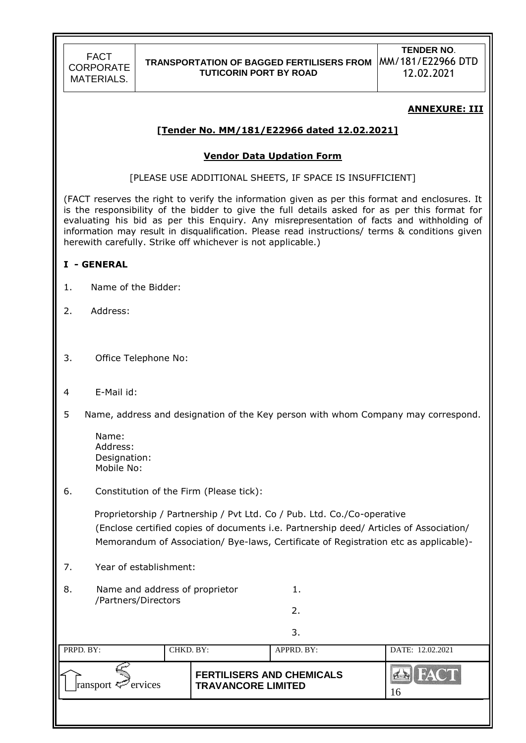**TENDER NO**. 12.02.2021

### **ANNEXURE: III**

### **[Tender No. MM/181/E22966 dated 12.02.2021]**

#### **Vendor Data Updation Form**

[PLEASE USE ADDITIONAL SHEETS, IF SPACE IS INSUFFICIENT]

(FACT reserves the right to verify the information given as per this format and enclosures. It is the responsibility of the bidder to give the full details asked for as per this format for evaluating his bid as per this Enquiry. Any misrepresentation of facts and withholding of information may result in disqualification. Please read instructions/ terms & conditions given herewith carefully. Strike off whichever is not applicable.)

#### **I - GENERAL**

- 1. Name of the Bidder:
- 2. Address:
- 3. Office Telephone No:
- 4 E-Mail id:
- 5 Name, address and designation of the Key person with whom Company may correspond.

| Name:        |
|--------------|
| Address:     |
| Designation: |
| Mobile No:   |

#### 6. Constitution of the Firm (Please tick):

 Proprietorship / Partnership / Pvt Ltd. Co / Pub. Ltd. Co./Co-operative (Enclose certified copies of documents i.e. Partnership deed/ Articles of Association/ Memorandum of Association/ Bye-laws, Certificate of Registration etc as applicable)-

2.

- 7. Year of establishment:
- 8. Name and address of proprietor 1. /Partners/Directors

|                         |           |                                                               | 3.         |                   |
|-------------------------|-----------|---------------------------------------------------------------|------------|-------------------|
| PRPD. BY:               | CHKD. BY: |                                                               | APPRD. BY: | DATE: 12.02.2021  |
| ransport $\leq$ ervices |           | <b>FERTILISERS AND CHEMICALS</b><br><b>TRAVANCORE LIMITED</b> |            | <b>FACT</b><br>16 |
|                         |           |                                                               |            |                   |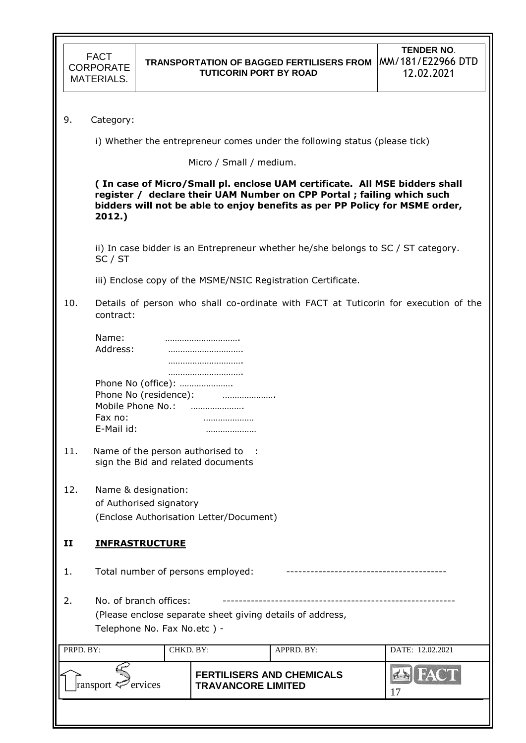| <b>FACT</b> |
|-------------|
| CORPORATE   |
| MATERIALS.  |

### **TRANSPORTATION OF BAGGED FERTILISERS FROM**  MM/181/E22966 DTD **TUTICORIN PORT BY ROAD**

| 9. | Category: |
|----|-----------|
|----|-----------|

i) Whether the entrepreneur comes under the following status (please tick)

Micro / Small / medium.

**( In case of Micro/Small pl. enclose UAM certificate. All MSE bidders shall register / declare their UAM Number on CPP Portal ; failing which such bidders will not be able to enjoy benefits as per PP Policy for MSME order, 2012.)** 

 ii) In case bidder is an Entrepreneur whether he/she belongs to SC / ST category. SC / ST

iii) Enclose copy of the MSME/NSIC Registration Certificate.

10. Details of person who shall co-ordinate with FACT at Tuticorin for execution of the contract:

| Name:                 |                    |
|-----------------------|--------------------|
| Address:              |                    |
|                       |                    |
|                       | .                  |
|                       | Phone No (office): |
| Phone No (residence): |                    |
| Mobile Phone No.:     |                    |
| Fax no:               | .                  |
| E-Mail id:            |                    |

- 11. Name of the person authorised to : sign the Bid and related documents
- 12. Name & designation: of Authorised signatory (Enclose Authorisation Letter/Document)

## **II INFRASTRUCTURE**

1. Total number of persons employed:

2. No. of branch offices: (Please enclose separate sheet giving details of address, Telephone No. Fax No.etc ) -

| PRPD. BY:               | CHKD. BY: |                                                               | APPRD. BY: | DATE: 12.02.2021 |
|-------------------------|-----------|---------------------------------------------------------------|------------|------------------|
| ransport $\leq$ ervices |           | <b>FERTILISERS AND CHEMICALS</b><br><b>TRAVANCORE LIMITED</b> |            | $H_A(T)$         |
|                         |           |                                                               |            |                  |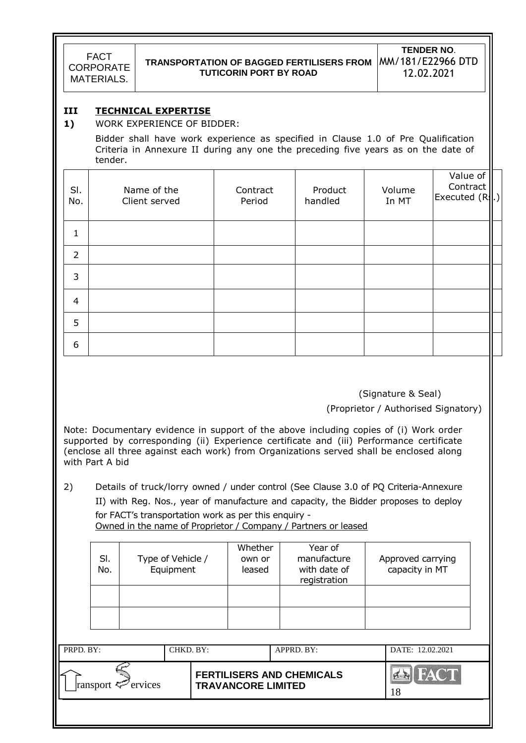# **TRANSPORTATION OF BAGGED FERTILISERS FROM**  MM/181/E22966 DTD **TUTICORIN PORT BY ROAD**

**TENDER NO**. 12.02.2021

### **III TECHNICAL EXPERTISE**

### **1)** WORK EXPERIENCE OF BIDDER:

 Bidder shall have work experience as specified in Clause 1.0 of Pre Qualification Criteria in Annexure II during any one the preceding five years as on the date of tender.

| SI.<br>No.     | Name of the<br>Client served | Contract<br>Period | Product<br>handled | Volume<br>In MT | Value of<br>Contract<br>Executed (R.J.) |  |
|----------------|------------------------------|--------------------|--------------------|-----------------|-----------------------------------------|--|
| $\mathbf{1}$   |                              |                    |                    |                 |                                         |  |
| $\overline{2}$ |                              |                    |                    |                 |                                         |  |
| 3              |                              |                    |                    |                 |                                         |  |
| $\overline{4}$ |                              |                    |                    |                 |                                         |  |
| 5              |                              |                    |                    |                 |                                         |  |
| 6              |                              |                    |                    |                 |                                         |  |

(Signature & Seal)

(Proprietor / Authorised Signatory)

Note: Documentary evidence in support of the above including copies of (i) Work order supported by corresponding (ii) Experience certificate and (iii) Performance certificate (enclose all three against each work) from Organizations served shall be enclosed along with Part A bid

2) Details of truck/lorry owned / under control (See Clause 3.0 of PQ Criteria-Annexure

II) with Reg. Nos., year of manufacture and capacity, the Bidder proposes to deploy

for FACT"s transportation work as per this enquiry - Owned in the name of Proprietor / Company / Partners or leased

| SI.<br>No. | Type of Vehicle /<br>Equipment | Whether<br>Year of<br>manufacture<br>own or<br>leased<br>with date of<br>registration |  | Approved carrying<br>capacity in MT |  |
|------------|--------------------------------|---------------------------------------------------------------------------------------|--|-------------------------------------|--|
|            |                                |                                                                                       |  |                                     |  |
|            |                                |                                                                                       |  |                                     |  |

| PRPD. BY:               | CHKD. BY: |                                                               | APPRD. BY: | DATE: 12.02.2021 |
|-------------------------|-----------|---------------------------------------------------------------|------------|------------------|
| ransport $\leq$ ervices |           | <b>FERTILISERS AND CHEMICALS</b><br><b>TRAVANCORE LIMITED</b> |            |                  |
|                         |           |                                                               |            |                  |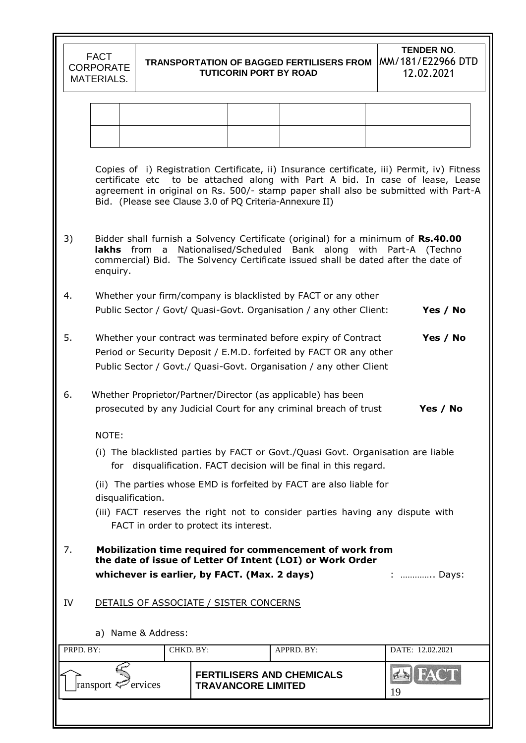|           | <b>FACT</b><br><b>CORPORATE</b><br><b>MATERIALS.</b>                                                                                                                                                                                                                                                                         |                                                                                                                                                                                                            |  | <b>TRANSPORTATION OF BAGGED FERTILISERS FROM</b><br><b>TUTICORIN PORT BY ROAD</b> |            |  |    | <b>TENDER NO.</b><br>MM/181/E22966 DTD<br>12.02.2021 |  |  |
|-----------|------------------------------------------------------------------------------------------------------------------------------------------------------------------------------------------------------------------------------------------------------------------------------------------------------------------------------|------------------------------------------------------------------------------------------------------------------------------------------------------------------------------------------------------------|--|-----------------------------------------------------------------------------------|------------|--|----|------------------------------------------------------|--|--|
|           |                                                                                                                                                                                                                                                                                                                              |                                                                                                                                                                                                            |  |                                                                                   |            |  |    |                                                      |  |  |
|           |                                                                                                                                                                                                                                                                                                                              |                                                                                                                                                                                                            |  |                                                                                   |            |  |    |                                                      |  |  |
|           |                                                                                                                                                                                                                                                                                                                              |                                                                                                                                                                                                            |  |                                                                                   |            |  |    |                                                      |  |  |
|           | Copies of i) Registration Certificate, ii) Insurance certificate, iii) Permit, iv) Fitness<br>certificate etc to be attached along with Part A bid. In case of lease, Lease<br>agreement in original on Rs. 500/- stamp paper shall also be submitted with Part-A<br>Bid. (Please see Clause 3.0 of PQ Criteria-Annexure II) |                                                                                                                                                                                                            |  |                                                                                   |            |  |    |                                                      |  |  |
| 3)        | Bidder shall furnish a Solvency Certificate (original) for a minimum of Rs.40.00<br>lakhs from a Nationalised/Scheduled Bank along with Part-A (Techno<br>commercial) Bid. The Solvency Certificate issued shall be dated after the date of<br>enquiry.                                                                      |                                                                                                                                                                                                            |  |                                                                                   |            |  |    |                                                      |  |  |
| 4.        |                                                                                                                                                                                                                                                                                                                              | Whether your firm/company is blacklisted by FACT or any other<br>Public Sector / Govt/ Quasi-Govt. Organisation / any other Client:                                                                        |  |                                                                                   |            |  |    | Yes / No                                             |  |  |
| 5.        |                                                                                                                                                                                                                                                                                                                              | Whether your contract was terminated before expiry of Contract<br>Period or Security Deposit / E.M.D. forfeited by FACT OR any other<br>Public Sector / Govt./ Quasi-Govt. Organisation / any other Client |  |                                                                                   |            |  |    | Yes / No                                             |  |  |
| 6.        |                                                                                                                                                                                                                                                                                                                              | Whether Proprietor/Partner/Director (as applicable) has been<br>prosecuted by any Judicial Court for any criminal breach of trust                                                                          |  |                                                                                   |            |  |    | Yes / No                                             |  |  |
|           | NOTE:                                                                                                                                                                                                                                                                                                                        |                                                                                                                                                                                                            |  |                                                                                   |            |  |    |                                                      |  |  |
|           |                                                                                                                                                                                                                                                                                                                              | (i) The blacklisted parties by FACT or Govt./Quasi Govt. Organisation are liable<br>for disqualification. FACT decision will be final in this regard.                                                      |  |                                                                                   |            |  |    |                                                      |  |  |
|           | disqualification.                                                                                                                                                                                                                                                                                                            | (ii) The parties whose EMD is forfeited by FACT are also liable for                                                                                                                                        |  |                                                                                   |            |  |    |                                                      |  |  |
|           |                                                                                                                                                                                                                                                                                                                              | (iii) FACT reserves the right not to consider parties having any dispute with<br>FACT in order to protect its interest.                                                                                    |  |                                                                                   |            |  |    |                                                      |  |  |
| 7.        | Mobilization time required for commencement of work from<br>the date of issue of Letter Of Intent (LOI) or Work Order<br>whichever is earlier, by FACT. (Max. 2 days)<br>:  Days:                                                                                                                                            |                                                                                                                                                                                                            |  |                                                                                   |            |  |    |                                                      |  |  |
| IV        |                                                                                                                                                                                                                                                                                                                              | DETAILS OF ASSOCIATE / SISTER CONCERNS                                                                                                                                                                     |  |                                                                                   |            |  |    |                                                      |  |  |
|           |                                                                                                                                                                                                                                                                                                                              | a) Name & Address:                                                                                                                                                                                         |  |                                                                                   |            |  |    |                                                      |  |  |
| PRPD. BY: |                                                                                                                                                                                                                                                                                                                              | CHKD. BY:                                                                                                                                                                                                  |  |                                                                                   | APPRD. BY: |  |    | DATE: 12.02.2021                                     |  |  |
|           | ransport <sup>exp</sup> ervices                                                                                                                                                                                                                                                                                              |                                                                                                                                                                                                            |  | <b>FERTILISERS AND CHEMICALS</b><br><b>TRAVANCORE LIMITED</b>                     |            |  | 19 |                                                      |  |  |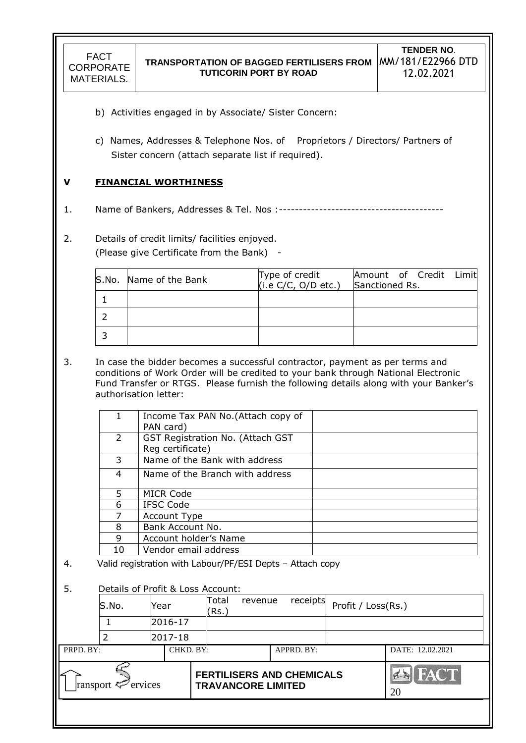- b) Activities engaged in by Associate/ Sister Concern:
- c) Names, Addresses & Telephone Nos. of Proprietors / Directors/ Partners of Sister concern (attach separate list if required).

### **V FINANCIAL WORTHINESS**

- 1. Name of Bankers, Addresses & Tel. Nos :-----------------------------------------
- 2. Details of credit limits/ facilities enjoyed.

(Please give Certificate from the Bank) -

| S.No. Name of the Bank | Type of credit<br>(i.e $C/C$ , $O/D$ etc.) | Amount of Credit Limit<br>Sanctioned Rs. |
|------------------------|--------------------------------------------|------------------------------------------|
|                        |                                            |                                          |
|                        |                                            |                                          |
|                        |                                            |                                          |

3. In case the bidder becomes a successful contractor, payment as per terms and conditions of Work Order will be credited to your bank through National Electronic Fund Transfer or RTGS. Please furnish the following details along with your Banker"s authorisation letter:

|               | Income Tax PAN No. (Attach copy of<br>PAN card)      |
|---------------|------------------------------------------------------|
| $\mathcal{L}$ | GST Registration No. (Attach GST<br>Reg certificate) |
| 3             | Name of the Bank with address                        |
| 4             | Name of the Branch with address                      |
| 5.            | MICR Code                                            |
| 6             | IFSC Code                                            |
| 7             | Account Type                                         |
| 8             | Bank Account No.                                     |
| 9             | Account holder's Name                                |
| 10            | Vendor email address                                 |

4. Valid registration with Labour/PF/ESI Depts – Attach copy

### 5. Details of Profit & Loss Account:

|                               | S.No. | Year    |           | receipts<br>Total<br>revenue<br>(Rs.) |  | Profit / Loss(Rs.)                                            |            |                            |                  |
|-------------------------------|-------|---------|-----------|---------------------------------------|--|---------------------------------------------------------------|------------|----------------------------|------------------|
|                               |       | 2016-17 |           |                                       |  |                                                               |            |                            |                  |
|                               |       | 2017-18 |           |                                       |  |                                                               |            |                            |                  |
| PRPD. BY:                     |       |         | CHKD. BY: |                                       |  |                                                               | APPRD. BY: |                            | DATE: 12.02.2021 |
| ransport <sup>2</sup> ervices |       |         |           |                                       |  | <b>FERTILISERS AND CHEMICALS</b><br><b>TRAVANCORE LIMITED</b> |            | <b>FACT</b><br>HERIL<br>20 |                  |
|                               |       |         |           |                                       |  |                                                               |            |                            |                  |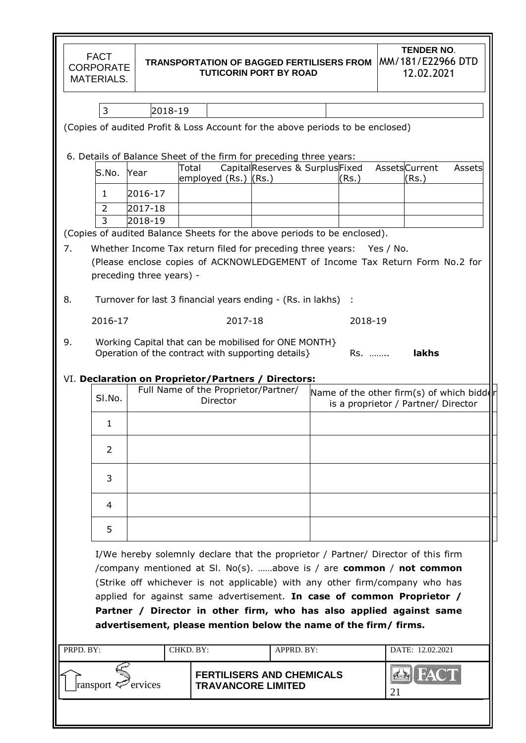| <b>FACT</b><br><b>CORPORATE</b><br><b>MATERIALS.</b>                           |                                                     |                                                  | <b>TRANSPORTATION OF BAGGED FERTILISERS FROM</b><br><b>TUTICORIN PORT BY ROAD</b>                                                     |         | <b>TENDER NO.</b><br>MM/181/E22966 DTD<br>12.02.2021                                                                                                                                                                                                                                                                                                                                                    |
|--------------------------------------------------------------------------------|-----------------------------------------------------|--------------------------------------------------|---------------------------------------------------------------------------------------------------------------------------------------|---------|---------------------------------------------------------------------------------------------------------------------------------------------------------------------------------------------------------------------------------------------------------------------------------------------------------------------------------------------------------------------------------------------------------|
| 3                                                                              | 2018-19                                             |                                                  |                                                                                                                                       |         |                                                                                                                                                                                                                                                                                                                                                                                                         |
| (Copies of audited Profit & Loss Account for the above periods to be enclosed) |                                                     |                                                  |                                                                                                                                       |         |                                                                                                                                                                                                                                                                                                                                                                                                         |
|                                                                                |                                                     |                                                  |                                                                                                                                       |         |                                                                                                                                                                                                                                                                                                                                                                                                         |
| 6. Details of Balance Sheet of the firm for preceding three years:             | Total                                               |                                                  | CapitalReserves & SurplusFixed                                                                                                        |         | <b>AssetsCurrent</b><br>Assets                                                                                                                                                                                                                                                                                                                                                                          |
| S.No.                                                                          | Year                                                | employed (Rs.) (Rs.)                             |                                                                                                                                       | (Rs.)   | (Rs.)                                                                                                                                                                                                                                                                                                                                                                                                   |
| 1<br>$\overline{2}$                                                            | 2016-17<br>2017-18                                  |                                                  |                                                                                                                                       |         |                                                                                                                                                                                                                                                                                                                                                                                                         |
| 3                                                                              | 2018-19                                             |                                                  |                                                                                                                                       |         |                                                                                                                                                                                                                                                                                                                                                                                                         |
| (Copies of audited Balance Sheets for the above periods to be enclosed).       |                                                     |                                                  |                                                                                                                                       |         |                                                                                                                                                                                                                                                                                                                                                                                                         |
| 7.<br>8.                                                                       | preceding three years) -                            |                                                  | Whether Income Tax return filed for preceding three years: Yes / No.<br>Turnover for last 3 financial years ending - (Rs. in lakhs) : |         | (Please enclose copies of ACKNOWLEDGEMENT of Income Tax Return Form No.2 for                                                                                                                                                                                                                                                                                                                            |
| 2016-17                                                                        |                                                     | 2017-18                                          |                                                                                                                                       | 2018-19 |                                                                                                                                                                                                                                                                                                                                                                                                         |
| 9.<br>VI. Declaration on Proprietor/Partners / Directors:                      | Operation of the contract with supporting details } |                                                  | Working Capital that can be mobilised for ONE MONTH}                                                                                  | Rs.     | lakhs                                                                                                                                                                                                                                                                                                                                                                                                   |
| SI.No.                                                                         |                                                     | Full Name of the Proprietor/Partner/<br>Director |                                                                                                                                       |         | Name of the other firm(s) of which bidder<br>is a proprietor / Partner/ Director                                                                                                                                                                                                                                                                                                                        |
| 1                                                                              |                                                     |                                                  |                                                                                                                                       |         |                                                                                                                                                                                                                                                                                                                                                                                                         |
| $\overline{2}$                                                                 |                                                     |                                                  |                                                                                                                                       |         |                                                                                                                                                                                                                                                                                                                                                                                                         |
| 3                                                                              |                                                     |                                                  |                                                                                                                                       |         |                                                                                                                                                                                                                                                                                                                                                                                                         |
| 4                                                                              |                                                     |                                                  |                                                                                                                                       |         |                                                                                                                                                                                                                                                                                                                                                                                                         |
| 5                                                                              |                                                     |                                                  |                                                                                                                                       |         |                                                                                                                                                                                                                                                                                                                                                                                                         |
|                                                                                |                                                     |                                                  | advertisement, please mention below the name of the firm/ firms.                                                                      |         | I/We hereby solemnly declare that the proprietor / Partner/ Director of this firm<br>/company mentioned at SI. No(s). above is / are <b>common</b> / <b>not common</b><br>(Strike off whichever is not applicable) with any other firm/company who has<br>applied for against same advertisement. In case of common Proprietor /<br>Partner / Director in other firm, who has also applied against same |
| PRPD. BY:                                                                      | CHKD. BY:                                           |                                                  | APPRD. BY:                                                                                                                            |         | DATE: 12.02.2021                                                                                                                                                                                                                                                                                                                                                                                        |
| ransport <sup>exp</sup> ervices                                                |                                                     | <b>TRAVANCORE LIMITED</b>                        | <b>FERTILISERS AND CHEMICALS</b>                                                                                                      |         | 21                                                                                                                                                                                                                                                                                                                                                                                                      |
|                                                                                |                                                     |                                                  |                                                                                                                                       |         |                                                                                                                                                                                                                                                                                                                                                                                                         |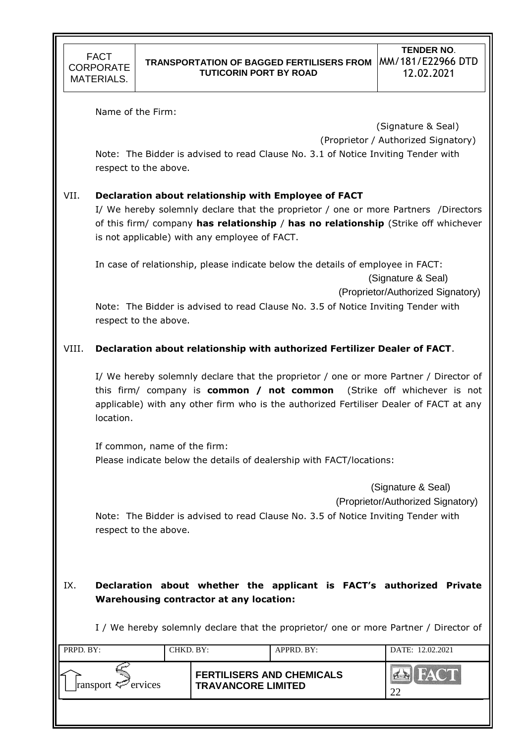Name of the Firm:

 (Signature & Seal) (Proprietor / Authorized Signatory)

Note: The Bidder is advised to read Clause No. 3.1 of Notice Inviting Tender with respect to the above.

# VII. **Declaration about relationship with Employee of FACT**

I/ We hereby solemnly declare that the proprietor / one or more Partners /Directors of this firm/ company **has relationship** / **has no relationship** (Strike off whichever is not applicable) with any employee of FACT.

In case of relationship, please indicate below the details of employee in FACT:

(Signature & Seal)

(Proprietor/Authorized Signatory)

Note: The Bidder is advised to read Clause No. 3.5 of Notice Inviting Tender with respect to the above.

# VIII. **Declaration about relationship with authorized Fertilizer Dealer of FACT**.

I/ We hereby solemnly declare that the proprietor / one or more Partner / Director of this firm/ company is **common / not common** (Strike off whichever is not applicable) with any other firm who is the authorized Fertiliser Dealer of FACT at any location.

If common, name of the firm: Please indicate below the details of dealership with FACT/locations:

> (Signature & Seal) (Proprietor/Authorized Signatory)

Note: The Bidder is advised to read Clause No. 3.5 of Notice Inviting Tender with respect to the above.

# IX. **Declaration about whether the applicant is FACT's authorized Private Warehousing contractor at any location:**

I / We hereby solemnly declare that the proprietor/ one or more Partner / Director of

| PRPD. BY:               | CHKD. BY: |                                                               | APPRD. BY: | DATE: 12.02.2021 |  |
|-------------------------|-----------|---------------------------------------------------------------|------------|------------------|--|
| ransport $\leq$ ervices |           | <b>FERTILISERS AND CHEMICALS</b><br><b>TRAVANCORE LIMITED</b> |            | 22               |  |
|                         |           |                                                               |            |                  |  |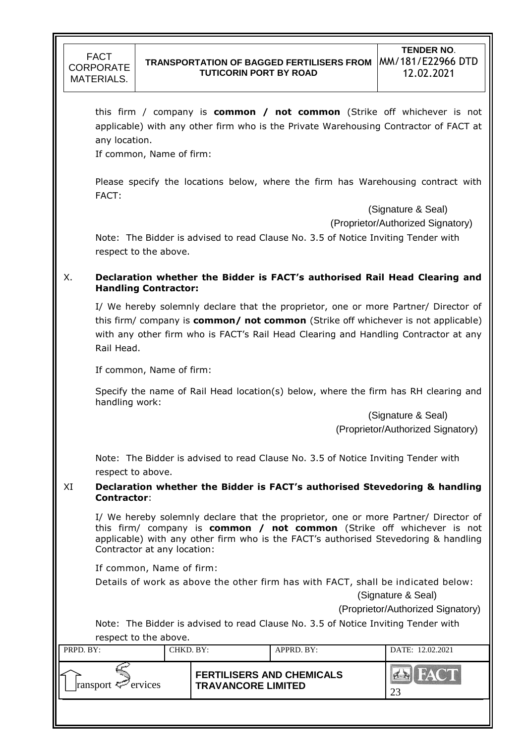

this firm / company is **common / not common** (Strike off whichever is not applicable) with any other firm who is the Private Warehousing Contractor of FACT at any location.

If common, Name of firm:

Please specify the locations below, where the firm has Warehousing contract with FACT:

(Signature & Seal)

(Proprietor/Authorized Signatory)

Note: The Bidder is advised to read Clause No. 3.5 of Notice Inviting Tender with respect to the above.

### X. **Declaration whether the Bidder is FACT's authorised Rail Head Clearing and Handling Contractor:**

I/ We hereby solemnly declare that the proprietor, one or more Partner/ Director of this firm/ company is **common/ not common** (Strike off whichever is not applicable) with any other firm who is FACT's Rail Head Clearing and Handling Contractor at any Rail Head.

If common, Name of firm:

Specify the name of Rail Head location(s) below, where the firm has RH clearing and handling work:

> (Signature & Seal) (Proprietor/Authorized Signatory)

Note: The Bidder is advised to read Clause No. 3.5 of Notice Inviting Tender with respect to above.

### XI **Declaration whether the Bidder is FACT's authorised Stevedoring & handling Contractor**:

I/ We hereby solemnly declare that the proprietor, one or more Partner/ Director of this firm/ company is **common / not common** (Strike off whichever is not applicable) with any other firm who is the FACT's authorised Stevedoring & handling Contractor at any location:

If common, Name of firm:

Details of work as above the other firm has with FACT, shall be indicated below:

(Signature & Seal)

(Proprietor/Authorized Signatory)

Note: The Bidder is advised to read Clause No. 3.5 of Notice Inviting Tender with respect to the above.

| PRPD. BY:               | CHKD. BY: |                                                               | APPRD. BY: | DATE: 12.02.2021 |
|-------------------------|-----------|---------------------------------------------------------------|------------|------------------|
| ransport $\leq$ ervices |           | <b>FERTILISERS AND CHEMICALS</b><br><b>TRAVANCORE LIMITED</b> |            |                  |
|                         |           |                                                               |            |                  |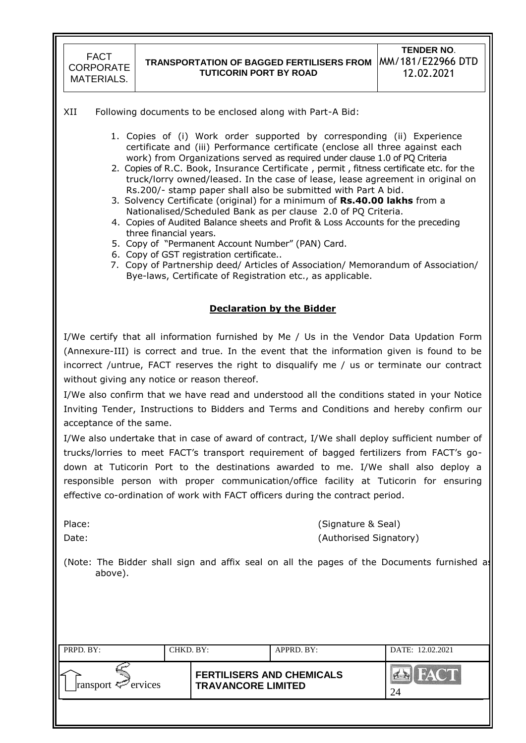### **TRANSPORTATION OF BAGGED FERTILISERS FROM**  MM/181/E22966 DTD **TUTICORIN PORT BY ROAD**

#### XII Following documents to be enclosed along with Part-A Bid:

- 1. Copies of (i) Work order supported by corresponding (ii) Experience certificate and (iii) Performance certificate (enclose all three against each work) from Organizations served as required under clause 1.0 of PQ Criteria
- 2. Copies of R.C. Book, Insurance Certificate , permit , fitness certificate etc. for the truck/lorry owned/leased. In the case of lease, lease agreement in original on Rs.200/- stamp paper shall also be submitted with Part A bid.
- 3. Solvency Certificate (original) for a minimum of **Rs.40.00 lakhs** from a Nationalised/Scheduled Bank as per clause 2.0 of PQ Criteria.
- 4. Copies of Audited Balance sheets and Profit & Loss Accounts for the preceding three financial years.
- 5. Copy of "Permanent Account Number" (PAN) Card.
- 6. Copy of GST registration certificate..
- 7. Copy of Partnership deed/ Articles of Association/ Memorandum of Association/ Bye-laws, Certificate of Registration etc., as applicable.

### **Declaration by the Bidder**

I/We certify that all information furnished by Me / Us in the Vendor Data Updation Form (Annexure-III) is correct and true. In the event that the information given is found to be incorrect /untrue, FACT reserves the right to disqualify me / us or terminate our contract without giving any notice or reason thereof.

I/We also confirm that we have read and understood all the conditions stated in your Notice Inviting Tender, Instructions to Bidders and Terms and Conditions and hereby confirm our acceptance of the same.

I/We also undertake that in case of award of contract, I/We shall deploy sufficient number of trucks/lorries to meet FACT"s transport requirement of bagged fertilizers from FACT"s godown at Tuticorin Port to the destinations awarded to me. I/We shall also deploy a responsible person with proper communication/office facility at Tuticorin for ensuring effective co-ordination of work with FACT officers during the contract period.

Place: (Signature & Seal) Date: (Authorised Signatory)

(Note: The Bidder shall sign and affix seal on all the pages of the Documents furnished as above).

| PRPD. BY:               | CHKD. BY: |                                                               | APPRD. BY: | DATE: 12.02.2021     |  |  |
|-------------------------|-----------|---------------------------------------------------------------|------------|----------------------|--|--|
| ransport $\leq$ ervices |           | <b>FERTILISERS AND CHEMICALS</b><br><b>TRAVANCORE LIMITED</b> |            | $\sum_{i=1}^n$<br>24 |  |  |
|                         |           |                                                               |            |                      |  |  |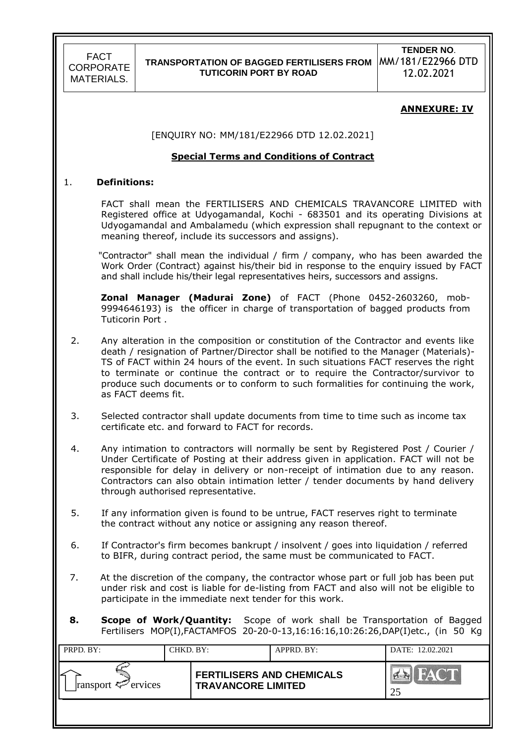**TENDER NO**. MM/181/E22966 DTD 12.02.2021

#### **ANNEXURE: IV**

[ENQUIRY NO: MM/181/E22966 DTD 12.02.2021]

#### **Special Terms and Conditions of Contract**

#### 1. **Definitions:**

FACT shall mean the FERTILISERS AND CHEMICALS TRAVANCORE LIMITED with Registered office at Udyogamandal, Kochi - 683501 and its operating Divisions at Udyogamandal and Ambalamedu (which expression shall repugnant to the context or meaning thereof, include its successors and assigns).

"Contractor" shall mean the individual / firm / company, who has been awarded the Work Order (Contract) against his/their bid in response to the enquiry issued by FACT and shall include his/their legal representatives heirs, successors and assigns.

 **Zonal Manager (Madurai Zone)** of FACT (Phone 0452-2603260, mob-9994646193) is the officer in charge of transportation of bagged products from Tuticorin Port .

- 2. Any alteration in the composition or constitution of the Contractor and events like death / resignation of Partner/Director shall be notified to the Manager (Materials)- TS of FACT within 24 hours of the event. In such situations FACT reserves the right to terminate or continue the contract or to require the Contractor/survivor to produce such documents or to conform to such formalities for continuing the work, as FACT deems fit.
- 3. Selected contractor shall update documents from time to time such as income tax certificate etc. and forward to FACT for records.
- 4. Any intimation to contractors will normally be sent by Registered Post / Courier / Under Certificate of Posting at their address given in application. FACT will not be responsible for delay in delivery or non-receipt of intimation due to any reason. Contractors can also obtain intimation letter / tender documents by hand delivery through authorised representative.
- 5. If any information given is found to be untrue, FACT reserves right to terminate the contract without any notice or assigning any reason thereof.
- 6. If Contractor's firm becomes bankrupt / insolvent / goes into liquidation / referred to BIFR, during contract period, the same must be communicated to FACT.
- 7. At the discretion of the company, the contractor whose part or full job has been put under risk and cost is liable for de-listing from FACT and also will not be eligible to participate in the immediate next tender for this work.
- **8. Scope of Work/Quantity:** Scope of work shall be Transportation of Bagged Fertilisers MOP(I),FACTAMFOS 20-20-0-13,16:16:16,10:26:26,DAP(I)etc., (in 50 Kg

| PRPD. BY:               | CHKD. BY: | APPRD. BY:                                                    |  | DATE: 12.02.2021    |
|-------------------------|-----------|---------------------------------------------------------------|--|---------------------|
| ransport $\leq$ ervices |           | <b>FERTILISERS AND CHEMICALS</b><br><b>TRAVANCORE LIMITED</b> |  | <b>TAY OF</b><br>25 |
|                         |           |                                                               |  |                     |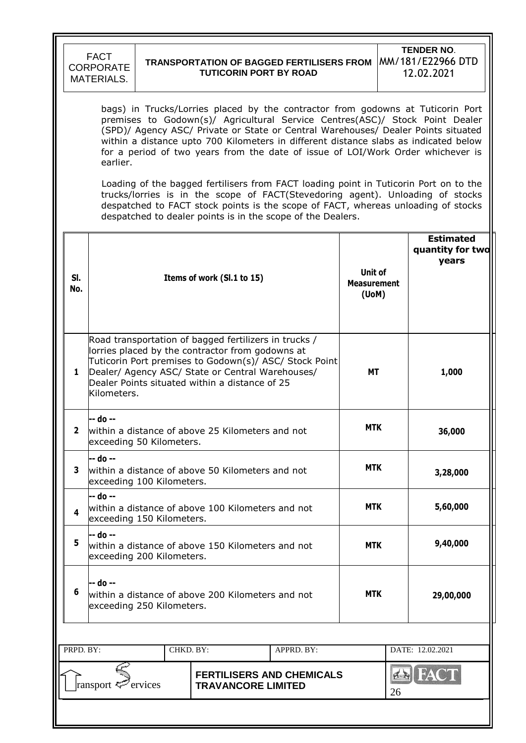|              | <b>FACT</b><br><b>CORPORATE</b><br><b>MATERIALS.</b>                                                                                                                                                                                                                                                                                                                                                                                        | <b>TENDER NO.</b><br>MM/181/E22966 DTD<br><b>TRANSPORTATION OF BAGGED FERTILISERS FROM</b><br><b>TUTICORIN PORT BY ROAD</b><br>12.02.2021 |  |                                                                                                                                                                                                                                                                                                                             |  |                                        |            |                                               |  |  |
|--------------|---------------------------------------------------------------------------------------------------------------------------------------------------------------------------------------------------------------------------------------------------------------------------------------------------------------------------------------------------------------------------------------------------------------------------------------------|-------------------------------------------------------------------------------------------------------------------------------------------|--|-----------------------------------------------------------------------------------------------------------------------------------------------------------------------------------------------------------------------------------------------------------------------------------------------------------------------------|--|----------------------------------------|------------|-----------------------------------------------|--|--|
|              | bags) in Trucks/Lorries placed by the contractor from godowns at Tuticorin Port<br>premises to Godown(s)/ Agricultural Service Centres(ASC)/ Stock Point Dealer<br>(SPD)/ Agency ASC/ Private or State or Central Warehouses/ Dealer Points situated<br>within a distance upto 700 Kilometers in different distance slabs as indicated below<br>for a period of two years from the date of issue of LOI/Work Order whichever is<br>earlier. |                                                                                                                                           |  |                                                                                                                                                                                                                                                                                                                             |  |                                        |            |                                               |  |  |
|              |                                                                                                                                                                                                                                                                                                                                                                                                                                             |                                                                                                                                           |  | Loading of the bagged fertilisers from FACT loading point in Tuticorin Port on to the<br>trucks/lorries is in the scope of FACT(Stevedoring agent). Unloading of stocks<br>despatched to FACT stock points is the scope of FACT, whereas unloading of stocks<br>despatched to dealer points is in the scope of the Dealers. |  |                                        |            |                                               |  |  |
| SI.<br>No.   |                                                                                                                                                                                                                                                                                                                                                                                                                                             |                                                                                                                                           |  | Items of work (SI.1 to 15)                                                                                                                                                                                                                                                                                                  |  | Unit of<br><b>Measurement</b><br>(UoM) |            | <b>Estimated</b><br>quantity for two<br>years |  |  |
| $\mathbf{1}$ | Road transportation of bagged fertilizers in trucks /<br>lorries placed by the contractor from godowns at<br>Tuticorin Port premises to Godown(s)/ ASC/ Stock Point<br>Dealer/ Agency ASC/ State or Central Warehouses/<br>Dealer Points situated within a distance of 25<br>Kilometers.                                                                                                                                                    |                                                                                                                                           |  |                                                                                                                                                                                                                                                                                                                             |  |                                        | МT         | 1,000                                         |  |  |
|              | -- do --<br>exceeding 50 Kilometers.                                                                                                                                                                                                                                                                                                                                                                                                        |                                                                                                                                           |  | within a distance of above 25 Kilometers and not                                                                                                                                                                                                                                                                            |  | <b>MTK</b>                             |            | 36,000                                        |  |  |
| 3            | -- do --<br>exceeding 100 Kilometers.                                                                                                                                                                                                                                                                                                                                                                                                       |                                                                                                                                           |  | within a distance of above 50 Kilometers and not                                                                                                                                                                                                                                                                            |  | <b>MTK</b>                             |            | 3,28,000                                      |  |  |
| 4            | -- do --<br>exceeding 150 Kilometers.                                                                                                                                                                                                                                                                                                                                                                                                       |                                                                                                                                           |  | within a distance of above 100 Kilometers and not                                                                                                                                                                                                                                                                           |  | <b>MTK</b>                             |            | 5,60,000                                      |  |  |
| 5            | -- do --<br>exceeding 200 Kilometers.                                                                                                                                                                                                                                                                                                                                                                                                       |                                                                                                                                           |  | within a distance of above 150 Kilometers and not                                                                                                                                                                                                                                                                           |  | <b>MTK</b>                             |            | 9,40,000                                      |  |  |
| 6            | -- do --<br>within a distance of above 200 Kilometers and not<br>exceeding 250 Kilometers.                                                                                                                                                                                                                                                                                                                                                  |                                                                                                                                           |  |                                                                                                                                                                                                                                                                                                                             |  |                                        | <b>MTK</b> | 29,00,000                                     |  |  |
|              | PRPD. BY:<br>DATE: 12.02.2021<br>CHKD. BY:<br>APPRD. BY:                                                                                                                                                                                                                                                                                                                                                                                    |                                                                                                                                           |  |                                                                                                                                                                                                                                                                                                                             |  |                                        |            |                                               |  |  |
|              | <b>EN FACT</b><br><b>FERTILISERS AND CHEMICALS</b><br>ransport <sup>2</sup> ervices<br><b>TRAVANCORE LIMITED</b><br>26                                                                                                                                                                                                                                                                                                                      |                                                                                                                                           |  |                                                                                                                                                                                                                                                                                                                             |  |                                        |            |                                               |  |  |
|              |                                                                                                                                                                                                                                                                                                                                                                                                                                             |                                                                                                                                           |  |                                                                                                                                                                                                                                                                                                                             |  |                                        |            |                                               |  |  |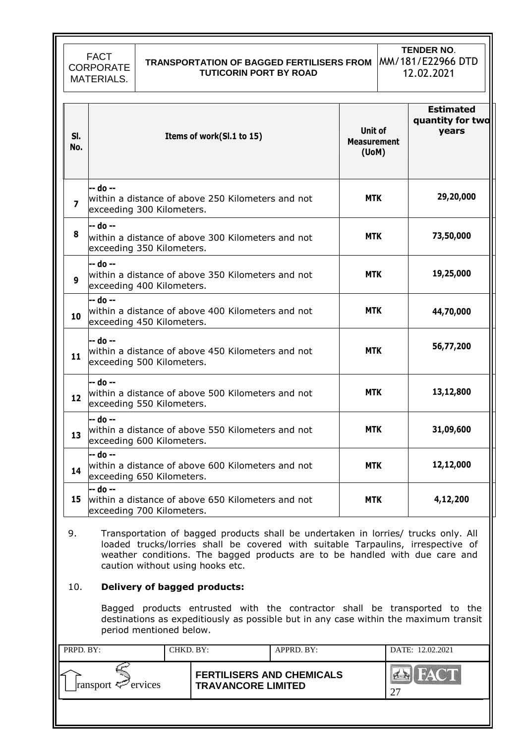FACT CORPORATE MATERIALS. **TRANSPORTATION OF BAGGED FERTILISERS FROM**  MM/181/E22966 DTD **TUTICORIN PORT BY ROAD TENDER NO**. 12.02.2021

| SI.<br>No.              | Items of work(Sl.1 to 15)                                                                  | Unit of<br><b>Measurement</b><br>$($ UoM $)$ | <b>Estimated</b><br>quantity for two<br>years |
|-------------------------|--------------------------------------------------------------------------------------------|----------------------------------------------|-----------------------------------------------|
| $\overline{\mathbf{z}}$ | -- do --<br>within a distance of above 250 Kilometers and not<br>exceeding 300 Kilometers. | MTK.                                         | 29,20,000                                     |
| 8                       | -- do --<br>within a distance of above 300 Kilometers and not<br>exceeding 350 Kilometers. | <b>MTK</b>                                   | 73,50,000                                     |
| 9                       | -- do --<br>within a distance of above 350 Kilometers and not<br>exceeding 400 Kilometers. | <b>MTK</b>                                   | 19,25,000                                     |
| 10                      | -- do --<br>within a distance of above 400 Kilometers and not<br>exceeding 450 Kilometers. | <b>MTK</b>                                   | 44,70,000                                     |
| 11                      | -- do --<br>within a distance of above 450 Kilometers and not<br>exceeding 500 Kilometers. | <b>MTK</b>                                   | 56,77,200                                     |
| 12                      | -- do --<br>within a distance of above 500 Kilometers and not<br>exceeding 550 Kilometers. | MTK.                                         | 13,12,800                                     |
| 13                      | -- do --<br>within a distance of above 550 Kilometers and not<br>exceeding 600 Kilometers. | <b>MTK</b>                                   | 31,09,600                                     |
| 14                      | -- do --<br>within a distance of above 600 Kilometers and not<br>exceeding 650 Kilometers. | <b>MTK</b>                                   | 12,12,000                                     |
| 15                      | -- do --<br>within a distance of above 650 Kilometers and not<br>exceeding 700 Kilometers. | <b>MTK</b>                                   | 4,12,200                                      |

9. Transportation of bagged products shall be undertaken in lorries/ trucks only. All loaded trucks/lorries shall be covered with suitable Tarpaulins, irrespective of weather conditions. The bagged products are to be handled with due care and caution without using hooks etc.

#### 10. **Delivery of bagged products:**

Bagged products entrusted with the contractor shall be transported to the destinations as expeditiously as possible but in any case within the maximum transit period mentioned below.

| PRPD. BY:               | CHKD. BY: |                                                               | APPRD. BY: | DATE: 12.02.2021 |
|-------------------------|-----------|---------------------------------------------------------------|------------|------------------|
| ransport $\leq$ ervices |           | <b>FERTILISERS AND CHEMICALS</b><br><b>TRAVANCORE LIMITED</b> |            |                  |
|                         |           |                                                               |            |                  |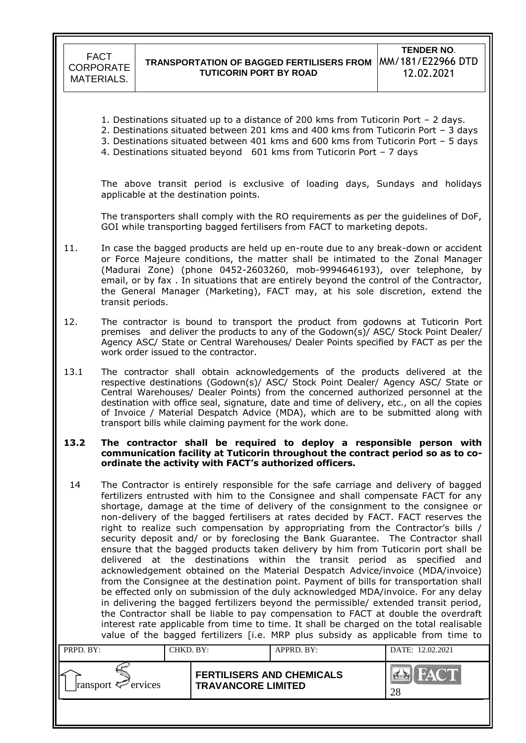- 1. Destinations situated up to a distance of 200 kms from Tuticorin Port 2 days.
- 2. Destinations situated between 201 kms and 400 kms from Tuticorin Port 3 days
- 3. Destinations situated between 401 kms and 600 kms from Tuticorin Port 5 days
- 4. Destinations situated beyond 601 kms from Tuticorin Port 7 days

The above transit period is exclusive of loading days, Sundays and holidays applicable at the destination points.

The transporters shall comply with the RO requirements as per the guidelines of DoF, GOI while transporting bagged fertilisers from FACT to marketing depots.

- 11. In case the bagged products are held up en-route due to any break-down or accident or Force Majeure conditions, the matter shall be intimated to the Zonal Manager (Madurai Zone) (phone 0452-2603260, mob-9994646193), over telephone, by email, or by fax . In situations that are entirely beyond the control of the Contractor, the General Manager (Marketing), FACT may, at his sole discretion, extend the transit periods.
- 12. The contractor is bound to transport the product from godowns at Tuticorin Port premises and deliver the products to any of the Godown(s)/ ASC/ Stock Point Dealer/ Agency ASC/ State or Central Warehouses/ Dealer Points specified by FACT as per the work order issued to the contractor.
- 13.1 The contractor shall obtain acknowledgements of the products delivered at the respective destinations (Godown(s)/ ASC/ Stock Point Dealer/ Agency ASC/ State or Central Warehouses/ Dealer Points) from the concerned authorized personnel at the destination with office seal, signature, date and time of delivery, etc., on all the copies of Invoice / Material Despatch Advice (MDA), which are to be submitted along with transport bills while claiming payment for the work done.

#### **13.2 The contractor shall be required to deploy a responsible person with communication facility at Tuticorin throughout the contract period so as to coordinate the activity with FACT's authorized officers.**

14 The Contractor is entirely responsible for the safe carriage and delivery of bagged fertilizers entrusted with him to the Consignee and shall compensate FACT for any shortage, damage at the time of delivery of the consignment to the consignee or non-delivery of the bagged fertilisers at rates decided by FACT. FACT reserves the right to realize such compensation by appropriating from the Contractor's bills  $/$ security deposit and/ or by foreclosing the Bank Guarantee. The Contractor shall ensure that the bagged products taken delivery by him from Tuticorin port shall be delivered at the destinations within the transit period as specified and acknowledgement obtained on the Material Despatch Advice/invoice (MDA/invoice) from the Consignee at the destination point. Payment of bills for transportation shall be effected only on submission of the duly acknowledged MDA/invoice. For any delay in delivering the bagged fertilizers beyond the permissible/ extended transit period, the Contractor shall be liable to pay compensation to FACT at double the overdraft interest rate applicable from time to time. It shall be charged on the total realisable value of the bagged fertilizers [i.e. MRP plus subsidy as applicable from time to

| PRPD. BY:               | CHKD. BY: |                                                               | APPRD. BY: | DATE: 12.02.2021 |
|-------------------------|-----------|---------------------------------------------------------------|------------|------------------|
| ransport $\leq$ ervices |           | <b>FERTILISERS AND CHEMICALS</b><br><b>TRAVANCORE LIMITED</b> |            | 28               |
|                         |           |                                                               |            |                  |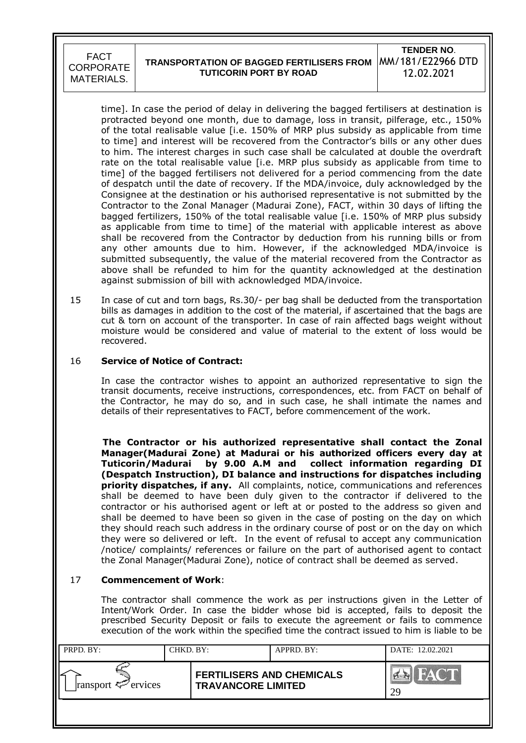#### **TRANSPORTATION OF BAGGED FERTILISERS FROM TUTICORIN PORT BY ROAD TENDER NO**. MM/181/E22966 DTD 12.02.2021

time]. In case the period of delay in delivering the bagged fertilisers at destination is protracted beyond one month, due to damage, loss in transit, pilferage, etc., 150% of the total realisable value [i.e. 150% of MRP plus subsidy as applicable from time to time] and interest will be recovered from the Contractor"s bills or any other dues to him. The interest charges in such case shall be calculated at double the overdraft rate on the total realisable value [i.e. MRP plus subsidy as applicable from time to time] of the bagged fertilisers not delivered for a period commencing from the date of despatch until the date of recovery. If the MDA/invoice, duly acknowledged by the Consignee at the destination or his authorised representative is not submitted by the Contractor to the Zonal Manager (Madurai Zone), FACT, within 30 days of lifting the bagged fertilizers, 150% of the total realisable value [i.e. 150% of MRP plus subsidy as applicable from time to time] of the material with applicable interest as above shall be recovered from the Contractor by deduction from his running bills or from any other amounts due to him. However, if the acknowledged MDA/invoice is submitted subsequently, the value of the material recovered from the Contractor as above shall be refunded to him for the quantity acknowledged at the destination against submission of bill with acknowledged MDA/invoice.

15 In case of cut and torn bags, Rs.30/- per bag shall be deducted from the transportation bills as damages in addition to the cost of the material, if ascertained that the bags are cut & torn on account of the transporter. In case of rain affected bags weight without moisture would be considered and value of material to the extent of loss would be recovered.

#### 16 **Service of Notice of Contract:**

 In case the contractor wishes to appoint an authorized representative to sign the transit documents, receive instructions, correspondences, etc. from FACT on behalf of the Contractor, he may do so, and in such case, he shall intimate the names and details of their representatives to FACT, before commencement of the work.

 **The Contractor or his authorized representative shall contact the Zonal Manager(Madurai Zone) at Madurai or his authorized officers every day at Tuticorin/Madurai by 9.00 A.M and collect information regarding DI (Despatch Instruction), DI balance and instructions for dispatches including priority dispatches, if any.** All complaints, notice, communications and references shall be deemed to have been duly given to the contractor if delivered to the contractor or his authorised agent or left at or posted to the address so given and shall be deemed to have been so given in the case of posting on the day on which they should reach such address in the ordinary course of post or on the day on which they were so delivered or left. In the event of refusal to accept any communication /notice/ complaints/ references or failure on the part of authorised agent to contact the Zonal Manager(Madurai Zone), notice of contract shall be deemed as served.

### 17 **Commencement of Work**:

The contractor shall commence the work as per instructions given in the Letter of Intent/Work Order. In case the bidder whose bid is accepted, fails to deposit the prescribed Security Deposit or fails to execute the agreement or fails to commence execution of the work within the specified time the contract issued to him is liable to be

| PRPD. BY:               | CHKD. BY: |                                                               | APPRD. BY: | DATE: 12.02.2021 |
|-------------------------|-----------|---------------------------------------------------------------|------------|------------------|
| ransport $\leq$ ervices |           | <b>FERTILISERS AND CHEMICALS</b><br><b>TRAVANCORE LIMITED</b> |            | HACT.<br>29      |
|                         |           |                                                               |            |                  |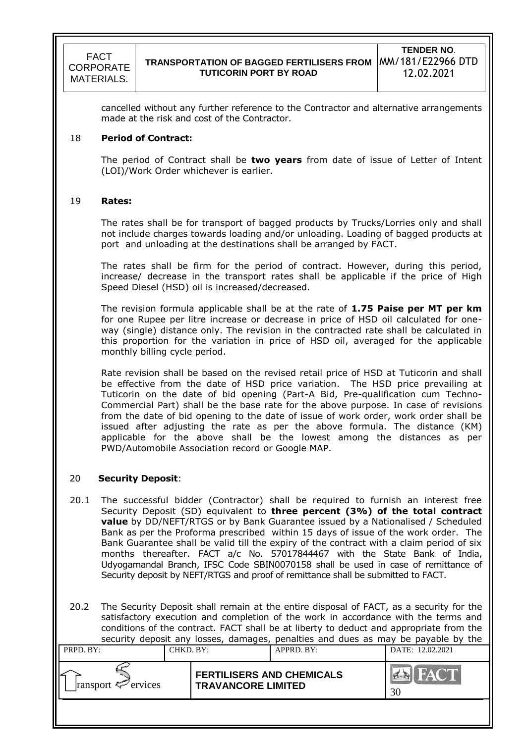cancelled without any further reference to the Contractor and alternative arrangements made at the risk and cost of the Contractor.

#### 18 **Period of Contract:**

The period of Contract shall be **two years** from date of issue of Letter of Intent (LOI)/Work Order whichever is earlier.

#### 19 **Rates:**

The rates shall be for transport of bagged products by Trucks/Lorries only and shall not include charges towards loading and/or unloading. Loading of bagged products at port and unloading at the destinations shall be arranged by FACT.

The rates shall be firm for the period of contract. However, during this period, increase/ decrease in the transport rates shall be applicable if the price of High Speed Diesel (HSD) oil is increased/decreased.

The revision formula applicable shall be at the rate of **1.75 Paise per MT per km**  for one Rupee per litre increase or decrease in price of HSD oil calculated for oneway (single) distance only. The revision in the contracted rate shall be calculated in this proportion for the variation in price of HSD oil, averaged for the applicable monthly billing cycle period.

Rate revision shall be based on the revised retail price of HSD at Tuticorin and shall be effective from the date of HSD price variation. The HSD price prevailing at Tuticorin on the date of bid opening (Part-A Bid, Pre-qualification cum Techno-Commercial Part) shall be the base rate for the above purpose. In case of revisions from the date of bid opening to the date of issue of work order, work order shall be issued after adjusting the rate as per the above formula. The distance (KM) applicable for the above shall be the lowest among the distances as per PWD/Automobile Association record or Google MAP.

### 20 **Security Deposit**:

- 20.1 The successful bidder (Contractor) shall be required to furnish an interest free Security Deposit (SD) equivalent to **three percent (3%) of the total contract value** by DD/NEFT/RTGS or by Bank Guarantee issued by a Nationalised / Scheduled Bank as per the Proforma prescribed within 15 days of issue of the work order. The Bank Guarantee shall be valid till the expiry of the contract with a claim period of six months thereafter. FACT a/c No. 57017844467 with the State Bank of India, Udyogamandal Branch, IFSC Code SBIN0070158 shall be used in case of remittance of Security deposit by NEFT/RTGS and proof of remittance shall be submitted to FACT.
- 20.2 The Security Deposit shall remain at the entire disposal of FACT, as a security for the satisfactory execution and completion of the work in accordance with the terms and conditions of the contract. FACT shall be at liberty to deduct and appropriate from the security deposit any losses, damages, penalties and dues as may be payable by the

| PRPD. BY:               | CHKD. BY: |                                                               | APPRD. BY: | DATE: 12.02.2021               |
|-------------------------|-----------|---------------------------------------------------------------|------------|--------------------------------|
| ransport $\leq$ ervices |           | <b>FERTILISERS AND CHEMICALS</b><br><b>TRAVANCORE LIMITED</b> |            | FACT<br>$\sum_{i=1}^{n}$<br>30 |
|                         |           |                                                               |            |                                |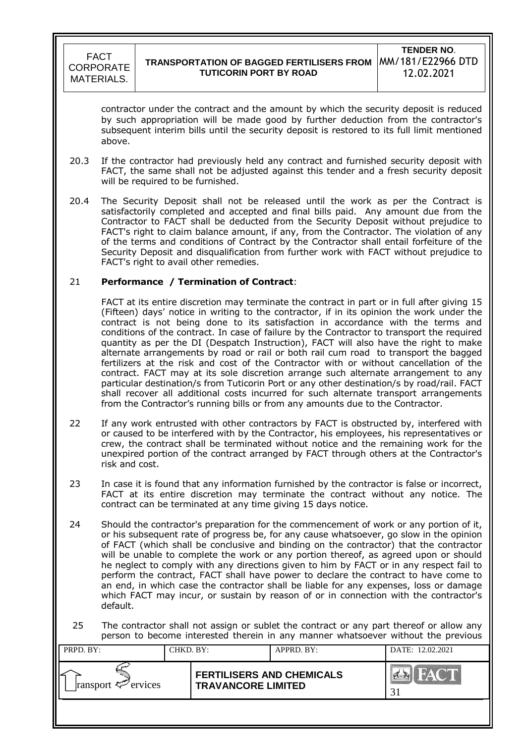

contractor under the contract and the amount by which the security deposit is reduced by such appropriation will be made good by further deduction from the contractor's subsequent interim bills until the security deposit is restored to its full limit mentioned above.

- 20.3 If the contractor had previously held any contract and furnished security deposit with FACT, the same shall not be adjusted against this tender and a fresh security deposit will be required to be furnished.
- 20.4 The Security Deposit shall not be released until the work as per the Contract is satisfactorily completed and accepted and final bills paid. Any amount due from the Contractor to FACT shall be deducted from the Security Deposit without prejudice to FACT's right to claim balance amount, if any, from the Contractor. The violation of any of the terms and conditions of Contract by the Contractor shall entail forfeiture of the Security Deposit and disqualification from further work with FACT without prejudice to FACT's right to avail other remedies.

### 21 **Performance / Termination of Contract**:

 FACT at its entire discretion may terminate the contract in part or in full after giving 15 (Fifteen) days" notice in writing to the contractor, if in its opinion the work under the contract is not being done to its satisfaction in accordance with the terms and conditions of the contract. In case of failure by the Contractor to transport the required quantity as per the DI (Despatch Instruction), FACT will also have the right to make alternate arrangements by road or rail or both rail cum road to transport the bagged fertilizers at the risk and cost of the Contractor with or without cancellation of the contract. FACT may at its sole discretion arrange such alternate arrangement to any particular destination/s from Tuticorin Port or any other destination/s by road/rail. FACT shall recover all additional costs incurred for such alternate transport arrangements from the Contractor"s running bills or from any amounts due to the Contractor.

- 22 If any work entrusted with other contractors by FACT is obstructed by, interfered with or caused to be interfered with by the Contractor, his employees, his representatives or crew, the contract shall be terminated without notice and the remaining work for the unexpired portion of the contract arranged by FACT through others at the Contractor's risk and cost.
- 23 In case it is found that any information furnished by the contractor is false or incorrect, FACT at its entire discretion may terminate the contract without any notice. The contract can be terminated at any time giving 15 days notice.
- 24 Should the contractor's preparation for the commencement of work or any portion of it, or his subsequent rate of progress be, for any cause whatsoever, go slow in the opinion of FACT (which shall be conclusive and binding on the contractor) that the contractor will be unable to complete the work or any portion thereof, as agreed upon or should he neglect to comply with any directions given to him by FACT or in any respect fail to perform the contract, FACT shall have power to declare the contract to have come to an end, in which case the contractor shall be liable for any expenses, loss or damage which FACT may incur, or sustain by reason of or in connection with the contractor's default.

25 The contractor shall not assign or sublet the contract or any part thereof or allow any person to become interested therein in any manner whatsoever without the previous

| PRPD. BY:               | CHKD. BY: |                                                               | APPRD. BY: | DATE: 12.02.2021               |
|-------------------------|-----------|---------------------------------------------------------------|------------|--------------------------------|
| ransport $\leq$ ervices |           | <b>FERTILISERS AND CHEMICALS</b><br><b>TRAVANCORE LIMITED</b> |            | FACT<br>$\sum_{i=1}^{n}$<br>31 |
|                         |           |                                                               |            |                                |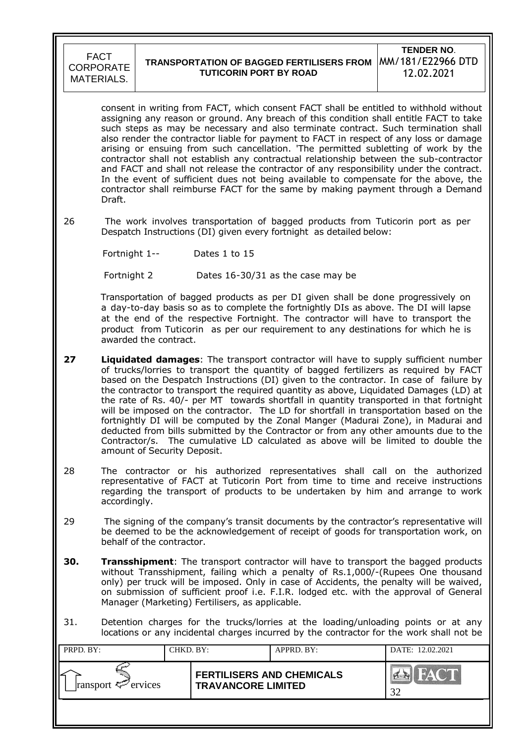

#### **TRANSPORTATION OF BAGGED FERTILISERS FROM TUTICORIN PORT BY ROAD TENDER NO**. MM/181/E22966 DTD 12.02.2021

consent in writing from FACT, which consent FACT shall be entitled to withhold without assigning any reason or ground. Any breach of this condition shall entitle FACT to take such steps as may be necessary and also terminate contract. Such termination shall also render the contractor liable for payment to FACT in respect of any loss or damage arising or ensuing from such cancellation. 'The permitted subletting of work by the contractor shall not establish any contractual relationship between the sub-contractor and FACT and shall not release the contractor of any responsibility under the contract. In the event of sufficient dues not being available to compensate for the above, the contractor shall reimburse FACT for the same by making payment through a Demand Draft.

26 The work involves transportation of bagged products from Tuticorin port as per Despatch Instructions (DI) given every fortnight as detailed below:

Fortnight 1-- Dates 1 to 15

Fortnight 2 Dates 16-30/31 as the case may be

 Transportation of bagged products as per DI given shall be done progressively on a day-to-day basis so as to complete the fortnightly DIs as above. The DI will lapse at the end of the respective Fortnight. The contractor will have to transport the product from Tuticorin as per our requirement to any destinations for which he is awarded the contract.

- **27 Liquidated damages**: The transport contractor will have to supply sufficient number of trucks/lorries to transport the quantity of bagged fertilizers as required by FACT based on the Despatch Instructions (DI) given to the contractor. In case of failure by the contractor to transport the required quantity as above, Liquidated Damages (LD) at the rate of Rs. 40/- per MT towards shortfall in quantity transported in that fortnight will be imposed on the contractor. The LD for shortfall in transportation based on the fortnightly DI will be computed by the Zonal Manger (Madurai Zone), in Madurai and deducted from bills submitted by the Contractor or from any other amounts due to the Contractor/s. The cumulative LD calculated as above will be limited to double the amount of Security Deposit.
- 28 The contractor or his authorized representatives shall call on the authorized representative of FACT at Tuticorin Port from time to time and receive instructions regarding the transport of products to be undertaken by him and arrange to work accordingly.
- 29 The signing of the company"s transit documents by the contractor"s representative will be deemed to be the acknowledgement of receipt of goods for transportation work, on behalf of the contractor.
- **30.** Transshipment: The transport contractor will have to transport the bagged products without Transshipment, failing which a penalty of Rs.1,000/-(Rupees One thousand only) per truck will be imposed. Only in case of Accidents, the penalty will be waived, on submission of sufficient proof i.e. F.I.R. lodged etc. with the approval of General Manager (Marketing) Fertilisers, as applicable.
- 31. Detention charges for the trucks/lorries at the loading/unloading points or at any locations or any incidental charges incurred by the contractor for the work shall not be

| PRPD. BY:               | CHKD. BY: |                                                               | APPRD. BY: | DATE: 12.02.2021 |
|-------------------------|-----------|---------------------------------------------------------------|------------|------------------|
| ransport $\leq$ ervices |           | <b>FERTILISERS AND CHEMICALS</b><br><b>TRAVANCORE LIMITED</b> |            | FACT<br>32       |
|                         |           |                                                               |            |                  |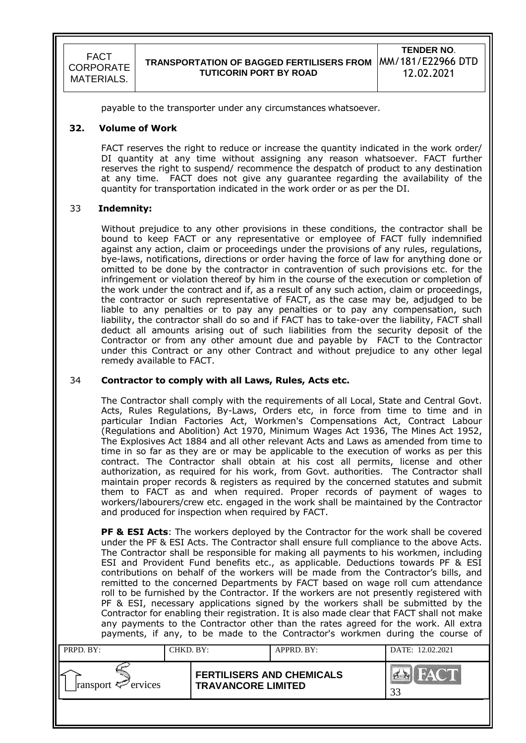### **TRANSPORTATION OF BAGGED FERTILISERS FROM TUTICORIN PORT BY ROAD**

**TENDER NO**. MM/181/E22966 DTD 12.02.2021

payable to the transporter under any circumstances whatsoever.

#### **32. Volume of Work**

FACT reserves the right to reduce or increase the quantity indicated in the work order/ DI quantity at any time without assigning any reason whatsoever. FACT further reserves the right to suspend/ recommence the despatch of product to any destination at any time. FACT does not give any guarantee regarding the availability of the quantity for transportation indicated in the work order or as per the DI.

#### 33 **Indemnity:**

Without prejudice to any other provisions in these conditions, the contractor shall be bound to keep FACT or any representative or employee of FACT fully indemnified against any action, claim or proceedings under the provisions of any rules, regulations, bye-laws, notifications, directions or order having the force of law for anything done or omitted to be done by the contractor in contravention of such provisions etc. for the infringement or violation thereof by him in the course of the execution or completion of the work under the contract and if, as a result of any such action, claim or proceedings, the contractor or such representative of FACT, as the case may be, adjudged to be liable to any penalties or to pay any penalties or to pay any compensation, such liability, the contractor shall do so and if FACT has to take-over the liability, FACT shall deduct all amounts arising out of such liabilities from the security deposit of the Contractor or from any other amount due and payable by FACT to the Contractor under this Contract or any other Contract and without prejudice to any other legal remedy available to FACT.

#### 34 **Contractor to comply with all Laws, Rules, Acts etc.**

The Contractor shall comply with the requirements of all Local, State and Central Govt. Acts, Rules Regulations, By-Laws, Orders etc, in force from time to time and in particular Indian Factories Act, Workmen's Compensations Act, Contract Labour (Regulations and Abolition) Act 1970, Minimum Wages Act 1936, The Mines Act 1952, The Explosives Act 1884 and all other relevant Acts and Laws as amended from time to time in so far as they are or may be applicable to the execution of works as per this contract. The Contractor shall obtain at his cost all permits, license and other authorization, as required for his work, from Govt. authorities. The Contractor shall maintain proper records & registers as required by the concerned statutes and submit them to FACT as and when required. Proper records of payment of wages to workers/labourers/crew etc. engaged in the work shall be maintained by the Contractor and produced for inspection when required by FACT.

**PF & ESI Acts:** The workers deployed by the Contractor for the work shall be covered under the PF & ESI Acts. The Contractor shall ensure full compliance to the above Acts. The Contractor shall be responsible for making all payments to his workmen, including ESI and Provident Fund benefits etc., as applicable. Deductions towards PF & ESI contributions on behalf of the workers will be made from the Contractor"s bills, and remitted to the concerned Departments by FACT based on wage roll cum attendance roll to be furnished by the Contractor. If the workers are not presently registered with PF & ESI, necessary applications signed by the workers shall be submitted by the Contractor for enabling their registration. It is also made clear that FACT shall not make any payments to the Contractor other than the rates agreed for the work. All extra payments, if any, to be made to the Contractor's workmen during the course of

| PRPD. BY:                      | CHKD. BY: |                                                               | APPRD. BY: | DATE: 12.02.2021 |
|--------------------------------|-----------|---------------------------------------------------------------|------------|------------------|
| ransport $\mathcal{F}$ ervices |           | <b>FERTILISERS AND CHEMICALS</b><br><b>TRAVANCORE LIMITED</b> |            |                  |
|                                |           |                                                               |            |                  |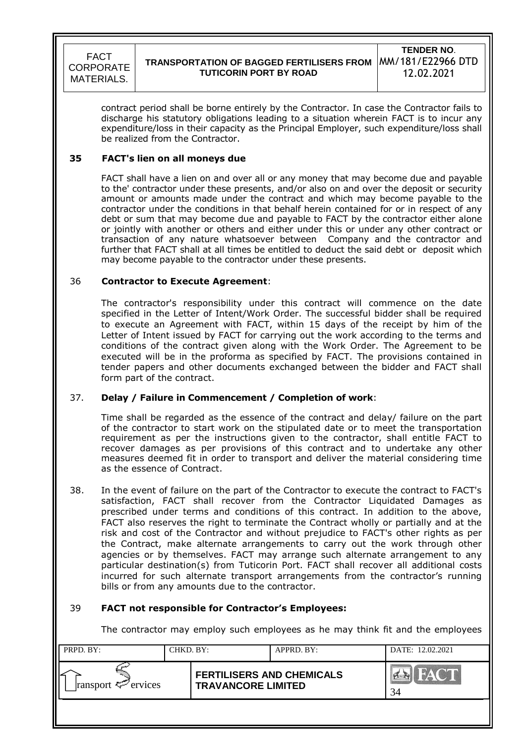# **TRANSPORTATION OF BAGGED FERTILISERS FROM TUTICORIN PORT BY ROAD**

**TENDER NO**. MM/181/E22966 DTD 12.02.2021

contract period shall be borne entirely by the Contractor. In case the Contractor fails to discharge his statutory obligations leading to a situation wherein FACT is to incur any expenditure/loss in their capacity as the Principal Employer, such expenditure/loss shall be realized from the Contractor.

### **35 FACT's lien on all moneys due**

FACT shall have a lien on and over all or any money that may become due and payable to the' contractor under these presents, and/or also on and over the deposit or security amount or amounts made under the contract and which may become payable to the contractor under the conditions in that behalf herein contained for or in respect of any debt or sum that may become due and payable to FACT by the contractor either alone or jointly with another or others and either under this or under any other contract or transaction of any nature whatsoever between Company and the contractor and further that FACT shall at all times be entitled to deduct the said debt or deposit which may become payable to the contractor under these presents.

### 36 **Contractor to Execute Agreement**:

The contractor's responsibility under this contract will commence on the date specified in the Letter of Intent/Work Order. The successful bidder shall be required to execute an Agreement with FACT, within 15 days of the receipt by him of the Letter of Intent issued by FACT for carrying out the work according to the terms and conditions of the contract given along with the Work Order. The Agreement to be executed will be in the proforma as specified by FACT. The provisions contained in tender papers and other documents exchanged between the bidder and FACT shall form part of the contract.

### 37. **Delay / Failure in Commencement / Completion of work**:

Time shall be regarded as the essence of the contract and delay/ failure on the part of the contractor to start work on the stipulated date or to meet the transportation requirement as per the instructions given to the contractor, shall entitle FACT to recover damages as per provisions of this contract and to undertake any other measures deemed fit in order to transport and deliver the material considering time as the essence of Contract.

38. In the event of failure on the part of the Contractor to execute the contract to FACT's satisfaction, FACT shall recover from the Contractor Liquidated Damages as prescribed under terms and conditions of this contract. In addition to the above, FACT also reserves the right to terminate the Contract wholly or partially and at the risk and cost of the Contractor and without prejudice to FACT's other rights as per the Contract, make alternate arrangements to carry out the work through other agencies or by themselves. FACT may arrange such alternate arrangement to any particular destination(s) from Tuticorin Port. FACT shall recover all additional costs incurred for such alternate transport arrangements from the contractor"s running bills or from any amounts due to the contractor.

### 39 **FACT not responsible for Contractor's Employees:**

The contractor may employ such employees as he may think fit and the employees

| PRPD. BY:               | CHKD. BY:                                                     |  | APPRD. BY: | DATE: 12.02.2021               |
|-------------------------|---------------------------------------------------------------|--|------------|--------------------------------|
| ransport $\leq$ ervices | <b>FERTILISERS AND CHEMICALS</b><br><b>TRAVANCORE LIMITED</b> |  |            | <b>FACT</b><br><b>PA</b><br>34 |
|                         |                                                               |  |            |                                |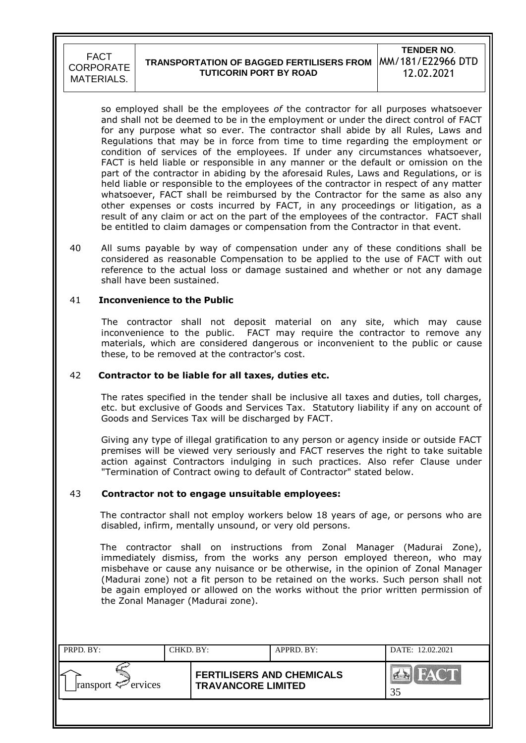#### **TRANSPORTATION OF BAGGED FERTILISERS FROM**  MM/181/E22966 DTD **TUTICORIN PORT BY ROAD TENDER NO**. 12.02.2021

so employed shall be the employees *of* the contractor for all purposes whatsoever and shall not be deemed to be in the employment or under the direct control of FACT for any purpose what so ever. The contractor shall abide by all Rules, Laws and Regulations that may be in force from time to time regarding the employment or condition of services of the employees. If under any circumstances whatsoever, FACT is held liable or responsible in any manner or the default or omission on the part of the contractor in abiding by the aforesaid Rules, Laws and Regulations, or is held liable or responsible to the employees of the contractor in respect of any matter whatsoever, FACT shall be reimbursed by the Contractor for the same as also any other expenses or costs incurred by FACT, in any proceedings or litigation, as a result of any claim or act on the part of the employees of the contractor. FACT shall be entitled to claim damages or compensation from the Contractor in that event.

40 All sums payable by way of compensation under any of these conditions shall be considered as reasonable Compensation to be applied to the use of FACT with out reference to the actual loss or damage sustained and whether or not any damage shall have been sustained.

#### 41 **Inconvenience to the Public**

 The contractor shall not deposit material on any site, which may cause inconvenience to the public. FACT may require the contractor to remove any materials, which are considered dangerous or inconvenient to the public or cause these, to be removed at the contractor's cost.

#### 42 **Contractor to be liable for all taxes, duties etc.**

The rates specified in the tender shall be inclusive all taxes and duties, toll charges, etc. but exclusive of Goods and Services Tax. Statutory liability if any on account of Goods and Services Tax will be discharged by FACT.

Giving any type of illegal gratification to any person or agency inside or outside FACT premises will be viewed very seriously and FACT reserves the right to take suitable action against Contractors indulging in such practices. Also refer Clause under "Termination of Contract owing to default of Contractor" stated below.

### 43 **Contractor not to engage unsuitable employees:**

 The contractor shall not employ workers below 18 years of age, or persons who are disabled, infirm, mentally unsound, or very old persons*.*

 The contractor shall on instructions from Zonal Manager (Madurai Zone), immediately dismiss, from the works any person employed thereon, who may misbehave or cause any nuisance or be otherwise, in the opinion of Zonal Manager (Madurai zone) not a fit person to be retained on the works. Such person shall not be again employed or allowed on the works without the prior written permission of the Zonal Manager (Madurai zone).

| PRPD. BY:               | CHKD. BY: |                                                               | APPRD. BY: | DATE: 12.02.2021 |
|-------------------------|-----------|---------------------------------------------------------------|------------|------------------|
| ransport $\leq$ ervices |           | <b>FERTILISERS AND CHEMICALS</b><br><b>TRAVANCORE LIMITED</b> |            | 35               |
|                         |           |                                                               |            |                  |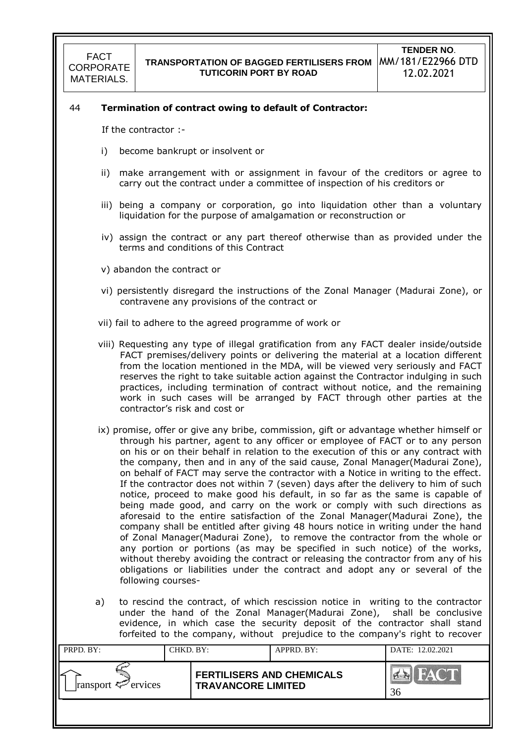#### 44 **Termination of contract owing to default of Contractor:**

If the contractor :-

- i) become bankrupt or insolvent or
- ii) make arrangement with or assignment in favour of the creditors or agree to carry out the contract under a committee of inspection of his creditors or
- iii) being a company or corporation, go into liquidation other than a voluntary liquidation for the purpose of amalgamation or reconstruction or
- iv) assign the contract or any part thereof otherwise than as provided under the terms and conditions of this Contract
- v) abandon the contract or
- vi) persistently disregard the instructions of the Zonal Manager (Madurai Zone), or contravene any provisions of the contract or
- vii) fail to adhere to the agreed programme of work or
- viii) Requesting any type of illegal gratification from any FACT dealer inside/outside FACT premises/delivery points or delivering the material at a location different from the location mentioned in the MDA, will be viewed very seriously and FACT reserves the right to take suitable action against the Contractor indulging in such practices, including termination of contract without notice, and the remaining work in such cases will be arranged by FACT through other parties at the contractor"s risk and cost or
- ix) promise, offer or give any bribe, commission, gift or advantage whether himself or through his partner, agent to any officer or employee of FACT or to any person on his or on their behalf in relation to the execution of this or any contract with the company, then and in any of the said cause, Zonal Manager(Madurai Zone), on behalf of FACT may serve the contractor with a Notice in writing to the effect. If the contractor does not within 7 (seven) days after the delivery to him of such notice, proceed to make good his default, in so far as the same is capable of being made good, and carry on the work or comply with such directions as aforesaid to the entire satisfaction of the Zonal Manager(Madurai Zone), the company shall be entitled after giving 48 hours notice in writing under the hand of Zonal Manager(Madurai Zone), to remove the contractor from the whole or any portion or portions (as may be specified in such notice) of the works, without thereby avoiding the contract or releasing the contractor from any of his obligations or liabilities under the contract and adopt any or several of the following courses-
- a) to rescind the contract, of which rescission notice in writing to the contractor under the hand of the Zonal Manager(Madurai Zone), shall be conclusive evidence, in which case the security deposit of the contractor shall stand forfeited to the company, without prejudice to the company's right to recover

| PRPD. BY:               | CHKD. BY: |                                                               | APPRD. BY: | DATE: 12.02.2021              |
|-------------------------|-----------|---------------------------------------------------------------|------------|-------------------------------|
| ransport $\leq$ ervices |           | <b>FERTILISERS AND CHEMICALS</b><br><b>TRAVANCORE LIMITED</b> |            | HAT H<br>$\sum_{i=1}^n$<br>36 |
|                         |           |                                                               |            |                               |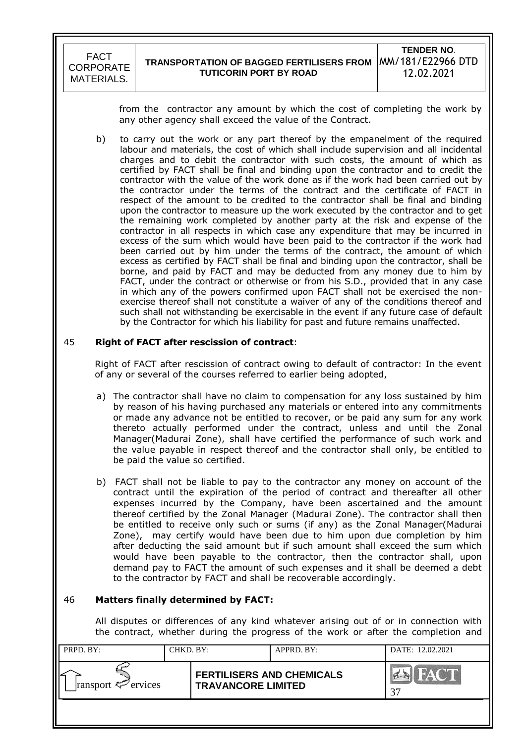from the contractor any amount by which the cost of completing the work by any other agency shall exceed the value of the Contract.

 b) to carry out the work or any part thereof by the empanelment of the required labour and materials, the cost of which shall include supervision and all incidental charges and to debit the contractor with such costs, the amount of which as certified by FACT shall be final and binding upon the contractor and to credit the contractor with the value of the work done as if the work had been carried out by the contractor under the terms of the contract and the certificate of FACT in respect of the amount to be credited to the contractor shall be final and binding upon the contractor to measure up the work executed by the contractor and to get the remaining work completed by another party at the risk and expense of the contractor in all respects in which case any expenditure that may be incurred in excess of the sum which would have been paid to the contractor if the work had been carried out by him under the terms of the contract, the amount of which excess as certified by FACT shall be final and binding upon the contractor, shall be borne, and paid by FACT and may be deducted from any money due to him by FACT, under the contract or otherwise or from his S.D., provided that in any case in which any of the powers confirmed upon FACT shall not be exercised the nonexercise thereof shall not constitute a waiver of any of the conditions thereof and such shall not withstanding be exercisable in the event if any future case of default by the Contractor for which his liability for past and future remains unaffected.

#### 45 **Right of FACT after rescission of contract**:

Right of FACT after rescission of contract owing to default of contractor: In the event of any or several of the courses referred to earlier being adopted,

- a) The contractor shall have no claim to compensation for any loss sustained by him by reason of his having purchased any materials or entered into any commitments or made any advance not be entitled to recover, or be paid any sum for any work thereto actually performed under the contract, unless and until the Zonal Manager(Madurai Zone), shall have certified the performance of such work and the value payable in respect thereof and the contractor shall only, be entitled to be paid the value so certified.
- b) FACT shall not be liable to pay to the contractor any money on account of the contract until the expiration of the period of contract and thereafter all other expenses incurred by the Company, have been ascertained and the amount thereof certified by the Zonal Manager (Madurai Zone). The contractor shall then be entitled to receive only such or sums (if any) as the Zonal Manager(Madurai Zone), may certify would have been due to him upon due completion by him after deducting the said amount but if such amount shall exceed the sum which would have been payable to the contractor, then the contractor shall, upon demand pay to FACT the amount of such expenses and it shall be deemed a debt to the contractor by FACT and shall be recoverable accordingly.

### 46 **Matters finally determined by FACT:**

All disputes or differences of any kind whatever arising out of or in connection with the contract, whether during the progress of the work or after the completion and

| PRPD. BY:               | CHKD. BY: |                                                               | APPRD. BY: | DATE: 12.02.2021 |
|-------------------------|-----------|---------------------------------------------------------------|------------|------------------|
| ransport $\leq$ ervices |           | <b>FERTILISERS AND CHEMICALS</b><br><b>TRAVANCORE LIMITED</b> |            | HACT<br>37       |
|                         |           |                                                               |            |                  |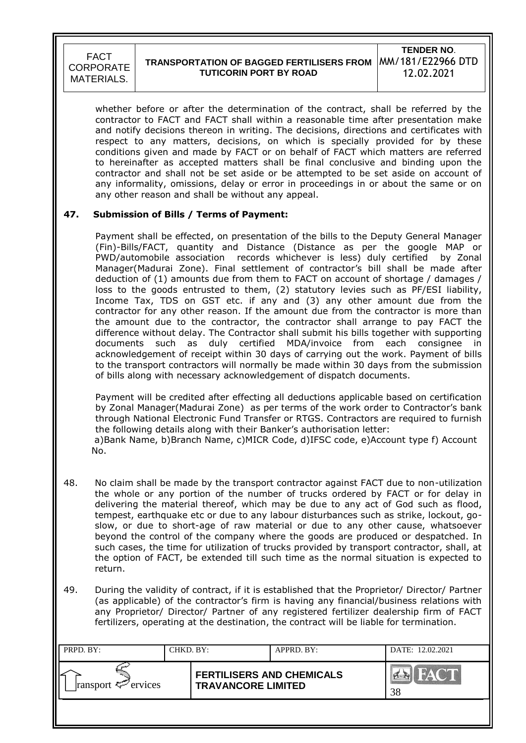# **TRANSPORTATION OF BAGGED FERTILISERS FROM TUTICORIN PORT BY ROAD**

**TENDER NO**. MM/181/E22966 DTD 12.02.2021

whether before or after the determination of the contract, shall be referred by the contractor to FACT and FACT shall within a reasonable time after presentation make and notify decisions thereon in writing. The decisions, directions and certificates with respect to any matters, decisions, on which is specially provided for by these conditions given and made by FACT or on behalf of FACT which matters are referred to hereinafter as accepted matters shall be final conclusive and binding upon the contractor and shall not be set aside or be attempted to be set aside on account of any informality, omissions, delay or error in proceedings in or about the same or on any other reason and shall be without any appeal.

### **47. Submission of Bills / Terms of Payment:**

Payment shall be effected, on presentation of the bills to the Deputy General Manager (Fin)-Bills/FACT, quantity and Distance (Distance as per the google MAP or PWD/automobile association records whichever is less) duly certified by Zonal Manager(Madurai Zone). Final settlement of contractor"s bill shall be made after deduction of (1) amounts due from them to FACT on account of shortage / damages / loss to the goods entrusted to them, (2) statutory levies such as PF/ESI liability, Income Tax, TDS on GST etc. if any and (3) any other amount due from the contractor for any other reason. If the amount due from the contractor is more than the amount due to the contractor, the contractor shall arrange to pay FACT the difference without delay. The Contractor shall submit his bills together with supporting documents such as duly certified MDA/invoice from each consignee in acknowledgement of receipt within 30 days of carrying out the work. Payment of bills to the transport contractors will normally be made within 30 days from the submission of bills along with necessary acknowledgement of dispatch documents.

Payment will be credited after effecting all deductions applicable based on certification by Zonal Manager(Madurai Zone) as per terms of the work order to Contractor's bank through National Electronic Fund Transfer or RTGS. Contractors are required to furnish the following details along with their Banker's authorisation letter: a)Bank Name, b)Branch Name, c)MICR Code, d)IFSC code, e)Account type f) Account No.

- 48. No claim shall be made by the transport contractor against FACT due to non-utilization the whole or any portion of the number of trucks ordered by FACT or for delay in delivering the material thereof, which may be due to any act of God such as flood, tempest, earthquake etc or due to any labour disturbances such as strike, lockout, goslow, or due to short-age of raw material or due to any other cause, whatsoever beyond the control of the company where the goods are produced or despatched. In such cases, the time for utilization of trucks provided by transport contractor, shall, at the option of FACT, be extended till such time as the normal situation is expected to return.
- 49. During the validity of contract, if it is established that the Proprietor/ Director/ Partner (as applicable) of the contractor's firm is having any financial/business relations with any Proprietor/ Director/ Partner of any registered fertilizer dealership firm of FACT fertilizers, operating at the destination, the contract will be liable for termination.

| PRPD. BY:               | CHKD. BY: |                                                               | APPRD. BY: | DATE: 12.02.2021 |
|-------------------------|-----------|---------------------------------------------------------------|------------|------------------|
| ransport $\leq$ ervices |           | <b>FERTILISERS AND CHEMICALS</b><br><b>TRAVANCORE LIMITED</b> |            | <b>OHI</b><br>38 |
|                         |           |                                                               |            |                  |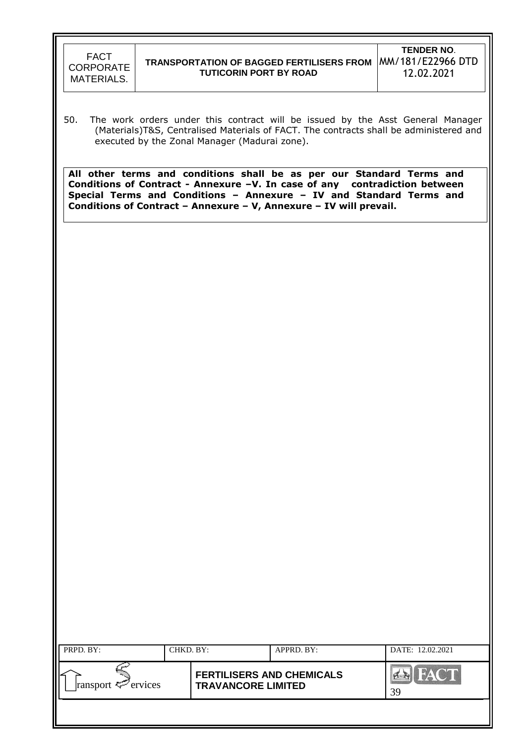

50. The work orders under this contract will be issued by the Asst General Manager (Materials)T&S, Centralised Materials of FACT. The contracts shall be administered and executed by the Zonal Manager (Madurai zone).

**All other terms and conditions shall be as per our Standard Terms and Conditions of Contract - Annexure –V. In case of any contradiction between Special Terms and Conditions – Annexure – IV and Standard Terms and Conditions of Contract – Annexure – V, Annexure – IV will prevail.**

| PRPD. BY:                  | CHKD. BY: |                                                               | APPRD. BY: | DATE: 12.02.2021  |
|----------------------------|-----------|---------------------------------------------------------------|------------|-------------------|
| ransport $\approx$ ervices |           | <b>FERTILISERS AND CHEMICALS</b><br><b>TRAVANCORE LIMITED</b> |            | <b>FACT</b><br>39 |
|                            |           |                                                               |            |                   |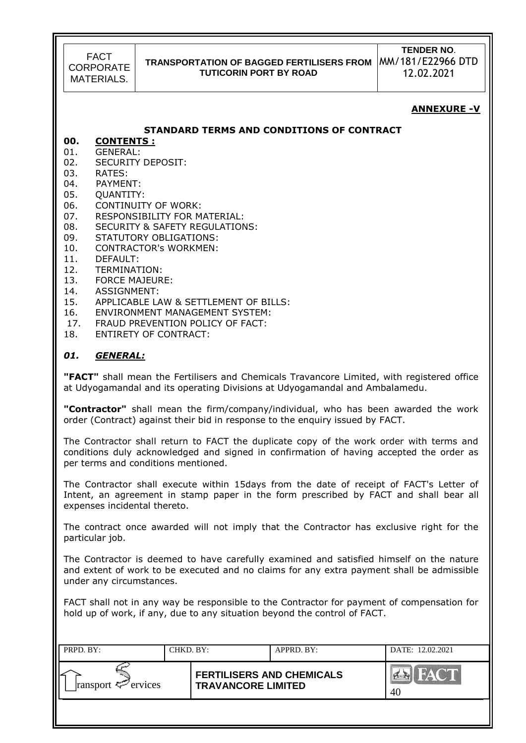# **TRANSPORTATION OF BAGGED FERTILISERS FROM TUTICORIN PORT BY ROAD**

**TENDER NO**. MM/181/E22966 DTD 12.02.2021

### **ANNEXURE -V**

#### **STANDARD TERMS AND CONDITIONS OF CONTRACT**

# **00. CONTENTS :**

- 01. GENERAL: 02. SECURITY DEPOSIT:
- 03. RATES:
- 04. PAYMENT:
- 05. QUANTITY:
- 
- 06. CONTINUITY OF WORK:
- 07. RESPONSIBILITY FOR MATERIAL: 08. SECURITY & SAFETY REGULATIONS:
- 09. STATUTORY OBLIGATIONS:
- 10. CONTRACTOR's WORKMEN:
- 11. DEFAULT:
- 
- 12. TERMINATION:
- 13. FORCE MAJEURE:
- 14. ASSIGNMENT:
- 15. APPLICABLE LAW & SETTLEMENT OF BILLS:
- 16. ENVIRONMENT MANAGEMENT SYSTEM:
- 17. FRAUD PREVENTION POLICY OF FACT:
- 18. ENTIRETY OF CONTRACT:

#### *01. GENERAL:*

**"FACT"** shall mean the Fertilisers and Chemicals Travancore Limited, with registered office at Udyogamandal and its operating Divisions at Udyogamandal and Ambalamedu.

**"Contractor"** shall mean the firm/company/individual, who has been awarded the work order (Contract) against their bid in response to the enquiry issued by FACT.

The Contractor shall return to FACT the duplicate copy of the work order with terms and conditions duly acknowledged and signed in confirmation of having accepted the order as per terms and conditions mentioned.

The Contractor shall execute within 15days from the date of receipt of FACT's Letter of Intent, an agreement in stamp paper in the form prescribed by FACT and shall bear all expenses incidental thereto.

The contract once awarded will not imply that the Contractor has exclusive right for the particular job.

The Contractor is deemed to have carefully examined and satisfied himself on the nature and extent of work to be executed and no claims for any extra payment shall be admissible under any circumstances.

FACT shall not in any way be responsible to the Contractor for payment of compensation for hold up of work, if any, due to any situation beyond the control of FACT.

| PRPD. BY:               | CHKD. BY: |                                                               | APPRD. BY: | DATE: 12.02.2021     |
|-------------------------|-----------|---------------------------------------------------------------|------------|----------------------|
| ransport $\leq$ ervices |           | <b>FERTILISERS AND CHEMICALS</b><br><b>TRAVANCORE LIMITED</b> |            | <b>PERSONA</b><br>40 |
|                         |           |                                                               |            |                      |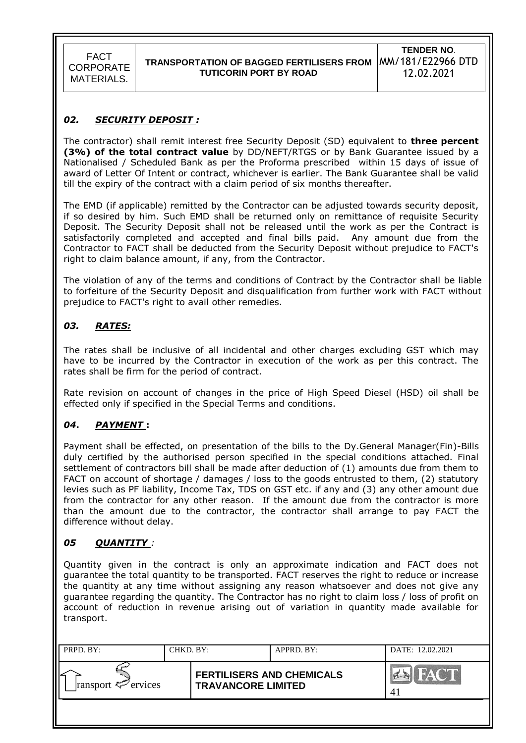### *02. SECURITY DEPOSIT :*

The contractor) shall remit interest free Security Deposit (SD) equivalent to **three percent (3%) of the total contract value** by DD/NEFT/RTGS or by Bank Guarantee issued by a Nationalised / Scheduled Bank as per the Proforma prescribed within 15 days of issue of award of Letter Of Intent or contract, whichever is earlier. The Bank Guarantee shall be valid till the expiry of the contract with a claim period of six months thereafter.

The EMD (if applicable) remitted by the Contractor can be adjusted towards security deposit, if so desired by him. Such EMD shall be returned only on remittance of requisite Security Deposit. The Security Deposit shall not be released until the work as per the Contract is satisfactorily completed and accepted and final bills paid. Any amount due from the Contractor to FACT shall be deducted from the Security Deposit without prejudice to FACT's right to claim balance amount, if any, from the Contractor.

The violation of any of the terms and conditions of Contract by the Contractor shall be liable to forfeiture of the Security Deposit and disqualification from further work with FACT without prejudice to FACT's right to avail other remedies.

### *03. RATES:*

The rates shall be inclusive of all incidental and other charges excluding GST which may have to be incurred by the Contractor in execution of the work as per this contract. The rates shall be firm for the period of contract.

Rate revision on account of changes in the price of High Speed Diesel (HSD) oil shall be effected only if specified in the Special Terms and conditions.

### *04***.** *PAYMENT* **:**

Payment shall be effected, on presentation of the bills to the Dy.General Manager(Fin)-Bills duly certified by the authorised person specified in the special conditions attached. Final settlement of contractors bill shall be made after deduction of (1) amounts due from them to FACT on account of shortage / damages / loss to the goods entrusted to them, (2) statutory levies such as PF liability, Income Tax, TDS on GST etc. if any and (3) any other amount due from the contractor for any other reason. If the amount due from the contractor is more than the amount due to the contractor, the contractor shall arrange to pay FACT the difference without delay.

### *05 QUANTITY :*

Quantity given in the contract is only an approximate indication and FACT does not guarantee the total quantity to be transported. FACT reserves the right to reduce or increase the quantity at any time without assigning any reason whatsoever and does not give any guarantee regarding the quantity. The Contractor has no right to claim loss / loss of profit on account of reduction in revenue arising out of variation in quantity made available for transport.

| PRPD. BY:               | CHKD. BY: |                                                               | APPRD. BY: | DATE: 12.02.2021       |
|-------------------------|-----------|---------------------------------------------------------------|------------|------------------------|
| ransport $\leq$ ervices |           | <b>FERTILISERS AND CHEMICALS</b><br><b>TRAVANCORE LIMITED</b> |            | HACT<br>$\sum_{i=1}^n$ |
|                         |           |                                                               |            |                        |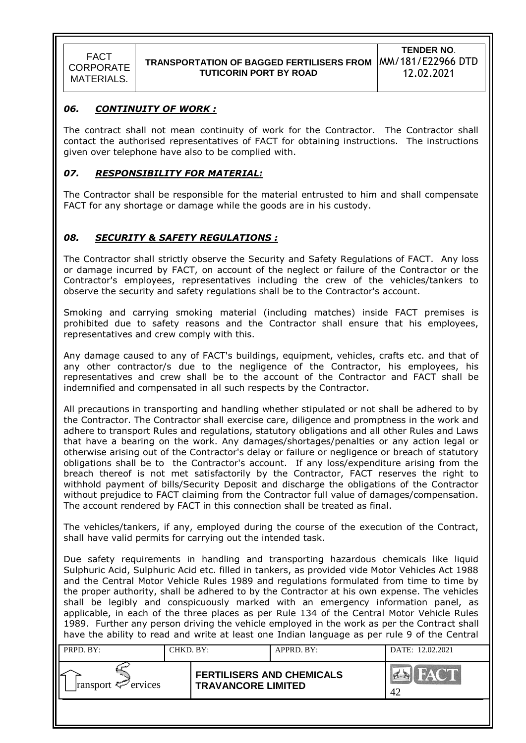

### *06. CONTINUITY OF WORK :*

The contract shall not mean continuity of work for the Contractor. The Contractor shall contact the authorised representatives of FACT for obtaining instructions. The instructions given over telephone have also to be complied with.

### *07. RESPONSIBILITY FOR MATERIAL:*

The Contractor shall be responsible for the material entrusted to him and shall compensate FACT for any shortage or damage while the goods are in his custody.

## *08. SECURITY & SAFETY REGULATIONS :*

The Contractor shall strictly observe the Security and Safety Regulations of FACT. Any loss or damage incurred by FACT, on account of the neglect or failure of the Contractor or the Contractor's employees, representatives including the crew of the vehicles/tankers to observe the security and safety regulations shall be to the Contractor's account.

Smoking and carrying smoking material (including matches) inside FACT premises is prohibited due to safety reasons and the Contractor shall ensure that his employees, representatives and crew comply with this.

Any damage caused to any of FACT's buildings, equipment, vehicles, crafts etc. and that of any other contractor/s due to the negligence of the Contractor, his employees, his representatives and crew shall be to the account of the Contractor and FACT shall be indemnified and compensated in all such respects by the Contractor.

All precautions in transporting and handling whether stipulated or not shall be adhered to by the Contractor. The Contractor shall exercise care, diligence and promptness in the work and adhere to transport Rules and regulations, statutory obligations and all other Rules and Laws that have a bearing on the work. Any damages/shortages/penalties or any action legal or otherwise arising out of the Contractor's delay or failure or negligence or breach of statutory obligations shall be to the Contractor's account. If any loss/expenditure arising from the breach thereof is not met satisfactorily by the Contractor, FACT reserves the right to withhold payment of bills/Security Deposit and discharge the obligations of the Contractor without prejudice to FACT claiming from the Contractor full value of damages/compensation. The account rendered by FACT in this connection shall be treated as final.

The vehicles/tankers, if any, employed during the course of the execution of the Contract, shall have valid permits for carrying out the intended task.

Due safety requirements in handling and transporting hazardous chemicals like liquid Sulphuric Acid, Sulphuric Acid etc. filled in tankers, as provided vide Motor Vehicles Act 1988 and the Central Motor Vehicle Rules 1989 and regulations formulated from time to time by the proper authority, shall be adhered to by the Contractor at his own expense. The vehicles shall be legibly and conspicuously marked with an emergency information panel, as applicable, in each of the three places as per Rule 134 of the Central Motor Vehicle Rules 1989. Further any person driving the vehicle employed in the work as per the Contract shall have the ability to read and write at least one Indian language as per rule 9 of the Central

| PRPD. BY:               | CHKD. BY: |                                                               | APPRD. BY: | DATE: 12.02.2021 |
|-------------------------|-----------|---------------------------------------------------------------|------------|------------------|
| ransport $\leq$ ervices |           | <b>FERTILISERS AND CHEMICALS</b><br><b>TRAVANCORE LIMITED</b> |            | 42               |
|                         |           |                                                               |            |                  |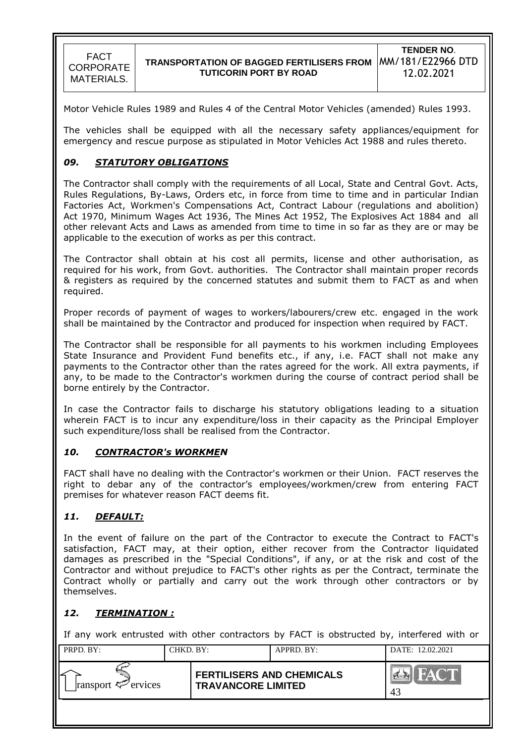Motor Vehicle Rules 1989 and Rules 4 of the Central Motor Vehicles (amended) Rules 1993.

The vehicles shall be equipped with all the necessary safety appliances/equipment for emergency and rescue purpose as stipulated in Motor Vehicles Act 1988 and rules thereto.

### *09. STATUTORY OBLIGATIONS*

The Contractor shall comply with the requirements of all Local, State and Central Govt. Acts, Rules Regulations, By-Laws, Orders etc, in force from time to time and in particular Indian Factories Act, Workmen's Compensations Act, Contract Labour (regulations and abolition) Act 1970, Minimum Wages Act 1936, The Mines Act 1952, The Explosives Act 1884 and all other relevant Acts and Laws as amended from time to time in so far as they are or may be applicable to the execution of works as per this contract.

The Contractor shall obtain at his cost all permits, license and other authorisation, as required for his work, from Govt. authorities. The Contractor shall maintain proper records & registers as required by the concerned statutes and submit them to FACT as and when required.

Proper records of payment of wages to workers/labourers/crew etc. engaged in the work shall be maintained by the Contractor and produced for inspection when required by FACT.

The Contractor shall be responsible for all payments to his workmen including Employees State Insurance and Provident Fund benefits etc., if any, i.e. FACT shall not make any payments to the Contractor other than the rates agreed for the work. All extra payments, if any, to be made to the Contractor's workmen during the course of contract period shall be borne entirely by the Contractor.

In case the Contractor fails to discharge his statutory obligations leading to a situation wherein FACT is to incur any expenditure/loss in their capacity as the Principal Employer such expenditure/loss shall be realised from the Contractor.

### *10. CONTRACTOR's WORKMEN*

FACT shall have no dealing with the Contractor's workmen or their Union. FACT reserves the right to debar any of the contractor"s employees/workmen/crew from entering FACT premises for whatever reason FACT deems fit.

## *11. DEFAULT:*

In the event of failure on the part of the Contractor to execute the Contract to FACT's satisfaction, FACT may, at their option, either recover from the Contractor liquidated damages as prescribed in the "Special Conditions", if any, or at the risk and cost of the Contractor and without prejudice to FACT's other rights as per the Contract, terminate the Contract wholly or partially and carry out the work through other contractors or by themselves.

### *12. TERMINATION :*

If any work entrusted with other contractors by FACT is obstructed by, interfered with or

| PRPD. BY:               | CHKD. BY: |                                                               | $APPRD$ . BY: | DATE: 12.02.2021                         |
|-------------------------|-----------|---------------------------------------------------------------|---------------|------------------------------------------|
| ransport $\leq$ ervices |           | <b>FERTILISERS AND CHEMICALS</b><br><b>TRAVANCORE LIMITED</b> |               | $\mathbb{R}^n$<br>$\sum_{i=1}^{n}$<br>43 |
|                         |           |                                                               |               |                                          |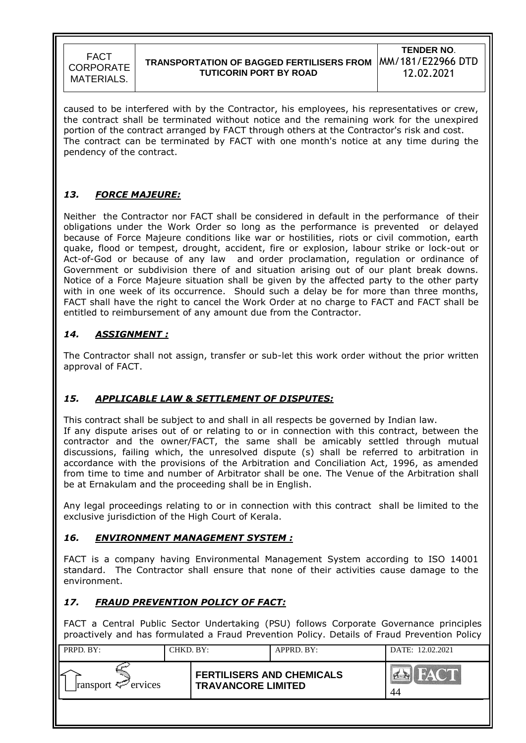## **TRANSPORTATION OF BAGGED FERTILISERS FROM**  MM/181/E22966 DTD **TUTICORIN PORT BY ROAD**

**TENDER NO**. 12.02.2021

caused to be interfered with by the Contractor, his employees, his representatives or crew, the contract shall be terminated without notice and the remaining work for the unexpired portion of the contract arranged by FACT through others at the Contractor's risk and cost. The contract can be terminated by FACT with one month's notice at any time during the pendency of the contract.

# *13. FORCE MAJEURE:*

Neither the Contractor nor FACT shall be considered in default in the performance of their obligations under the Work Order so long as the performance is prevented or delayed because of Force Majeure conditions like war or hostilities, riots or civil commotion, earth quake, flood or tempest, drought, accident, fire or explosion, labour strike or lock-out or Act-of-God or because of any law and order proclamation, regulation or ordinance of Government or subdivision there of and situation arising out of our plant break downs. Notice of a Force Majeure situation shall be given by the affected party to the other party with in one week of its occurrence. Should such a delay be for more than three months, FACT shall have the right to cancel the Work Order at no charge to FACT and FACT shall be entitled to reimbursement of any amount due from the Contractor.

## *14. ASSIGNMENT :*

The Contractor shall not assign, transfer or sub-let this work order without the prior written approval of FACT.

## *15. APPLICABLE LAW & SETTLEMENT OF DISPUTES:*

This contract shall be subject to and shall in all respects be governed by Indian law. If any dispute arises out of or relating to or in connection with this contract, between the contractor and the owner/FACT, the same shall be amicably settled through mutual discussions, failing which, the unresolved dispute (s) shall be referred to arbitration in accordance with the provisions of the Arbitration and Conciliation Act, 1996, as amended from time to time and number of Arbitrator shall be one. The Venue of the Arbitration shall be at Ernakulam and the proceeding shall be in English.

Any legal proceedings relating to or in connection with this contract shall be limited to the exclusive jurisdiction of the High Court of Kerala.

### *16. ENVIRONMENT MANAGEMENT SYSTEM :*

FACT is a company having Environmental Management System according to ISO 14001 standard. The Contractor shall ensure that none of their activities cause damage to the environment.

## *17. FRAUD PREVENTION POLICY OF FACT:*

FACT a Central Public Sector Undertaking (PSU) follows Corporate Governance principles proactively and has formulated a Fraud Prevention Policy. Details of Fraud Prevention Policy

| PRPD. BY:               | CHKD. BY: |                                                               | APPRD. BY: | DATE: 12.02.2021                   |
|-------------------------|-----------|---------------------------------------------------------------|------------|------------------------------------|
| ransport $\leq$ ervices |           | <b>FERTILISERS AND CHEMICALS</b><br><b>TRAVANCORE LIMITED</b> |            | $\mathbb{C}^n$<br><b>NAT</b><br>44 |
|                         |           |                                                               |            |                                    |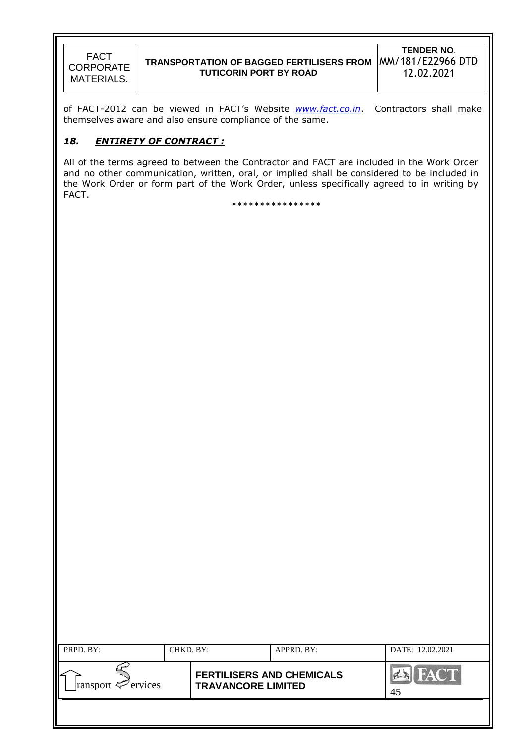### **TRANSPORTATION OF BAGGED FERTILISERS FROM**  MM/181/E22966 DTD **TUTICORIN PORT BY ROAD**

**TENDER NO**. 12.02.2021

of FACT-2012 can be viewed in FACT"s Website *[www.fact.co.in](http://www.fact.co.in/)*. Contractors shall make themselves aware and also ensure compliance of the same.

### *18. ENTIRETY OF CONTRACT :*

All of the terms agreed to between the Contractor and FACT are included in the Work Order and no other communication, written, oral, or implied shall be considered to be included in the Work Order or form part of the Work Order, unless specifically agreed to in writing by FACT.

\*\*\*\*\*\*\*\*\*\*\*\*\*\*\*\*

| PRPD. BY:               | CHKD. BY: |                                                               | APPRD. BY: | DATE: 12.02.2021  |
|-------------------------|-----------|---------------------------------------------------------------|------------|-------------------|
| ransport $\leq$ ervices |           | <b>FERTILISERS AND CHEMICALS</b><br><b>TRAVANCORE LIMITED</b> |            | <b>FACT</b><br>45 |
|                         |           |                                                               |            |                   |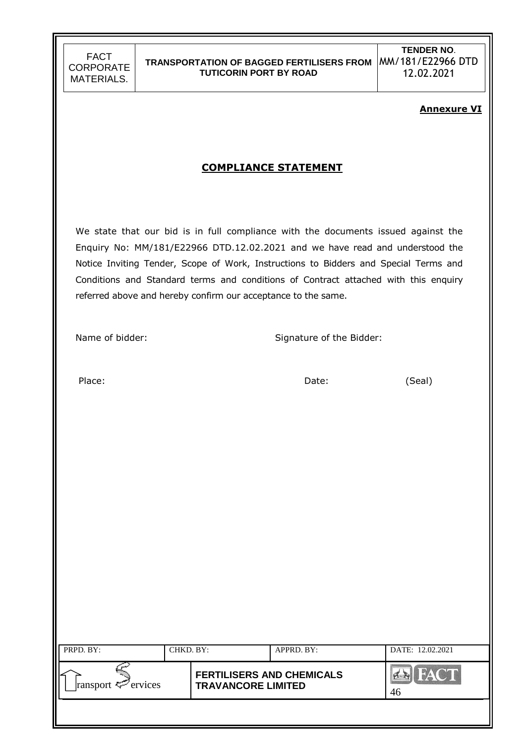## **TRANSPORTATION OF BAGGED FERTILISERS FROM**  MM/181/E22966 DTD **TUTICORIN PORT BY ROAD**

**TENDER NO**. 12.02.2021

#### **Annexure VI**

# **COMPLIANCE STATEMENT**

We state that our bid is in full compliance with the documents issued against the Enquiry No: MM/181/E22966 DTD.12.02.2021 and we have read and understood the Notice Inviting Tender, Scope of Work, Instructions to Bidders and Special Terms and Conditions and Standard terms and conditions of Contract attached with this enquiry referred above and hereby confirm our acceptance to the same.

Name of bidder: Signature of the Bidder:

Place: Case Contract Contract Contract Date: Case Contract Contract Contract Contract Contract Contract Contract Contract Contract Contract Contract Contract Contract Contract Contract Contract Contract Contract Contract C

| PRPD. BY:               | CHKD. BY: |                                                               | APPRD. BY: | DATE: 12.02.2021                               |
|-------------------------|-----------|---------------------------------------------------------------|------------|------------------------------------------------|
| ransport $\leq$ ervices |           | <b>FERTILISERS AND CHEMICALS</b><br><b>TRAVANCORE LIMITED</b> |            | COL<br>$H \triangle V$<br>$\sum_{i=1}^n$<br>46 |
|                         |           |                                                               |            |                                                |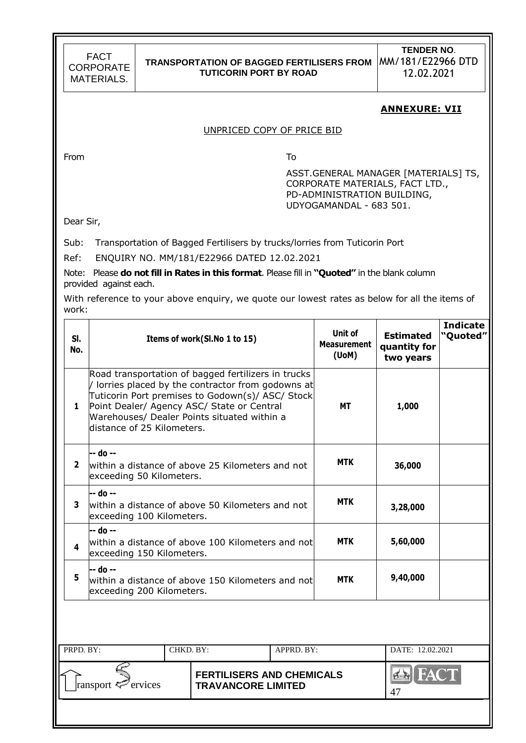### **TRANSPORTATION OF BAGGED FERTILISERS FROM**  MM/181/E22966 DTD **TUTICORIN PORT BY ROAD**

**TENDER NO**. 12.02.2021

#### **ANNEXURE: VII**

#### UNPRICED COPY OF PRICE BID

From To

ASST.GENERAL MANAGER [MATERIALS] TS, CORPORATE MATERIALS, FACT LTD., PD-ADMINISTRATION BUILDING, UDYOGAMANDAL - 683 501.

Dear Sir,

Sub: Transportation of Bagged Fertilisers by trucks/lorries from Tuticorin Port

Ref: ENQUIRY NO. MM/181/E22966 DATED 12.02.2021

Note: Please **do not fill in Rates in this format**. Please fill in **"Quoted"** in the blank column provided against each.

With reference to your above enquiry, we quote our lowest rates as below for all the items of work:

| SI.<br>No.     |                                                                                                                                                                                                                                                                                                       | Items of work(SI.No 1 to 15) |  |  |            | <b>Estimated</b><br>quantity for<br>two years | <b>Indicate</b><br>"Quoted" |
|----------------|-------------------------------------------------------------------------------------------------------------------------------------------------------------------------------------------------------------------------------------------------------------------------------------------------------|------------------------------|--|--|------------|-----------------------------------------------|-----------------------------|
| 1              | Road transportation of bagged fertilizers in trucks<br>/ lorries placed by the contractor from godowns at<br>Tuticorin Port premises to Godown(s)/ ASC/ Stock<br>Point Dealer/ Agency ASC/ State or Central<br><b>MT</b><br>Warehouses/ Dealer Points situated within a<br>distance of 25 Kilometers. |                              |  |  |            | 1,000                                         |                             |
| $\overline{2}$ | -- do --<br>within a distance of above 25 Kilometers and not<br>exceeding 50 Kilometers.                                                                                                                                                                                                              |                              |  |  | <b>MTK</b> | 36,000                                        |                             |
| 3              | -- do --<br>within a distance of above 50 Kilometers and not<br>exceeding 100 Kilometers.                                                                                                                                                                                                             |                              |  |  | <b>MTK</b> | 3,28,000                                      |                             |
| 4              | -- do --<br>within a distance of above 100 Kilometers and not<br>exceeding 150 Kilometers.                                                                                                                                                                                                            |                              |  |  | <b>MTK</b> | 5,60,000                                      |                             |
| 5              | -- do --<br>within a distance of above 150 Kilometers and not<br>exceeding 200 Kilometers.                                                                                                                                                                                                            |                              |  |  | <b>MTK</b> | 9,40,000                                      |                             |
|                |                                                                                                                                                                                                                                                                                                       |                              |  |  |            |                                               |                             |
|                | PRPD. BY:<br>CHKD. BY:<br>APPRD. BY:                                                                                                                                                                                                                                                                  |                              |  |  |            | DATE: 12.02.2021                              |                             |
|                | <b>FERTILISERS AND CHEMICALS</b><br>Pervices<br>ransport <sup>{</sup><br><b>TRAVANCORE LIMITED</b>                                                                                                                                                                                                    |                              |  |  |            | 4 <sub>1</sub><br>47                          |                             |
|                |                                                                                                                                                                                                                                                                                                       |                              |  |  |            |                                               |                             |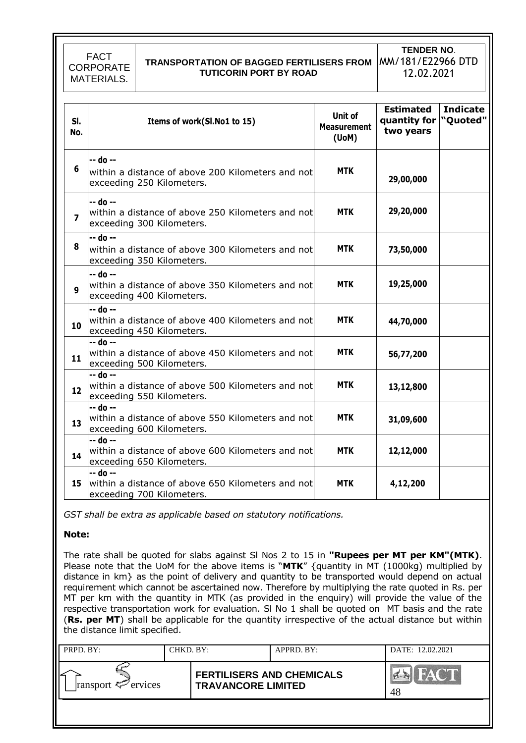# **TRANSPORTATION OF BAGGED FERTILISERS FROM**  MM/181/E22966 DTD **TUTICORIN PORT BY ROAD**

**TENDER NO**. 12.02.2021

| SI.<br>No.              | Items of work(SI.No1 to 15)                                                                | Unit of<br><b>Measurement</b><br>$($ UoM $)$ | <b>Estimated</b><br>quantity for "Quoted"<br>two years | <b>Indicate</b> |
|-------------------------|--------------------------------------------------------------------------------------------|----------------------------------------------|--------------------------------------------------------|-----------------|
| 6                       | -- do --<br>within a distance of above 200 Kilometers and not<br>exceeding 250 Kilometers. | <b>MTK</b>                                   | 29,00,000                                              |                 |
| $\overline{\mathbf{z}}$ | -- do --<br>within a distance of above 250 Kilometers and not<br>exceeding 300 Kilometers. | <b>MTK</b>                                   | 29,20,000                                              |                 |
| 8                       | -- do --<br>within a distance of above 300 Kilometers and not<br>exceeding 350 Kilometers. | <b>MTK</b>                                   | 73,50,000                                              |                 |
| 9                       | -- do --<br>within a distance of above 350 Kilometers and not<br>exceeding 400 Kilometers. | <b>MTK</b>                                   | 19,25,000                                              |                 |
| 10                      | -- do --<br>within a distance of above 400 Kilometers and not<br>exceeding 450 Kilometers. | <b>MTK</b>                                   | 44,70,000                                              |                 |
| 11                      | -- do --<br>within a distance of above 450 Kilometers and not<br>exceeding 500 Kilometers. | <b>MTK</b>                                   | 56,77,200                                              |                 |
| 12                      | -- do --<br>within a distance of above 500 Kilometers and not<br>exceeding 550 Kilometers. | <b>MTK</b>                                   | 13,12,800                                              |                 |
| 13                      | -- do --<br>within a distance of above 550 Kilometers and not<br>exceeding 600 Kilometers. | <b>MTK</b>                                   | 31,09,600                                              |                 |
| 14                      | -- do --<br>within a distance of above 600 Kilometers and not<br>exceeding 650 Kilometers. | <b>MTK</b>                                   | 12,12,000                                              |                 |
| 15                      | -- do --<br>within a distance of above 650 Kilometers and not<br>exceeding 700 Kilometers. | <b>MTK</b>                                   | 4,12,200                                               |                 |

*GST shall be extra as applicable based on statutory notifications.*

#### **Note:**

The rate shall be quoted for slabs against Sl Nos 2 to 15 in **"Rupees per MT per KM"(MTK)**. Please note that the UoM for the above items is "**MTK**" {quantity in MT (1000kg) multiplied by distance in km} as the point of delivery and quantity to be transported would depend on actual requirement which cannot be ascertained now. Therefore by multiplying the rate quoted in Rs. per MT per km with the quantity in MTK (as provided in the enquiry) will provide the value of the respective transportation work for evaluation. Sl No 1 shall be quoted on MT basis and the rate (**Rs. per MT**) shall be applicable for the quantity irrespective of the actual distance but within the distance limit specified.

| PRPD. BY:               | CHKD. BY: |                                                               | APPRD. BY: | DATE: 12.02.2021 |
|-------------------------|-----------|---------------------------------------------------------------|------------|------------------|
| ransport $\leq$ ervices |           | <b>FERTILISERS AND CHEMICALS</b><br><b>TRAVANCORE LIMITED</b> |            | HACT<br>48       |
|                         |           |                                                               |            |                  |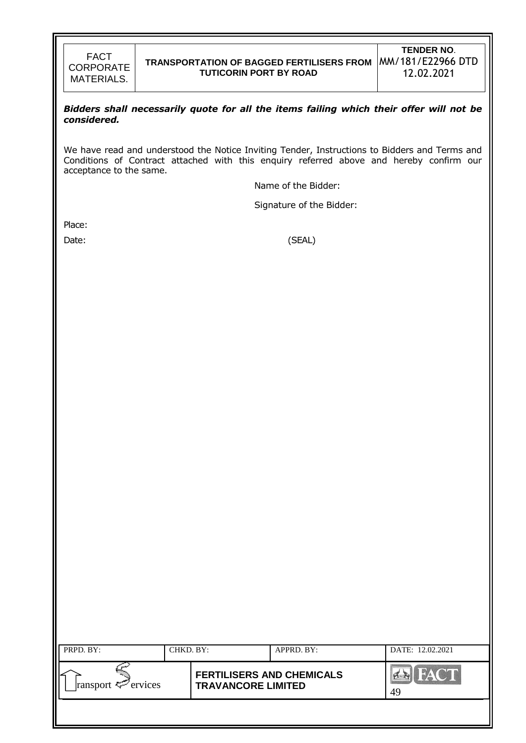

#### *Bidders shall necessarily quote for all the items failing which their offer will not be considered.*

We have read and understood the Notice Inviting Tender, Instructions to Bidders and Terms and Conditions of Contract attached with this enquiry referred above and hereby confirm our acceptance to the same.

Name of the Bidder:

Signature of the Bidder:

Place:

Date: (SEAL)

| PRPD. BY:               | CHKD. BY: |                                                               | APPRD. BY: | DATE: 12.02.2021  |
|-------------------------|-----------|---------------------------------------------------------------|------------|-------------------|
| ransport $\leq$ ervices |           | <b>FERTILISERS AND CHEMICALS</b><br><b>TRAVANCORE LIMITED</b> |            | <b>FACT</b><br>49 |
|                         |           |                                                               |            |                   |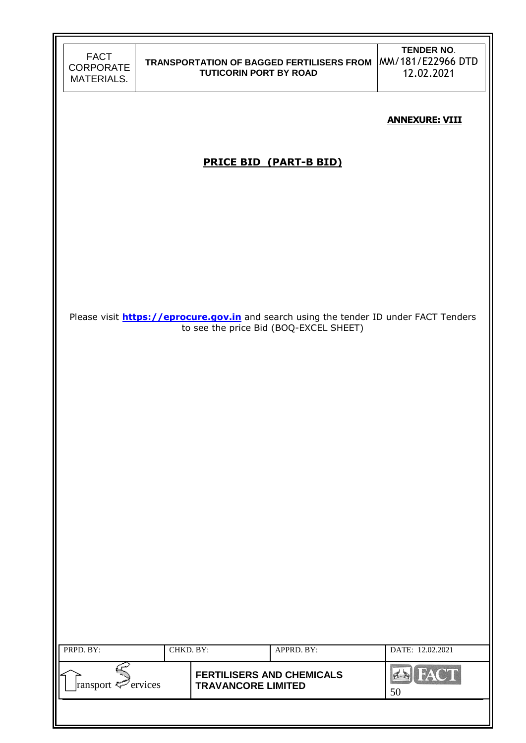| FACT       |
|------------|
| CORPORATE  |
| MATERIALS. |

**TENDER NO**. 12.02.2021

#### **ANNEXURE: VIII**

# **PRICE BID (PART-B BID)**

Please visit **[https://eprocure.gov.in](https://eprocure.gov.in/)** and search using the tender ID under FACT Tenders to see the price Bid (BOQ-EXCEL SHEET)

| PRPD. BY:                      | CHKD. BY: |                                                               | APPRD. BY: | DATE: 12.02.2021 |
|--------------------------------|-----------|---------------------------------------------------------------|------------|------------------|
| ransport $\mathcal{P}$ ervices |           | <b>FERTILISERS AND CHEMICALS</b><br><b>TRAVANCORE LIMITED</b> |            | HAC'T<br>50      |
|                                |           |                                                               |            |                  |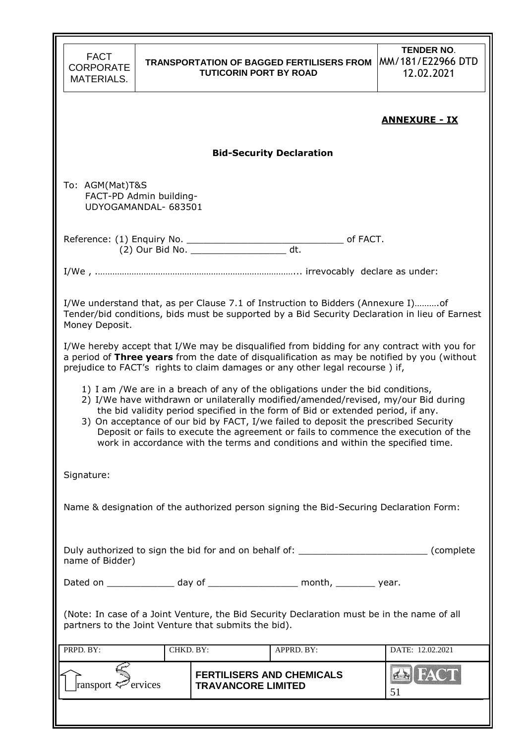| <b>FACT</b><br><b>CORPORATE</b><br><b>MATERIALS.</b>                                                                                                                                                                                                                                                                                                                                                                                                                                                                       |                                                 | <b>TUTICORIN PORT BY ROAD</b> | <b>TRANSPORTATION OF BAGGED FERTILISERS FROM</b> | <b>TENDER NO.</b><br>MM/181/E22966 DTD<br>12.02.2021 |  |  |  |  |
|----------------------------------------------------------------------------------------------------------------------------------------------------------------------------------------------------------------------------------------------------------------------------------------------------------------------------------------------------------------------------------------------------------------------------------------------------------------------------------------------------------------------------|-------------------------------------------------|-------------------------------|--------------------------------------------------|------------------------------------------------------|--|--|--|--|
| <u> ANNEXURE - IX</u>                                                                                                                                                                                                                                                                                                                                                                                                                                                                                                      |                                                 |                               |                                                  |                                                      |  |  |  |  |
|                                                                                                                                                                                                                                                                                                                                                                                                                                                                                                                            | <b>Bid-Security Declaration</b>                 |                               |                                                  |                                                      |  |  |  |  |
| To: AGM(Mat)T&S                                                                                                                                                                                                                                                                                                                                                                                                                                                                                                            | FACT-PD Admin building-<br>UDYOGAMANDAL- 683501 |                               |                                                  |                                                      |  |  |  |  |
|                                                                                                                                                                                                                                                                                                                                                                                                                                                                                                                            |                                                 |                               |                                                  |                                                      |  |  |  |  |
|                                                                                                                                                                                                                                                                                                                                                                                                                                                                                                                            |                                                 |                               |                                                  |                                                      |  |  |  |  |
| I/We understand that, as per Clause 7.1 of Instruction to Bidders (Annexure I)of<br>Tender/bid conditions, bids must be supported by a Bid Security Declaration in lieu of Earnest<br>Money Deposit.                                                                                                                                                                                                                                                                                                                       |                                                 |                               |                                                  |                                                      |  |  |  |  |
| I/We hereby accept that I/We may be disqualified from bidding for any contract with you for<br>a period of Three years from the date of disqualification as may be notified by you (without<br>prejudice to FACT's rights to claim damages or any other legal recourse) if,                                                                                                                                                                                                                                                |                                                 |                               |                                                  |                                                      |  |  |  |  |
| 1) I am /We are in a breach of any of the obligations under the bid conditions,<br>2) I/We have withdrawn or unilaterally modified/amended/revised, my/our Bid during<br>the bid validity period specified in the form of Bid or extended period, if any.<br>3) On acceptance of our bid by FACT, I/we failed to deposit the prescribed Security<br>Deposit or fails to execute the agreement or fails to commence the execution of the<br>work in accordance with the terms and conditions and within the specified time. |                                                 |                               |                                                  |                                                      |  |  |  |  |
| Signature:                                                                                                                                                                                                                                                                                                                                                                                                                                                                                                                 |                                                 |                               |                                                  |                                                      |  |  |  |  |
| Name & designation of the authorized person signing the Bid-Securing Declaration Form:                                                                                                                                                                                                                                                                                                                                                                                                                                     |                                                 |                               |                                                  |                                                      |  |  |  |  |
| Duly authorized to sign the bid for and on behalf of: ___________________________ (complete<br>name of Bidder)                                                                                                                                                                                                                                                                                                                                                                                                             |                                                 |                               |                                                  |                                                      |  |  |  |  |
| Dated on ________________ day of _____________________ month, __________ year.                                                                                                                                                                                                                                                                                                                                                                                                                                             |                                                 |                               |                                                  |                                                      |  |  |  |  |
| (Note: In case of a Joint Venture, the Bid Security Declaration must be in the name of all<br>partners to the Joint Venture that submits the bid).                                                                                                                                                                                                                                                                                                                                                                         |                                                 |                               |                                                  |                                                      |  |  |  |  |
| PRPD. BY:                                                                                                                                                                                                                                                                                                                                                                                                                                                                                                                  | CHKD. BY:                                       |                               | APPRD. BY:                                       | DATE: 12.02.2021                                     |  |  |  |  |
| ransport <sup>2</sup> ervices                                                                                                                                                                                                                                                                                                                                                                                                                                                                                              |                                                 | <b>TRAVANCORE LIMITED</b>     | <b>FERTILISERS AND CHEMICALS</b>                 | $4 - 1$<br>51                                        |  |  |  |  |
|                                                                                                                                                                                                                                                                                                                                                                                                                                                                                                                            |                                                 |                               |                                                  |                                                      |  |  |  |  |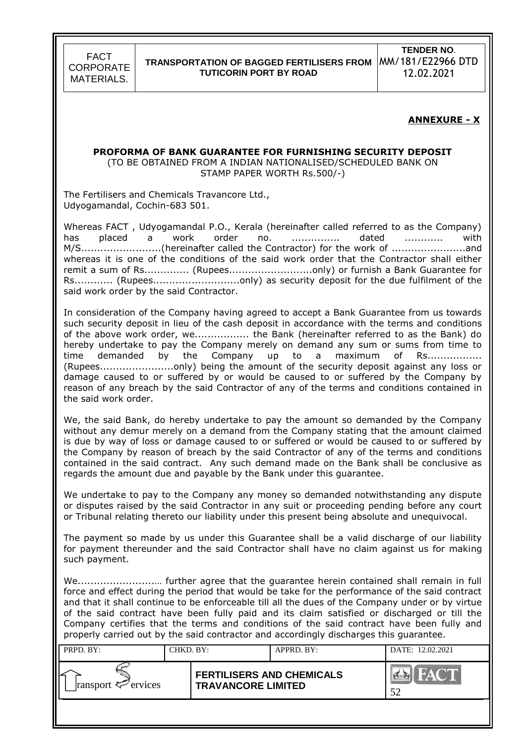### **TRANSPORTATION OF BAGGED FERTILISERS FROM**  MM/181/E22966 DTD **TUTICORIN PORT BY ROAD**

**TENDER NO**. 12.02.2021

#### **ANNEXURE - X**

#### **PROFORMA OF BANK GUARANTEE FOR FURNISHING SECURITY DEPOSIT**

(TO BE OBTAINED FROM A INDIAN NATIONALISED/SCHEDULED BANK ON STAMP PAPER WORTH Rs.500/-)

The Fertilisers and Chemicals Travancore Ltd., Udyogamandal, Cochin-683 501.

Whereas FACT , Udyogamandal P.O., Kerala (hereinafter called referred to as the Company) has placed a work order no. ............... dated ............ with M/S...........................(hereinafter called the Contractor) for the work of .................................. whereas it is one of the conditions of the said work order that the Contractor shall either remit a sum of Rs............... (Rupees...............................only) or furnish a Bank Guarantee for Rs............ (Rupees...........................only) as security deposit for the due fulfilment of the said work order by the said Contractor.

In consideration of the Company having agreed to accept a Bank Guarantee from us towards such security deposit in lieu of the cash deposit in accordance with the terms and conditions of the above work order, we................. the Bank (hereinafter referred to as the Bank) do hereby undertake to pay the Company merely on demand any sum or sums from time to time demanded by the Company up to a maximum of Rs................. (Rupees.......................only) being the amount of the security deposit against any loss or damage caused to or suffered by or would be caused to or suffered by the Company by reason of any breach by the said Contractor of any of the terms and conditions contained in the said work order.

We, the said Bank, do hereby undertake to pay the amount so demanded by the Company without any demur merely on a demand from the Company stating that the amount claimed is due by way of loss or damage caused to or suffered or would be caused to or suffered by the Company by reason of breach by the said Contractor of any of the terms and conditions contained in the said contract. Any such demand made on the Bank shall be conclusive as regards the amount due and payable by the Bank under this guarantee.

We undertake to pay to the Company any money so demanded notwithstanding any dispute or disputes raised by the said Contractor in any suit or proceeding pending before any court or Tribunal relating thereto our liability under this present being absolute and unequivocal.

The payment so made by us under this Guarantee shall be a valid discharge of our liability for payment thereunder and the said Contractor shall have no claim against us for making such payment.

We........................… further agree that the guarantee herein contained shall remain in full force and effect during the period that would be take for the performance of the said contract and that it shall continue to be enforceable till all the dues of the Company under or by virtue of the said contract have been fully paid and its claim satisfied or discharged or till the Company certifies that the terms and conditions of the said contract have been fully and properly carried out by the said contractor and accordingly discharges this guarantee.

| PRPD. BY:               | CHKD. BY: |                                                               | APPRD. BY: | DATE: 12.02.2021 |
|-------------------------|-----------|---------------------------------------------------------------|------------|------------------|
| ransport $\leq$ ervices |           | <b>FERTILISERS AND CHEMICALS</b><br><b>TRAVANCORE LIMITED</b> |            | <b>DA</b><br>52  |
|                         |           |                                                               |            |                  |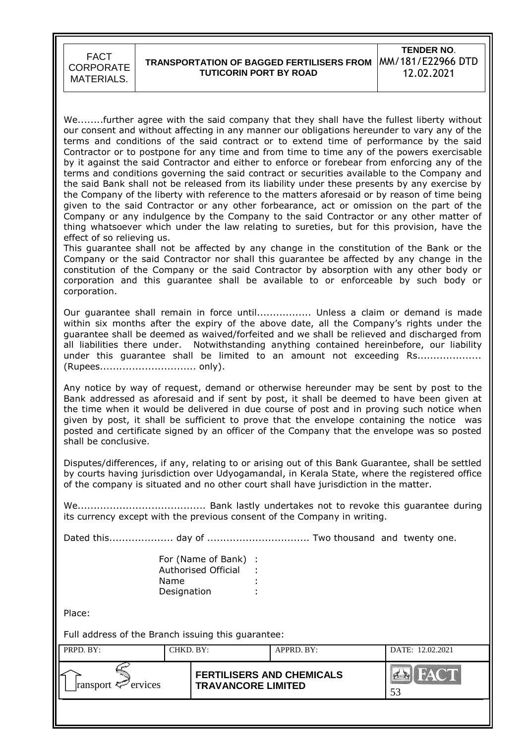## **TRANSPORTATION OF BAGGED FERTILISERS FROM**  MM/181/E22966 DTD **TUTICORIN PORT BY ROAD**

**TENDER NO**. 12.02.2021

We........further agree with the said company that they shall have the fullest liberty without our consent and without affecting in any manner our obligations hereunder to vary any of the terms and conditions of the said contract or to extend time of performance by the said Contractor or to postpone for any time and from time to time any of the powers exercisable by it against the said Contractor and either to enforce or forebear from enforcing any of the terms and conditions governing the said contract or securities available to the Company and the said Bank shall not be released from its liability under these presents by any exercise by the Company of the liberty with reference to the matters aforesaid or by reason of time being given to the said Contractor or any other forbearance, act or omission on the part of the Company or any indulgence by the Company to the said Contractor or any other matter of thing whatsoever which under the law relating to sureties, but for this provision, have the effect of so relieving us.

This guarantee shall not be affected by any change in the constitution of the Bank or the Company or the said Contractor nor shall this guarantee be affected by any change in the constitution of the Company or the said Contractor by absorption with any other body or corporation and this guarantee shall be available to or enforceable by such body or corporation.

Our guarantee shall remain in force until................. Unless a claim or demand is made within six months after the expiry of the above date, all the Company's rights under the guarantee shall be deemed as waived/forfeited and we shall be relieved and discharged from all liabilities there under. Notwithstanding anything contained hereinbefore, our liability under this guarantee shall be limited to an amount not exceeding Rs.................... (Rupees.............................. only).

Any notice by way of request, demand or otherwise hereunder may be sent by post to the Bank addressed as aforesaid and if sent by post, it shall be deemed to have been given at the time when it would be delivered in due course of post and in proving such notice when given by post, it shall be sufficient to prove that the envelope containing the notice was posted and certificate signed by an officer of the Company that the envelope was so posted shall be conclusive.

Disputes/differences, if any, relating to or arising out of this Bank Guarantee, shall be settled by courts having jurisdiction over Udyogamandal, in Kerala State, where the registered office of the company is situated and no other court shall have jurisdiction in the matter.

We........................................ Bank lastly undertakes not to revoke this guarantee during its currency except with the previous consent of the Company in writing.

Dated this.................... day of ................................ Two thousand and twenty one.

For (Name of Bank) : Authorised Official : Name **Designation** 

Place:

Full address of the Branch issuing this guarantee:

| PRPD. BY:               | CHKD. BY: |                                                               | APPRD. BY: | DATE: 12.02.2021 |
|-------------------------|-----------|---------------------------------------------------------------|------------|------------------|
| ransport $\leq$ ervices |           | <b>FERTILISERS AND CHEMICALS</b><br><b>TRAVANCORE LIMITED</b> |            | HAY T<br>53      |
|                         |           |                                                               |            |                  |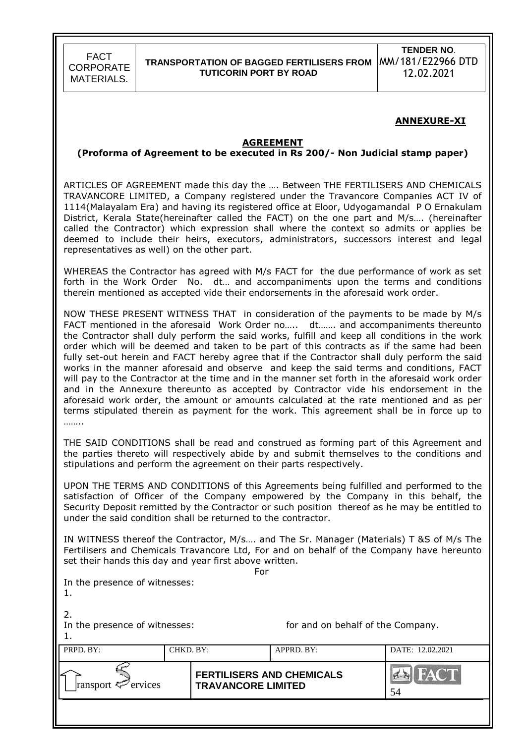#### **ANNEXURE-XI**

#### **AGREEMENT**

#### **(Proforma of Agreement to be executed in Rs 200/- Non Judicial stamp paper)**

ARTICLES OF AGREEMENT made this day the …. Between THE FERTILISERS AND CHEMICALS TRAVANCORE LIMITED, a Company registered under the Travancore Companies ACT IV of 1114(Malayalam Era) and having its registered office at Eloor, Udyogamandal P O Ernakulam District, Kerala State(hereinafter called the FACT) on the one part and M/s…. (hereinafter called the Contractor) which expression shall where the context so admits or applies be deemed to include their heirs, executors, administrators, successors interest and legal representatives as well) on the other part.

WHEREAS the Contractor has agreed with M/s FACT for the due performance of work as set forth in the Work Order No. dt… and accompaniments upon the terms and conditions therein mentioned as accepted vide their endorsements in the aforesaid work order.

NOW THESE PRESENT WITNESS THAT in consideration of the payments to be made by M/s FACT mentioned in the aforesaid Work Order no….. dt……. and accompaniments thereunto the Contractor shall duly perform the said works, fulfill and keep all conditions in the work order which will be deemed and taken to be part of this contracts as if the same had been fully set-out herein and FACT hereby agree that if the Contractor shall duly perform the said works in the manner aforesaid and observe and keep the said terms and conditions, FACT will pay to the Contractor at the time and in the manner set forth in the aforesaid work order and in the Annexure thereunto as accepted by Contractor vide his endorsement in the aforesaid work order, the amount or amounts calculated at the rate mentioned and as per terms stipulated therein as payment for the work. This agreement shall be in force up to …….

THE SAID CONDITIONS shall be read and construed as forming part of this Agreement and the parties thereto will respectively abide by and submit themselves to the conditions and stipulations and perform the agreement on their parts respectively.

UPON THE TERMS AND CONDITIONS of this Agreements being fulfilled and performed to the satisfaction of Officer of the Company empowered by the Company in this behalf, the Security Deposit remitted by the Contractor or such position thereof as he may be entitled to under the said condition shall be returned to the contractor.

IN WITNESS thereof the Contractor, M/s…. and The Sr. Manager (Materials) T &S of M/s The Fertilisers and Chemicals Travancore Ltd, For and on behalf of the Company have hereunto set their hands this day and year first above written.

For

|  |  | In the presence of witnesses: |
|--|--|-------------------------------|
|  |  |                               |

| . . |  |
|-----|--|

2.

In the presence of witnesses: for and on behalf of the Company.

1.

| PRPD. BY:               | CHKD. BY: |                                                               | APPRD. BY: | DATE: 12.02.2021 |
|-------------------------|-----------|---------------------------------------------------------------|------------|------------------|
| ransport $\leq$ ervices |           | <b>FERTILISERS AND CHEMICALS</b><br><b>TRAVANCORE LIMITED</b> |            | 54               |
|                         |           |                                                               |            |                  |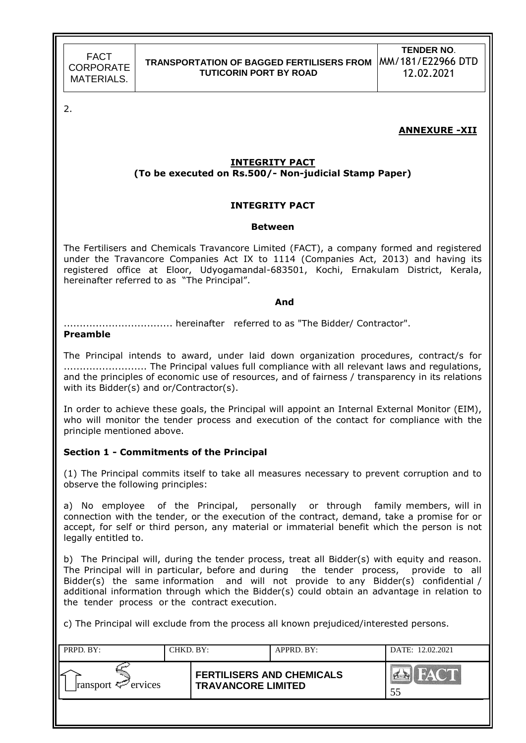2.

### **ANNEXURE -XII**

### **INTEGRITY PACT (To be executed on Rs.500/- Non-judicial Stamp Paper)**

#### **INTEGRITY PACT**

#### **Between**

The Fertilisers and Chemicals Travancore Limited (FACT), a company formed and registered under the Travancore Companies Act IX to 1114 (Companies Act, 2013) and having its registered office at Eloor, Udyogamandal-683501, Kochi, Ernakulam District, Kerala, hereinafter referred to as "The Principal".

#### *And*

.................................. hereinafter referred to as "The Bidder/ Contractor".

#### **Preamble**

The Principal intends to award, under laid down organization procedures, contract/s for .......................... The Principal values full compliance with all relevant laws and regulations, and the principles of economic use of resources, and of fairness / transparency in its relations with its Bidder(s) and or/Contractor(s).

In order to achieve these goals, the Principal will appoint an Internal External Monitor (EIM), who will monitor the tender process and execution of the contact for compliance with the principle mentioned above.

#### **Section 1 - Commitments of the Principal**

(1) The Principal commits itself to take all measures necessary to prevent corruption and to observe the following principles:

a) No employee of the Principal, personally or through family members, will in connection with the tender, or the execution of the contract, demand, take a promise for or accept, for self or third person, any material or immaterial benefit which the person is not legally entitled to.

b) The Principal will, during the tender process, treat all Bidder(s) with equity and reason. The Principal will in particular, before and during the tender process, provide to all Bidder(s) the same information and will not provide to any Bidder(s) confidential / additional information through which the Bidder(s) could obtain an advantage in relation to the tender process or the contract execution.

c) The Principal will exclude from the process all known prejudiced/interested persons.

| PRPD. BY:               | CHKD. BY: |                                                               | APPRD. BY: | DATE: 12.02.2021 |
|-------------------------|-----------|---------------------------------------------------------------|------------|------------------|
| ransport $\leq$ ervices |           | <b>FERTILISERS AND CHEMICALS</b><br><b>TRAVANCORE LIMITED</b> |            | HAC'D<br>55      |
|                         |           |                                                               |            |                  |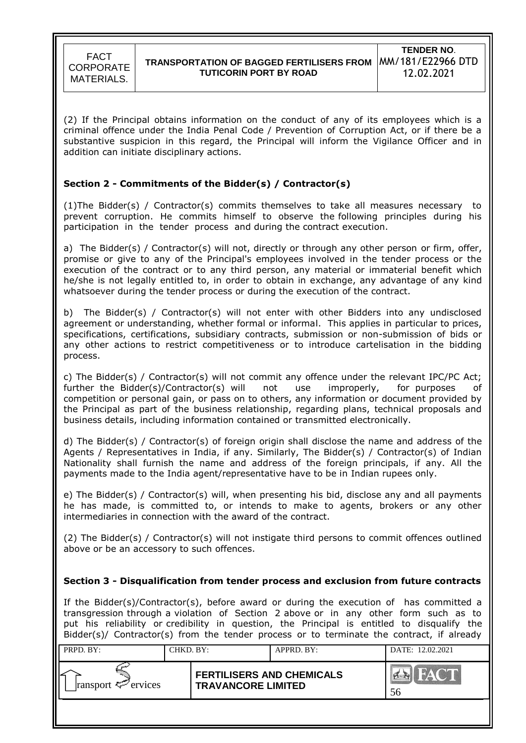(2) If the Principal obtains information on the conduct of any of its employees which is a criminal offence under the India Penal Code / Prevention of Corruption Act, or if there be a substantive suspicion in this regard, the Principal will inform the Vigilance Officer and in addition can initiate disciplinary actions.

### **Section 2 - Commitments of the Bidder(s) / Contractor(s)**

 $(1)$ The Bidder(s) / Contractor(s) commits themselves to take all measures necessary to prevent corruption. He commits himself to observe the following principles during his participation in the tender process and during the contract execution.

a) The Bidder(s) / Contractor(s) will not, directly or through any other person or firm, offer, promise or give to any of the Principal's employees involved in the tender process or the execution of the contract or to any third person, any material or immaterial benefit which he/she is not legally entitled to, in order to obtain in exchange, any advantage of any kind whatsoever during the tender process or during the execution of the contract.

b) The Bidder(s) / Contractor(s) will not enter with other Bidders into any undisclosed agreement or understanding, whether formal or informal. This applies in particular to prices, specifications, certifications, subsidiary contracts, submission or non-submission of bids or any other actions to restrict competitiveness or to introduce cartelisation in the bidding process.

c) The Bidder(s) / Contractor(s) will not commit any offence under the relevant IPC/PC Act; further the Bidder(s)/Contractor(s) will not use improperly, for purposes of competition or personal gain, or pass on to others, any information or document provided by the Principal as part of the business relationship, regarding plans, technical proposals and business details, including information contained or transmitted electronically.

d) The Bidder(s) / Contractor(s) of foreign origin shall disclose the name and address of the Agents / Representatives in India, if any. Similarly, The Bidder(s) / Contractor(s) of Indian Nationality shall furnish the name and address of the foreign principals, if any. All the payments made to the India agent/representative have to be in Indian rupees only.

e) The Bidder(s) / Contractor(s) will, when presenting his bid, disclose any and all payments he has made, is committed to, or intends to make to agents, brokers or any other intermediaries in connection with the award of the contract.

(2) The Bidder(s) / Contractor(s) will not instigate third persons to commit offences outlined above or be an accessory to such offences.

### **Section 3 - Disqualification from tender process and exclusion from future contracts**

If the Bidder(s)/Contractor(s), before award or during the execution of has committed a transgression through a violation of Section 2 above or in any other form such as to put his reliability or credibility in question, the Principal is entitled to disqualify the Bidder(s)/ Contractor(s) from the tender process or to terminate the contract, if already

| PRPD. BY:               | CHKD. BY: |                                                               | $APPRD$ . BY: | DATE: 12.02.2021   |
|-------------------------|-----------|---------------------------------------------------------------|---------------|--------------------|
| ransport $\leq$ ervices |           | <b>FERTILISERS AND CHEMICALS</b><br><b>TRAVANCORE LIMITED</b> |               | $M^{\prime}$<br>56 |
|                         |           |                                                               |               |                    |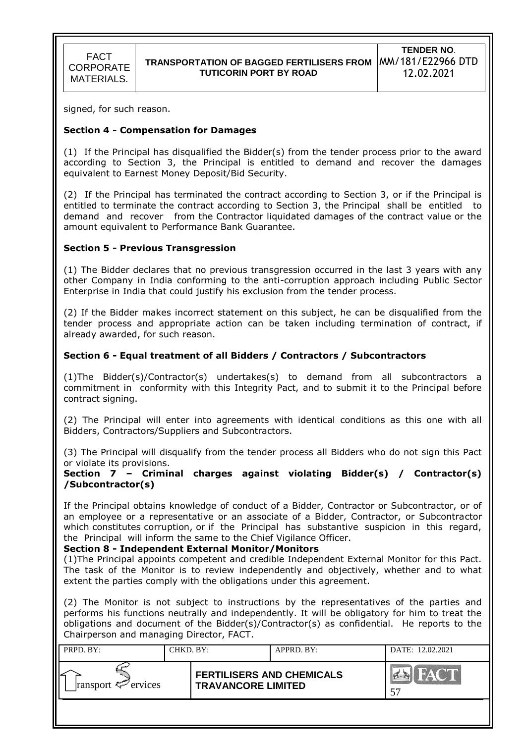signed, for such reason.

### **Section 4 - Compensation for Damages**

(1) If the Principal has disqualified the Bidder(s) from the tender process prior to the award according to Section 3, the Principal is entitled to demand and recover the damages equivalent to Earnest Money Deposit/Bid Security.

(2) If the Principal has terminated the contract according to Section 3, or if the Principal is entitled to terminate the contract according to Section 3, the Principal shall be entitled to demand and recover from the Contractor liquidated damages of the contract value or the amount equivalent to Performance Bank Guarantee.

### **Section 5 - Previous Transgression**

(1) The Bidder declares that no previous transgression occurred in the last 3 years with any other Company in India conforming to the anti-corruption approach including Public Sector Enterprise in India that could justify his exclusion from the tender process.

(2) If the Bidder makes incorrect statement on this subject, he can be disqualified from the tender process and appropriate action can be taken including termination of contract, if already awarded, for such reason.

### **Section 6 - Equal treatment of all Bidders / Contractors / Subcontractors**

(1)The Bidder(s)/Contractor(s) undertakes(s) to demand from all subcontractors a commitment in conformity with this Integrity Pact, and to submit it to the Principal before contract signing.

(2) The Principal will enter into agreements with identical conditions as this one with all Bidders, Contractors/Suppliers and Subcontractors.

(3) The Principal will disqualify from the tender process all Bidders who do not sign this Pact or violate its provisions.

**Section 7 – Criminal charges against violating Bidder(s) / Contractor(s) /Subcontractor(s)**

If the Principal obtains knowledge of conduct of a Bidder, Contractor or Subcontractor, or of an employee or a representative or an associate of a Bidder, Contractor, or Subcontractor which constitutes corruption, or if the Principal has substantive suspicion in this regard, the Principal will inform the same to the Chief Vigilance Officer.

#### **Section 8 - Independent External Monitor/Monitors**

(1)The Principal appoints competent and credible Independent External Monitor for this Pact. The task of the Monitor is to review independently and objectively, whether and to what extent the parties comply with the obligations under this agreement.

(2) The Monitor is not subject to instructions by the representatives of the parties and performs his functions neutrally and independently. It will be obligatory for him to treat the obligations and document of the Bidder(s)/Contractor(s) as confidential. He reports to the Chairperson and managing Director, FACT.

| PRPD. BY:               | CHKD. BY: |                                                               | $APPRD$ . $BY$ : | DATE: 12.02.2021 |
|-------------------------|-----------|---------------------------------------------------------------|------------------|------------------|
| ransport $\leq$ ervices |           | <b>FERTILISERS AND CHEMICALS</b><br><b>TRAVANCORE LIMITED</b> |                  |                  |
|                         |           |                                                               |                  |                  |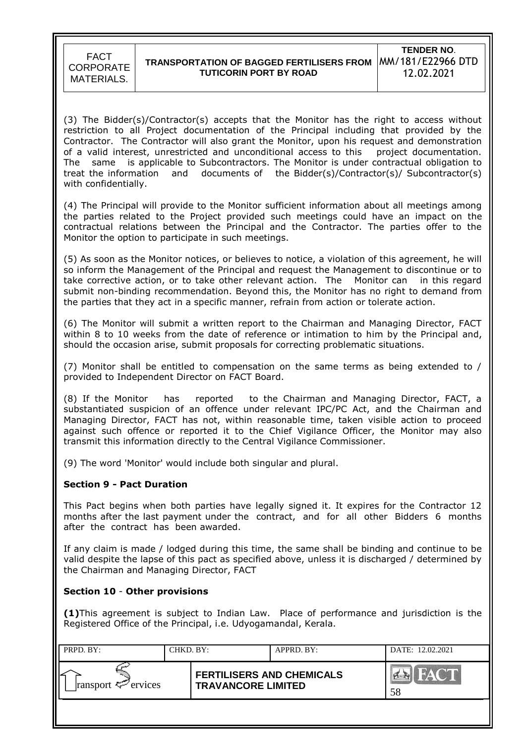

(3) The Bidder(s)/Contractor(s) accepts that the Monitor has the right to access without restriction to all Project documentation of the Principal including that provided by the Contractor. The Contractor will also grant the Monitor, upon his request and demonstration of a valid interest, unrestricted and unconditional access to this project documentation. The same is applicable to Subcontractors. The Monitor is under contractual obligation to treat the information and documents of the Bidder(s)/Contractor(s)/ Subcontractor(s) with confidentially.

(4) The Principal will provide to the Monitor sufficient information about all meetings among the parties related to the Project provided such meetings could have an impact on the contractual relations between the Principal and the Contractor. The parties offer to the Monitor the option to participate in such meetings.

(5) As soon as the Monitor notices, or believes to notice, a violation of this agreement, he will so inform the Management of the Principal and request the Management to discontinue or to take corrective action, or to take other relevant action. The Monitor can in this regard submit non-binding recommendation. Beyond this, the Monitor has no right to demand from the parties that they act in a specific manner, refrain from action or tolerate action.

(6) The Monitor will submit a written report to the Chairman and Managing Director, FACT within 8 to 10 weeks from the date of reference or intimation to him by the Principal and, should the occasion arise, submit proposals for correcting problematic situations.

(7) Monitor shall be entitled to compensation on the same terms as being extended to / provided to Independent Director on FACT Board.

(8) If the Monitor has reported to the Chairman and Managing Director, FACT, a substantiated suspicion of an offence under relevant IPC/PC Act, and the Chairman and Managing Director, FACT has not, within reasonable time, taken visible action to proceed against such offence or reported it to the Chief Vigilance Officer, the Monitor may also transmit this information directly to the Central Vigilance Commissioner.

(9) The word 'Monitor' would include both singular and plural.

#### **Section 9 - Pact Duration**

This Pact begins when both parties have legally signed it. It expires for the Contractor 12 months after the last payment under the contract, and for all other Bidders 6 months after the contract has been awarded.

If any claim is made / lodged during this time, the same shall be binding and continue to be valid despite the lapse of this pact as specified above, unless it is discharged / determined by the Chairman and Managing Director, FACT

### **Section 10** - **Other provisions**

**(1)**This agreement is subject to Indian Law. Place of performance and jurisdiction is the Registered Office of the Principal, i.e. Udyogamandal, Kerala.

| PRPD. BY:               | CHKD. BY: |                                                               | APPRD. BY: | DATE: 12.02.2021  |
|-------------------------|-----------|---------------------------------------------------------------|------------|-------------------|
| ransport $\leq$ ervices |           | <b>FERTILISERS AND CHEMICALS</b><br><b>TRAVANCORE LIMITED</b> |            | <b>HACT</b><br>58 |
|                         |           |                                                               |            |                   |